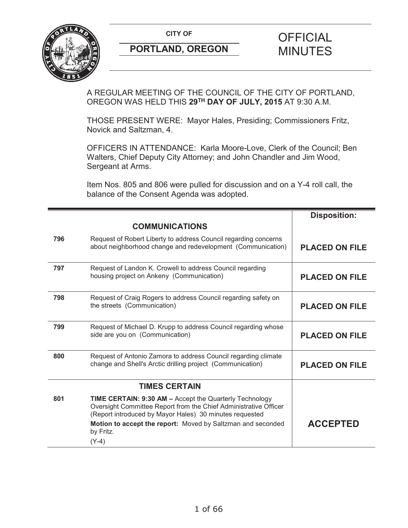

A REGULAR MEETING OF THE COUNCIL OF THE CITY OF PORTLAND, OREGON WAS HELD THIS **29TH DAY OF JULY, 2015** AT 9:30 A.M.

THOSE PRESENT WERE: Mayor Hales, Presiding; Commissioners Fritz, Novick and Saltzman, 4.

OFFICERS IN ATTENDANCE: Karla Moore-Love, Clerk of the Council; Ben Walters, Chief Deputy City Attorney; and John Chandler and Jim Wood, Sergeant at Arms.

Item Nos. 805 and 806 were pulled for discussion and on a Y-4 roll call, the balance of the Consent Agenda was adopted.

|     |                                                                                                                                                                                               | <b>Disposition:</b>   |
|-----|-----------------------------------------------------------------------------------------------------------------------------------------------------------------------------------------------|-----------------------|
|     | <b>COMMUNICATIONS</b>                                                                                                                                                                         |                       |
| 796 | Request of Robert Liberty to address Council regarding concerns<br>about neighborhood change and redevelopment (Communication)                                                                | <b>PLACED ON FILE</b> |
| 797 | Request of Landon K. Crowell to address Council regarding<br>housing project on Ankeny (Communication)                                                                                        | <b>PLACED ON FILE</b> |
| 798 | Request of Craig Rogers to address Council regarding safety on<br>the streets (Communication)                                                                                                 | <b>PLACED ON FILE</b> |
| 799 | Request of Michael D. Krupp to address Council regarding whose<br>side are you on (Communication)                                                                                             | <b>PLACED ON FILE</b> |
| 800 | Request of Antonio Zamora to address Council regarding climate<br>change and Shell's Arctic drilling project (Communication)                                                                  | <b>PLACED ON FILE</b> |
|     | <b>TIMES CERTAIN</b>                                                                                                                                                                          |                       |
| 801 | <b>TIME CERTAIN: 9:30 AM - Accept the Quarterly Technology</b><br>Oversight Committee Report from the Chief Administrative Officer<br>(Report introduced by Mayor Hales) 30 minutes requested |                       |
|     | Motion to accept the report: Moved by Saltzman and seconded<br>by Fritz.                                                                                                                      | <b>ACCEPTED</b>       |
|     | $(Y-4)$                                                                                                                                                                                       |                       |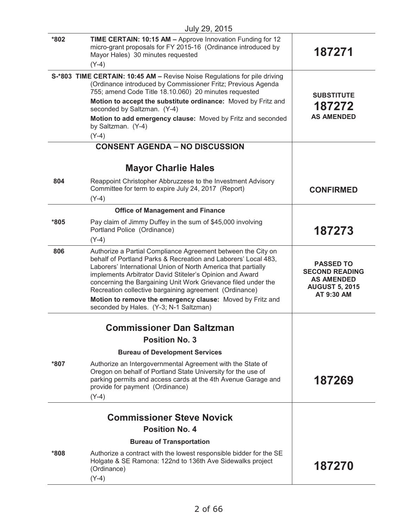| July 29, 2015                                                                                                                                                                                                                                                                                                          |                                                                                                                                                                                                                                                                                                                    |
|------------------------------------------------------------------------------------------------------------------------------------------------------------------------------------------------------------------------------------------------------------------------------------------------------------------------|--------------------------------------------------------------------------------------------------------------------------------------------------------------------------------------------------------------------------------------------------------------------------------------------------------------------|
| TIME CERTAIN: 10:15 AM - Approve Innovation Funding for 12<br>micro-grant proposals for FY 2015-16 (Ordinance introduced by<br>Mayor Hales) 30 minutes requested                                                                                                                                                       | 187271                                                                                                                                                                                                                                                                                                             |
|                                                                                                                                                                                                                                                                                                                        |                                                                                                                                                                                                                                                                                                                    |
| S-*803 TIME CERTAIN: 10:45 AM - Revise Noise Regulations for pile driving<br>(Ordinance introduced by Commissioner Fritz; Previous Agenda<br>755; amend Code Title 18.10.060) 20 minutes requested                                                                                                                     | <b>SUBSTITUTE</b>                                                                                                                                                                                                                                                                                                  |
| Motion to accept the substitute ordinance: Moved by Fritz and<br>seconded by Saltzman. (Y-4)                                                                                                                                                                                                                           | 187272                                                                                                                                                                                                                                                                                                             |
| Motion to add emergency clause: Moved by Fritz and seconded<br>by Saltzman. (Y-4)                                                                                                                                                                                                                                      | <b>AS AMENDED</b>                                                                                                                                                                                                                                                                                                  |
| <b>CONSENT AGENDA - NO DISCUSSION</b>                                                                                                                                                                                                                                                                                  |                                                                                                                                                                                                                                                                                                                    |
|                                                                                                                                                                                                                                                                                                                        |                                                                                                                                                                                                                                                                                                                    |
| <b>Mayor Charlie Hales</b>                                                                                                                                                                                                                                                                                             |                                                                                                                                                                                                                                                                                                                    |
| Reappoint Christopher Abbruzzese to the Investment Advisory<br>Committee for term to expire July 24, 2017 (Report)                                                                                                                                                                                                     | <b>CONFIRMED</b>                                                                                                                                                                                                                                                                                                   |
|                                                                                                                                                                                                                                                                                                                        |                                                                                                                                                                                                                                                                                                                    |
|                                                                                                                                                                                                                                                                                                                        |                                                                                                                                                                                                                                                                                                                    |
| Portland Police (Ordinance)                                                                                                                                                                                                                                                                                            | 187273                                                                                                                                                                                                                                                                                                             |
|                                                                                                                                                                                                                                                                                                                        |                                                                                                                                                                                                                                                                                                                    |
| behalf of Portland Parks & Recreation and Laborers' Local 483,<br>Laborers' International Union of North America that partially<br>implements Arbitrator David Stiteler's Opinion and Award<br>concerning the Bargaining Unit Work Grievance filed under the<br>Recreation collective bargaining agreement (Ordinance) | <b>PASSED TO</b><br><b>SECOND READING</b><br><b>AS AMENDED</b><br><b>AUGUST 5, 2015</b><br>AT 9:30 AM                                                                                                                                                                                                              |
| seconded by Hales. (Y-3; N-1 Saltzman)                                                                                                                                                                                                                                                                                 |                                                                                                                                                                                                                                                                                                                    |
| <b>Commissioner Dan Saltzman</b>                                                                                                                                                                                                                                                                                       |                                                                                                                                                                                                                                                                                                                    |
| <b>Position No. 3</b>                                                                                                                                                                                                                                                                                                  |                                                                                                                                                                                                                                                                                                                    |
| <b>Bureau of Development Services</b>                                                                                                                                                                                                                                                                                  |                                                                                                                                                                                                                                                                                                                    |
| Authorize an Intergovernmental Agreement with the State of<br>Oregon on behalf of Portland State University for the use of<br>parking permits and access cards at the 4th Avenue Garage and<br>provide for payment (Ordinance)<br>$(Y-4)$                                                                              | 187269                                                                                                                                                                                                                                                                                                             |
|                                                                                                                                                                                                                                                                                                                        |                                                                                                                                                                                                                                                                                                                    |
| <b>Position No. 4</b>                                                                                                                                                                                                                                                                                                  |                                                                                                                                                                                                                                                                                                                    |
| <b>Bureau of Transportation</b>                                                                                                                                                                                                                                                                                        |                                                                                                                                                                                                                                                                                                                    |
| Authorize a contract with the lowest responsible bidder for the SE                                                                                                                                                                                                                                                     |                                                                                                                                                                                                                                                                                                                    |
|                                                                                                                                                                                                                                                                                                                        | $(Y-4)$<br>$(Y-4)$<br>$(Y-4)$<br><b>Office of Management and Finance</b><br>Pay claim of Jimmy Duffey in the sum of \$45,000 involving<br>$(Y-4)$<br>Authorize a Partial Compliance Agreement between the City on<br>Motion to remove the emergency clause: Moved by Fritz and<br><b>Commissioner Steve Novick</b> |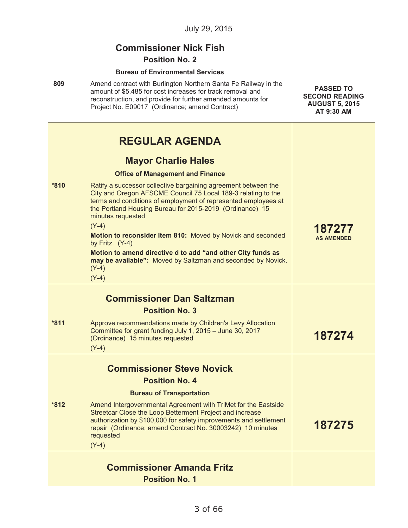|        | July 29, 2015                                                                                                                                                                                                                                                                                                                                                                                                                                                                                                                        |                                                                                  |
|--------|--------------------------------------------------------------------------------------------------------------------------------------------------------------------------------------------------------------------------------------------------------------------------------------------------------------------------------------------------------------------------------------------------------------------------------------------------------------------------------------------------------------------------------------|----------------------------------------------------------------------------------|
| 809    | <b>Commissioner Nick Fish</b><br><b>Position No. 2</b><br><b>Bureau of Environmental Services</b><br>Amend contract with Burlington Northern Santa Fe Railway in the<br>amount of \$5,485 for cost increases for track removal and<br>reconstruction, and provide for further amended amounts for<br>Project No. E09017 (Ordinance; amend Contract)                                                                                                                                                                                  | <b>PASSED TO</b><br><b>SECOND READING</b><br><b>AUGUST 5, 2015</b><br>AT 9:30 AM |
|        | <b>REGULAR AGENDA</b><br><b>Mayor Charlie Hales</b><br><b>Office of Management and Finance</b>                                                                                                                                                                                                                                                                                                                                                                                                                                       |                                                                                  |
| *810   | Ratify a successor collective bargaining agreement between the<br>City and Oregon AFSCME Council 75 Local 189-3 relating to the<br>terms and conditions of employment of represented employees at<br>the Portland Housing Bureau for 2015-2019 (Ordinance) 15<br>minutes requested<br>$(Y-4)$<br>Motion to reconsider Item 810: Moved by Novick and seconded<br>by Fritz. (Y-4)<br>Motion to amend directive d to add "and other City funds as<br>may be available": Moved by Saltzman and seconded by Novick.<br>$(Y-4)$<br>$(Y-4)$ | 187277<br><b>AS AMENDED</b>                                                      |
|        | <b>Commissioner Dan Saltzman</b>                                                                                                                                                                                                                                                                                                                                                                                                                                                                                                     |                                                                                  |
| $*811$ | <b>Position No. 3</b><br>Approve recommendations made by Children's Levy Allocation<br>Committee for grant funding July 1, 2015 - June 30, 2017<br>(Ordinance) 15 minutes requested<br>$(Y-4)$                                                                                                                                                                                                                                                                                                                                       | 187274                                                                           |
|        | <b>Commissioner Steve Novick</b>                                                                                                                                                                                                                                                                                                                                                                                                                                                                                                     |                                                                                  |
|        | <b>Position No. 4</b>                                                                                                                                                                                                                                                                                                                                                                                                                                                                                                                |                                                                                  |
|        | <b>Bureau of Transportation</b>                                                                                                                                                                                                                                                                                                                                                                                                                                                                                                      |                                                                                  |
| $*812$ | Amend Intergovernmental Agreement with TriMet for the Eastside<br>Streetcar Close the Loop Betterment Project and increase<br>authorization by \$100,000 for safety improvements and settlement<br>repair (Ordinance; amend Contract No. 30003242) 10 minutes<br>requested<br>$(Y-4)$                                                                                                                                                                                                                                                | 187275                                                                           |
|        |                                                                                                                                                                                                                                                                                                                                                                                                                                                                                                                                      |                                                                                  |
|        | <b>Commissioner Amanda Fritz</b><br><b>Position No. 1</b>                                                                                                                                                                                                                                                                                                                                                                                                                                                                            |                                                                                  |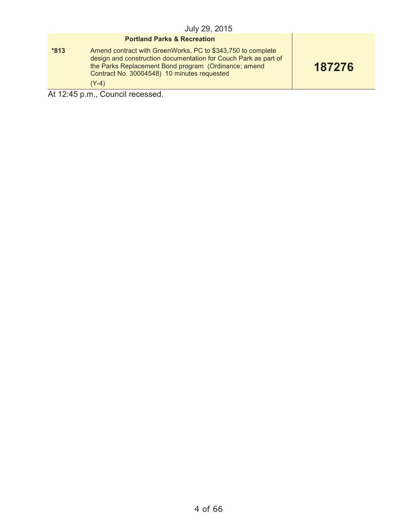#### **Portland Parks & Recreation**

**\*813** Amend contract with GreenWorks, PC to \$343,750 to complete design and construction documentation for Couch Park as part of the Parks Replacement Bond program (Ordinance; amend Contract No. 30004548) 10 minutes requested (Y-4)

**187276**

At 12:45 p.m., Council recessed.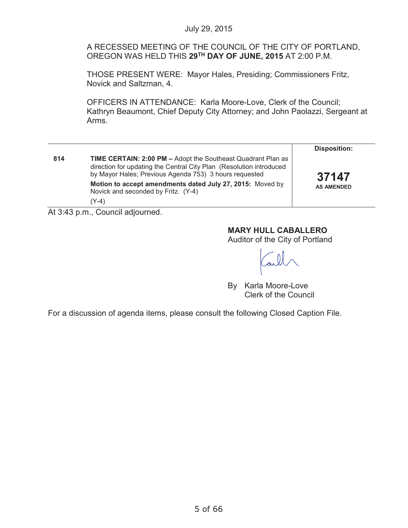A RECESSED MEETING OF THE COUNCIL OF THE CITY OF PORTLAND, OREGON WAS HELD THIS **29TH DAY OF JUNE, 2015** AT 2:00 P.M.

THOSE PRESENT WERE: Mayor Hales, Presiding; Commissioners Fritz, Novick and Saltzman, 4.

OFFICERS IN ATTENDANCE: Karla Moore-Love, Clerk of the Council; Kathryn Beaumont, Chief Deputy City Attorney; and John Paolazzi, Sergeant at Arms.

|     |                                                                                                                                                                                                      | <b>Disposition:</b> |
|-----|------------------------------------------------------------------------------------------------------------------------------------------------------------------------------------------------------|---------------------|
| 814 | <b>TIME CERTAIN: 2:00 PM - Adopt the Southeast Quadrant Plan as</b><br>direction for updating the Central City Plan (Resolution introduced<br>by Mayor Hales; Previous Agenda 753) 3 hours requested | 37147               |
|     | Motion to accept amendments dated July 27, 2015: Moved by<br>Novick and seconded by Fritz. (Y-4)<br>(Y-4)                                                                                            | <b>AS AMENDED</b>   |

At 3:43 p.m., Council adjourned.

## **MARY HULL CABALLERO**

Auditor of the City of Portland

By Karla Moore-Love Clerk of the Council

For a discussion of agenda items, please consult the following Closed Caption File.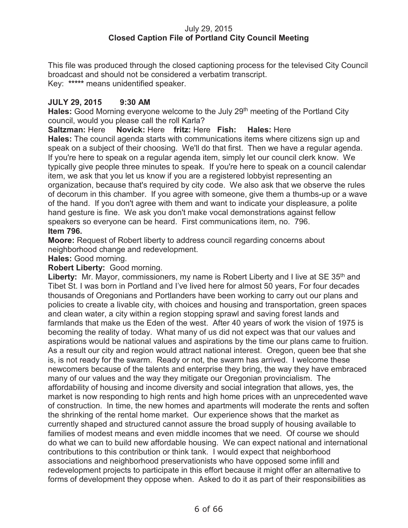### July 29, 2015 **Closed Caption File of Portland City Council Meeting**

This file was produced through the closed captioning process for the televised City Council broadcast and should not be considered a verbatim transcript. Key: **\*\*\*\*\*** means unidentified speaker.

### **JULY 29, 2015 9:30 AM**

**Hales:** Good Morning everyone welcome to the July 29<sup>th</sup> meeting of the Portland City council, would you please call the roll Karla?

**Saltzman:** Here **Novick:** Here **fritz:** Here **Fish: Hales:** Here

**Hales:** The council agenda starts with communications items where citizens sign up and speak on a subject of their choosing. We'll do that first. Then we have a regular agenda. If you're here to speak on a regular agenda item, simply let our council clerk know. We typically give people three minutes to speak. If you're here to speak on a council calendar item, we ask that you let us know if you are a registered lobbyist representing an organization, because that's required by city code. We also ask that we observe the rules of decorum in this chamber. If you agree with someone, give them a thumbs-up or a wave of the hand. If you don't agree with them and want to indicate your displeasure, a polite hand gesture is fine. We ask you don't make vocal demonstrations against fellow speakers so everyone can be heard. First communications item, no. 796. **Item 796.**

**Moore:** Request of Robert liberty to address council regarding concerns about neighborhood change and redevelopment.

**Hales:** Good morning.

### **Robert Liberty:** Good morning.

Liberty: Mr. Mayor, commissioners, my name is Robert Liberty and I live at SE 35<sup>th</sup> and Tibet St. I was born in Portland and I've lived here for almost 50 years, For four decades thousands of Oregonians and Portlanders have been working to carry out our plans and policies to create a livable city, with choices and housing and transportation, green spaces and clean water, a city within a region stopping sprawl and saving forest lands and farmlands that make us the Eden of the west. After 40 years of work the vision of 1975 is becoming the reality of today. What many of us did not expect was that our values and aspirations would be national values and aspirations by the time our plans came to fruition. As a result our city and region would attract national interest. Oregon, queen bee that she is, is not ready for the swarm. Ready or not, the swarm has arrived. I welcome these newcomers because of the talents and enterprise they bring, the way they have embraced many of our values and the way they mitigate our Oregonian provincialism. The affordability of housing and income diversity and social integration that allows, yes, the market is now responding to high rents and high home prices with an unprecedented wave of construction. In time, the new homes and apartments will moderate the rents and soften the shrinking of the rental home market. Our experience shows that the market as currently shaped and structured cannot assure the broad supply of housing available to families of modest means and even middle incomes that we need. Of course we should do what we can to build new affordable housing. We can expect national and international contributions to this contribution or think tank. I would expect that neighborhood associations and neighborhood preservationists who have opposed some infill and redevelopment projects to participate in this effort because it might offer an alternative to forms of development they oppose when. Asked to do it as part of their responsibilities as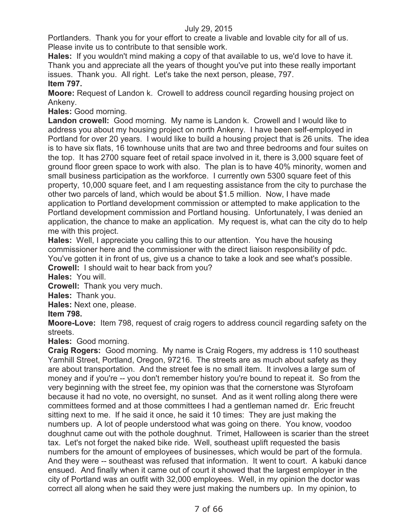Portlanders. Thank you for your effort to create a livable and lovable city for all of us. Please invite us to contribute to that sensible work.

**Hales:** If you wouldn't mind making a copy of that available to us, we'd love to have it. Thank you and appreciate all the years of thought you've put into these really important issues. Thank you. All right. Let's take the next person, please, 797.

# **Item 797.**

**Moore:** Request of Landon k. Crowell to address council regarding housing project on Ankeny.

**Hales:** Good morning.

**Landon crowell:** Good morning. My name is Landon k. Crowell and I would like to address you about my housing project on north Ankeny. I have been self-employed in Portland for over 20 years. I would like to build a housing project that is 26 units. The idea is to have six flats, 16 townhouse units that are two and three bedrooms and four suites on the top. It has 2700 square feet of retail space involved in it, there is 3,000 square feet of ground floor green space to work with also. The plan is to have 40% minority, women and small business participation as the workforce. I currently own 5300 square feet of this property, 10,000 square feet, and I am requesting assistance from the city to purchase the other two parcels of land, which would be about \$1.5 million. Now, I have made application to Portland development commission or attempted to make application to the Portland development commission and Portland housing. Unfortunately, I was denied an application, the chance to make an application. My request is, what can the city do to help me with this project.

**Hales:** Well, I appreciate you calling this to our attention. You have the housing commissioner here and the commissioner with the direct liaison responsibility of pdc. You've gotten it in front of us, give us a chance to take a look and see what's possible.

**Crowell:** I should wait to hear back from you?

**Hales:** You will.

**Crowell:** Thank you very much.

**Hales:** Thank you.

**Hales:** Next one, please.

**Item 798.**

**Moore-Love:** Item 798, request of craig rogers to address council regarding safety on the streets.

**Hales:** Good morning.

**Craig Rogers:** Good morning. My name is Craig Rogers, my address is 110 southeast Yamhill Street, Portland, Oregon, 97216. The streets are as much about safety as they are about transportation. And the street fee is no small item. It involves a large sum of money and if you're -- you don't remember history you're bound to repeat it. So from the very beginning with the street fee, my opinion was that the cornerstone was Styrofoam because it had no vote, no oversight, no sunset. And as it went rolling along there were committees formed and at those committees I had a gentleman named dr. Eric freucht sitting next to me. If he said it once, he said it 10 times: They are just making the numbers up. A lot of people understood what was going on there. You know, voodoo doughnut came out with the pothole doughnut. Trimet, Halloween is scarier than the street tax. Let's not forget the naked bike ride. Well, southeast uplift requested the basis numbers for the amount of employees of businesses, which would be part of the formula. And they were -- southeast was refused that information. It went to court. A kabuki dance ensued. And finally when it came out of court it showed that the largest employer in the city of Portland was an outfit with 32,000 employees. Well, in my opinion the doctor was correct all along when he said they were just making the numbers up. In my opinion, to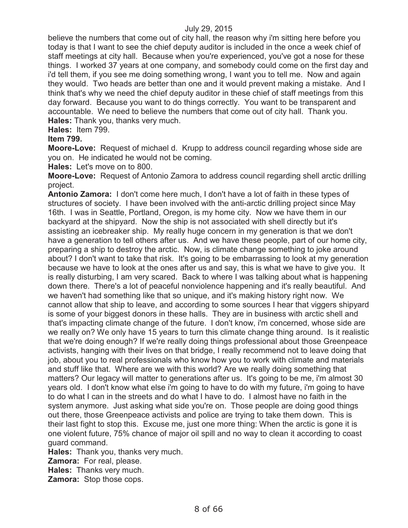believe the numbers that come out of city hall, the reason why i'm sitting here before you today is that I want to see the chief deputy auditor is included in the once a week chief of staff meetings at city hall. Because when you're experienced, you've got a nose for these things. I worked 37 years at one company, and somebody could come on the first day and i'd tell them, if you see me doing something wrong, I want you to tell me. Now and again they would. Two heads are better than one and it would prevent making a mistake. And I think that's why we need the chief deputy auditor in these chief of staff meetings from this day forward. Because you want to do things correctly. You want to be transparent and accountable. We need to believe the numbers that come out of city hall. Thank you. **Hales:** Thank you, thanks very much.

**Hales:** Item 799.

### **Item 799.**

**Moore-Love:** Request of michael d. Krupp to address council regarding whose side are you on. He indicated he would not be coming.

**Hales:** Let's move on to 800.

**Moore-Love:** Request of Antonio Zamora to address council regarding shell arctic drilling project.

**Antonio Zamora:** I don't come here much, I don't have a lot of faith in these types of structures of society. I have been involved with the anti-arctic drilling project since May 16th. I was in Seattle, Portland, Oregon, is my home city. Now we have them in our backyard at the shipyard. Now the ship is not associated with shell directly but it's assisting an icebreaker ship. My really huge concern in my generation is that we don't have a generation to tell others after us. And we have these people, part of our home city, preparing a ship to destroy the arctic. Now, is climate change something to joke around about? I don't want to take that risk. It's going to be embarrassing to look at my generation because we have to look at the ones after us and say, this is what we have to give you. It is really disturbing, I am very scared. Back to where I was talking about what is happening down there. There's a lot of peaceful nonviolence happening and it's really beautiful. And we haven't had something like that so unique, and it's making history right now. We cannot allow that ship to leave, and according to some sources I hear that viggers shipyard is some of your biggest donors in these halls. They are in business with arctic shell and that's impacting climate change of the future. I don't know, i'm concerned, whose side are we really on? We only have 15 years to turn this climate change thing around. Is it realistic that we're doing enough? If we're really doing things professional about those Greenpeace activists, hanging with their lives on that bridge, I really recommend not to leave doing that job, about you to real professionals who know how you to work with climate and materials and stuff like that. Where are we with this world? Are we really doing something that matters? Our legacy will matter to generations after us. It's going to be me, i'm almost 30 years old. I don't know what else i'm going to have to do with my future, i'm going to have to do what I can in the streets and do what I have to do. I almost have no faith in the system anymore. Just asking what side you're on. Those people are doing good things out there, those Greenpeace activists and police are trying to take them down. This is their last fight to stop this. Excuse me, just one more thing: When the arctic is gone it is one violent future, 75% chance of major oil spill and no way to clean it according to coast guard command.

**Hales:** Thank you, thanks very much.

**Zamora:** For real, please.

**Hales:** Thanks very much.

**Zamora:** Stop those cops.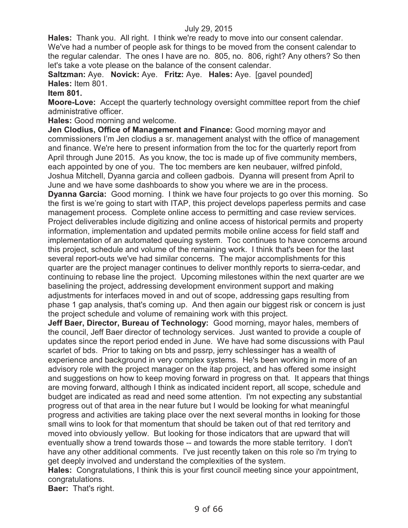**Hales:** Thank you. All right. I think we're ready to move into our consent calendar. We've had a number of people ask for things to be moved from the consent calendar to the regular calendar. The ones I have are no. 805, no. 806, right? Any others? So then let's take a vote please on the balance of the consent calendar.

**Saltzman:** Aye. **Novick:** Aye. **Fritz:** Aye. **Hales:** Aye. [gavel pounded] **Hales:** Item 801.

**Item 801.**

**Moore-Love:** Accept the quarterly technology oversight committee report from the chief administrative officer.

**Hales:** Good morning and welcome.

**Jen Clodius, Office of Management and Finance:** Good morning mayor and commissioners I'm Jen clodius a sr. management analyst with the office of management and finance. We're here to present information from the toc for the quarterly report from April through June 2015. As you know, the toc is made up of five community members, each appointed by one of you. The toc members are ken neubauer, wilfred pinfold, Joshua Mitchell, Dyanna garcia and colleen gadbois. Dyanna will present from April to June and we have some dashboards to show you where we are in the process.

**Dyanna Garcia:** Good morning. I think we have four projects to go over this morning. So the first is we're going to start with ITAP, this project develops paperless permits and case management process. Complete online access to permitting and case review services. Project deliverables include digitizing and online access of historical permits and property information, implementation and updated permits mobile online access for field staff and implementation of an automated queuing system. Toc continues to have concerns around this project, schedule and volume of the remaining work. I think that's been for the last several report-outs we've had similar concerns. The major accomplishments for this quarter are the project manager continues to deliver monthly reports to sierra-cedar, and continuing to rebase line the project. Upcoming milestones within the next quarter are we baselining the project, addressing development environment support and making adjustments for interfaces moved in and out of scope, addressing gaps resulting from phase 1 gap analysis, that's coming up. And then again our biggest risk or concern is just the project schedule and volume of remaining work with this project.

**Jeff Baer, Director, Bureau of Technology:** Good morning, mayor hales, members of the council, Jeff Baer director of technology services. Just wanted to provide a couple of updates since the report period ended in June. We have had some discussions with Paul scarlet of bds. Prior to taking on bts and pssrp, jerry schlessinger has a wealth of experience and background in very complex systems. He's been working in more of an advisory role with the project manager on the itap project, and has offered some insight and suggestions on how to keep moving forward in progress on that. It appears that things are moving forward, although I think as indicated incident report, all scope, schedule and budget are indicated as read and need some attention. I'm not expecting any substantial progress out of that area in the near future but I would be looking for what meaningful progress and activities are taking place over the next several months in looking for those small wins to look for that momentum that should be taken out of that red territory and moved into obviously yellow. But looking for those indicators that are upward that will eventually show a trend towards those -- and towards the more stable territory. I don't have any other additional comments. I've just recently taken on this role so i'm trying to get deeply involved and understand the complexities of the system.

**Hales:** Congratulations, I think this is your first council meeting since your appointment, congratulations.

**Baer:** That's right.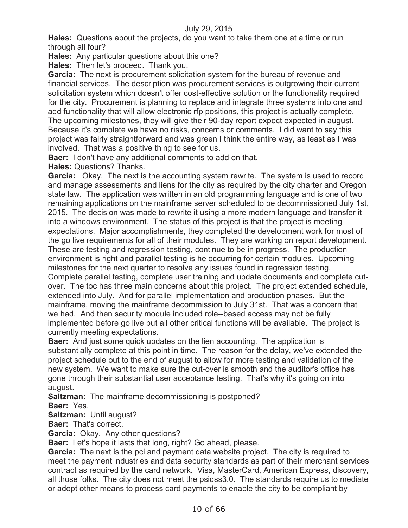**Hales:** Questions about the projects, do you want to take them one at a time or run through all four?

**Hales:** Any particular questions about this one?

**Hales:** Then let's proceed. Thank you.

**Garcia:** The next is procurement solicitation system for the bureau of revenue and financial services. The description was procurement services is outgrowing their current solicitation system which doesn't offer cost-effective solution or the functionality required for the city. Procurement is planning to replace and integrate three systems into one and add functionality that will allow electronic rfp positions, this project is actually complete. The upcoming milestones, they will give their 90-day report expect expected in august. Because it's complete we have no risks, concerns or comments. I did want to say this project was fairly straightforward and was green I think the entire way, as least as I was involved. That was a positive thing to see for us.

**Baer:** I don't have any additional comments to add on that.

**Hales:** Questions? Thanks.

**Garcia:** Okay. The next is the accounting system rewrite. The system is used to record and manage assessments and liens for the city as required by the city charter and Oregon state law. The application was written in an old programming language and is one of two remaining applications on the mainframe server scheduled to be decommissioned July 1st, 2015. The decision was made to rewrite it using a more modern language and transfer it into a windows environment. The status of this project is that the project is meeting expectations. Major accomplishments, they completed the development work for most of the go live requirements for all of their modules. They are working on report development. These are testing and regression testing, continue to be in progress. The production environment is right and parallel testing is he occurring for certain modules. Upcoming milestones for the next quarter to resolve any issues found in regression testing. Complete parallel testing, complete user training and update documents and complete cutover. The toc has three main concerns about this project. The project extended schedule, extended into July. And for parallel implementation and production phases. But the mainframe, moving the mainframe decommission to July 31st. That was a concern that we had. And then security module included role--based access may not be fully implemented before go live but all other critical functions will be available. The project is currently meeting expectations.

**Baer:** And just some quick updates on the lien accounting. The application is substantially complete at this point in time. The reason for the delay, we've extended the project schedule out to the end of august to allow for more testing and validation of the new system. We want to make sure the cut-over is smooth and the auditor's office has gone through their substantial user acceptance testing. That's why it's going on into august.

**Saltzman:** The mainframe decommissioning is postponed? **Baer:** Yes.

**Saltzman:** Until august?

**Baer:** That's correct.

**Garcia:** Okay. Any other questions?

**Baer:** Let's hope it lasts that long, right? Go ahead, please.

**Garcia:** The next is the pci and payment data website project. The city is required to meet the payment industries and data security standards as part of their merchant services contract as required by the card network. Visa, MasterCard, American Express, discovery, all those folks. The city does not meet the psidss3.0. The standards require us to mediate or adopt other means to process card payments to enable the city to be compliant by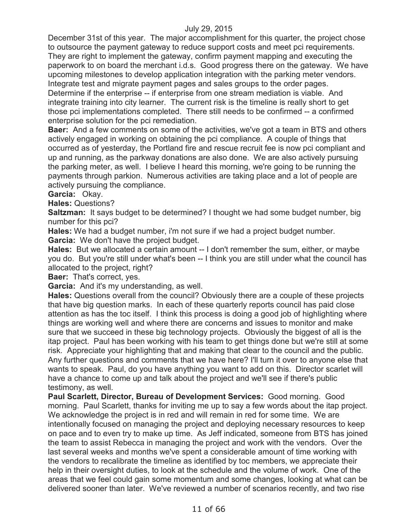December 31st of this year. The major accomplishment for this quarter, the project chose to outsource the payment gateway to reduce support costs and meet pci requirements. They are right to implement the gateway, confirm payment mapping and executing the paperwork to on board the merchant i.d.s. Good progress there on the gateway. We have upcoming milestones to develop application integration with the parking meter vendors. Integrate test and migrate payment pages and sales groups to the order pages. Determine if the enterprise -- if enterprise from one stream mediation is viable. And integrate training into city learner. The current risk is the timeline is really short to get those pci implementations completed. There still needs to be confirmed -- a confirmed enterprise solution for the pci remediation.

**Baer:** And a few comments on some of the activities, we've got a team in BTS and others actively engaged in working on obtaining the pci compliance. A couple of things that occurred as of yesterday, the Portland fire and rescue recruit fee is now pci compliant and up and running, as the parkway donations are also done. We are also actively pursuing the parking meter, as well. I believe I heard this morning, we're going to be running the payments through parkion. Numerous activities are taking place and a lot of people are actively pursuing the compliance.

**Garcia:** Okay.

**Hales:** Questions?

**Saltzman:** It says budget to be determined? I thought we had some budget number, big number for this pci?

**Hales:** We had a budget number, i'm not sure if we had a project budget number.

**Garcia:** We don't have the project budget.

Hales: But we allocated a certain amount -- I don't remember the sum, either, or maybe you do. But you're still under what's been -- I think you are still under what the council has allocated to the project, right?

**Baer:** That's correct, yes.

**Garcia:** And it's my understanding, as well.

**Hales:** Questions overall from the council? Obviously there are a couple of these projects that have big question marks. In each of these quarterly reports council has paid close attention as has the toc itself. I think this process is doing a good job of highlighting where things are working well and where there are concerns and issues to monitor and make sure that we succeed in these big technology projects. Obviously the biggest of all is the itap project. Paul has been working with his team to get things done but we're still at some risk. Appreciate your highlighting that and making that clear to the council and the public. Any further questions and comments that we have here? I'll turn it over to anyone else that wants to speak. Paul, do you have anything you want to add on this. Director scarlet will have a chance to come up and talk about the project and we'll see if there's public testimony, as well.

**Paul Scarlett, Director, Bureau of Development Services:** Good morning. Good morning. Paul Scarlett, thanks for inviting me up to say a few words about the itap project. We acknowledge the project is in red and will remain in red for some time. We are intentionally focused on managing the project and deploying necessary resources to keep on pace and to even try to make up time. As Jeff indicated, someone from BTS has joined the team to assist Rebecca in managing the project and work with the vendors. Over the last several weeks and months we've spent a considerable amount of time working with the vendors to recalibrate the timeline as identified by toc members, we appreciate their help in their oversight duties, to look at the schedule and the volume of work. One of the areas that we feel could gain some momentum and some changes, looking at what can be delivered sooner than later. We've reviewed a number of scenarios recently, and two rise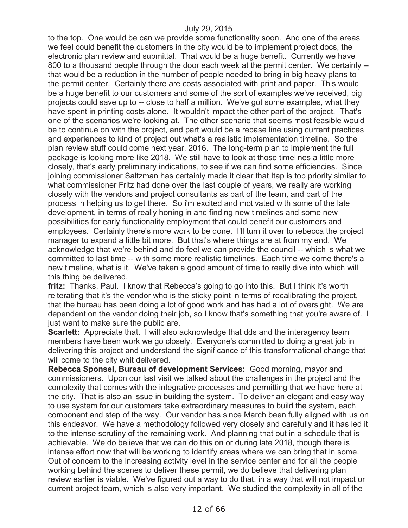to the top. One would be can we provide some functionality soon. And one of the areas we feel could benefit the customers in the city would be to implement project docs, the electronic plan review and submittal. That would be a huge benefit. Currently we have 800 to a thousand people through the door each week at the permit center. We certainly - that would be a reduction in the number of people needed to bring in big heavy plans to the permit center. Certainly there are costs associated with print and paper. This would be a huge benefit to our customers and some of the sort of examples we've received, big projects could save up to -- close to half a million. We've got some examples, what they have spent in printing costs alone. It wouldn't impact the other part of the project. That's one of the scenarios we're looking at. The other scenario that seems most feasible would be to continue on with the project, and part would be a rebase line using current practices and experiences to kind of project out what's a realistic implementation timeline. So the plan review stuff could come next year, 2016. The long-term plan to implement the full package is looking more like 2018. We still have to look at those timelines a little more closely, that's early preliminary indications, to see if we can find some efficiencies. Since joining commissioner Saltzman has certainly made it clear that Itap is top priority similar to what commissioner Fritz had done over the last couple of years, we really are working closely with the vendors and project consultants as part of the team, and part of the process in helping us to get there. So i'm excited and motivated with some of the late development, in terms of really honing in and finding new timelines and some new possibilities for early functionality employment that could benefit our customers and employees. Certainly there's more work to be done. I'll turn it over to rebecca the project manager to expand a little bit more. But that's where things are at from my end. We acknowledge that we're behind and do feel we can provide the council -- which is what we committed to last time -- with some more realistic timelines. Each time we come there's a new timeline, what is it. We've taken a good amount of time to really dive into which will this thing be delivered.

**fritz:** Thanks, Paul. I know that Rebecca's going to go into this. But I think it's worth reiterating that it's the vendor who is the sticky point in terms of recalibrating the project, that the bureau has been doing a lot of good work and has had a lot of oversight. We are dependent on the vendor doing their job, so I know that's something that you're aware of. I just want to make sure the public are.

**Scarlett:** Appreciate that. I will also acknowledge that dds and the interagency team members have been work we go closely. Everyone's committed to doing a great job in delivering this project and understand the significance of this transformational change that will come to the city whit delivered.

**Rebecca Sponsel, Bureau of development Services:** Good morning, mayor and commissioners. Upon our last visit we talked about the challenges in the project and the complexity that comes with the integrative processes and permitting that we have here at the city. That is also an issue in building the system. To deliver an elegant and easy way to use system for our customers take extraordinary measures to build the system, each component and step of the way. Our vendor has since March been fully aligned with us on this endeavor. We have a methodology followed very closely and carefully and it has led it to the intense scrutiny of the remaining work. And planning that out in a schedule that is achievable. We do believe that we can do this on or during late 2018, though there is intense effort now that will be working to identify areas where we can bring that in some. Out of concern to the increasing activity level in the service center and for all the people working behind the scenes to deliver these permit, we do believe that delivering plan review earlier is viable. We've figured out a way to do that, in a way that will not impact or current project team, which is also very important. We studied the complexity in all of the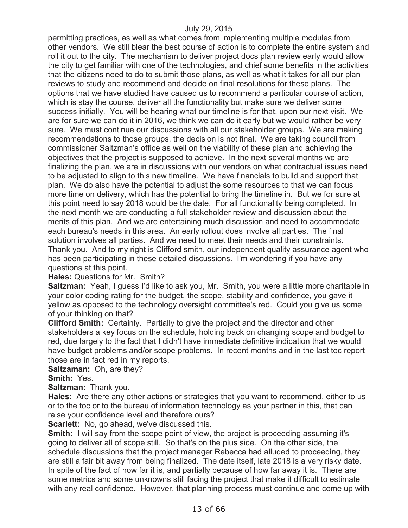permitting practices, as well as what comes from implementing multiple modules from other vendors. We still blear the best course of action is to complete the entire system and roll it out to the city. The mechanism to deliver project docs plan review early would allow the city to get familiar with one of the technologies, and chief some benefits in the activities that the citizens need to do to submit those plans, as well as what it takes for all our plan reviews to study and recommend and decide on final resolutions for these plans. The options that we have studied have caused us to recommend a particular course of action, which is stay the course, deliver all the functionality but make sure we deliver some success initially. You will be hearing what our timeline is for that, upon our next visit. We are for sure we can do it in 2016, we think we can do it early but we would rather be very sure. We must continue our discussions with all our stakeholder groups. We are making recommendations to those groups, the decision is not final. We are taking council from commissioner Saltzman's office as well on the viability of these plan and achieving the objectives that the project is supposed to achieve. In the next several months we are finalizing the plan, we are in discussions with our vendors on what contractual issues need to be adjusted to align to this new timeline. We have financials to build and support that plan. We do also have the potential to adjust the some resources to that we can focus more time on delivery, which has the potential to bring the timeline in. But we for sure at this point need to say 2018 would be the date. For all functionality being completed. In the next month we are conducting a full stakeholder review and discussion about the merits of this plan. And we are entertaining much discussion and need to accommodate each bureau's needs in this area. An early rollout does involve all parties. The final solution involves all parties. And we need to meet their needs and their constraints. Thank you. And to my right is Clifford smith, our independent quality assurance agent who has been participating in these detailed discussions. I'm wondering if you have any questions at this point.

#### **Hales:** Questions for Mr. Smith?

**Saltzman:** Yeah, I guess I'd like to ask you, Mr. Smith, you were a little more charitable in your color coding rating for the budget, the scope, stability and confidence, you gave it yellow as opposed to the technology oversight committee's red. Could you give us some of your thinking on that?

**Clifford Smith:** Certainly. Partially to give the project and the director and other stakeholders a key focus on the schedule, holding back on changing scope and budget to red, due largely to the fact that I didn't have immediate definitive indication that we would have budget problems and/or scope problems. In recent months and in the last toc report those are in fact red in my reports.

**Saltzaman:** Oh, are they?

**Smith:** Yes.

**Saltzman:** Thank you.

**Hales:** Are there any other actions or strategies that you want to recommend, either to us or to the toc or to the bureau of information technology as your partner in this, that can raise your confidence level and therefore ours?

**Scarlett:** No, go ahead, we've discussed this.

**Smith:** I will say from the scope point of view, the project is proceeding assuming it's going to deliver all of scope still. So that's on the plus side. On the other side, the schedule discussions that the project manager Rebecca had alluded to proceeding, they are still a fair bit away from being finalized. The date itself, late 2018 is a very risky date. In spite of the fact of how far it is, and partially because of how far away it is. There are some metrics and some unknowns still facing the project that make it difficult to estimate with any real confidence. However, that planning process must continue and come up with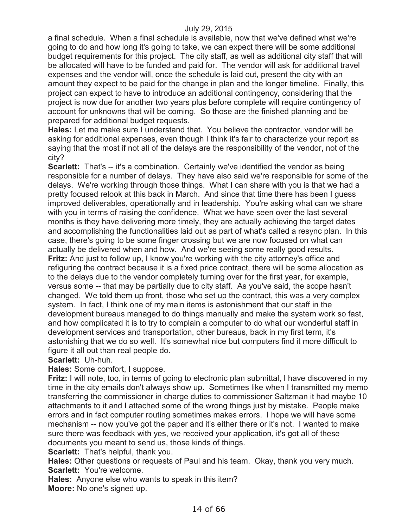a final schedule. When a final schedule is available, now that we've defined what we're going to do and how long it's going to take, we can expect there will be some additional budget requirements for this project. The city staff, as well as additional city staff that will be allocated will have to be funded and paid for. The vendor will ask for additional travel expenses and the vendor will, once the schedule is laid out, present the city with an amount they expect to be paid for the change in plan and the longer timeline. Finally, this project can expect to have to introduce an additional contingency, considering that the project is now due for another two years plus before complete will require contingency of account for unknowns that will be coming. So those are the finished planning and be prepared for additional budget requests.

**Hales:** Let me make sure I understand that. You believe the contractor, vendor will be asking for additional expenses, even though I think it's fair to characterize your report as saying that the most if not all of the delays are the responsibility of the vendor, not of the city?

**Scarlett:** That's -- it's a combination. Certainly we've identified the vendor as being responsible for a number of delays. They have also said we're responsible for some of the delays. We're working through those things. What I can share with you is that we had a pretty focused relook at this back in March. And since that time there has been I guess improved deliverables, operationally and in leadership. You're asking what can we share with you in terms of raising the confidence. What we have seen over the last several months is they have delivering more timely, they are actually achieving the target dates and accomplishing the functionalities laid out as part of what's called a resync plan. In this case, there's going to be some finger crossing but we are now focused on what can actually be delivered when and how. And we're seeing some really good results. **Fritz:** And just to follow up, I know you're working with the city attorney's office and refiguring the contract because it is a fixed price contract, there will be some allocation as to the delays due to the vendor completely turning over for the first year, for example, versus some -- that may be partially due to city staff. As you've said, the scope hasn't changed. We told them up front, those who set up the contract, this was a very complex system. In fact, I think one of my main items is astonishment that our staff in the development bureaus managed to do things manually and make the system work so fast, and how complicated it is to try to complain a computer to do what our wonderful staff in development services and transportation, other bureaus, back in my first term, it's astonishing that we do so well. It's somewhat nice but computers find it more difficult to figure it all out than real people do.

### **Scarlett:** Uh-huh.

**Hales:** Some comfort, I suppose.

**Fritz:** I will note, too, in terms of going to electronic plan submittal, I have discovered in my time in the city emails don't always show up. Sometimes like when I transmitted my memo transferring the commissioner in charge duties to commissioner Saltzman it had maybe 10 attachments to it and I attached some of the wrong things just by mistake. People make errors and in fact computer routing sometimes makes errors. I hope we will have some mechanism -- now you've got the paper and it's either there or it's not. I wanted to make sure there was feedback with yes, we received your application, it's got all of these documents you meant to send us, those kinds of things.

**Scarlett:** That's helpful, thank you.

**Hales:** Other questions or requests of Paul and his team. Okay, thank you very much. **Scarlett:** You're welcome.

**Hales:** Anyone else who wants to speak in this item?

**Moore:** No one's signed up.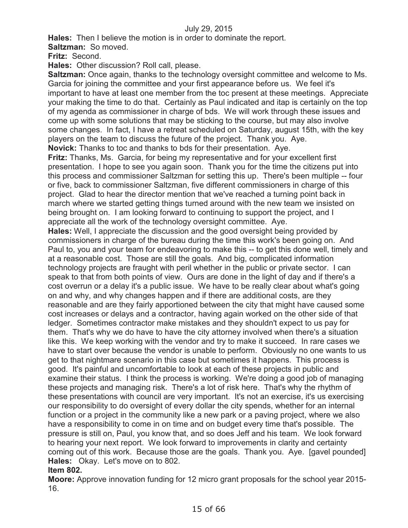**Hales:** Then I believe the motion is in order to dominate the report.

**Saltzman:** So moved.

**Fritz:** Second.

**Hales:** Other discussion? Roll call, please.

**Saltzman:** Once again, thanks to the technology oversight committee and welcome to Ms. Garcia for joining the committee and your first appearance before us. We feel it's important to have at least one member from the toc present at these meetings. Appreciate your making the time to do that. Certainly as Paul indicated and itap is certainly on the top of my agenda as commissioner in charge of bds. We will work through these issues and come up with some solutions that may be sticking to the course, but may also involve some changes. In fact, I have a retreat scheduled on Saturday, august 15th, with the key players on the team to discuss the future of the project. Thank you. Aye. **Novick:** Thanks to toc and thanks to bds for their presentation. Aye.

**Fritz:** Thanks, Ms. Garcia, for being my representative and for your excellent first presentation. I hope to see you again soon. Thank you for the time the citizens put into this process and commissioner Saltzman for setting this up. There's been multiple -- four or five, back to commissioner Saltzman, five different commissioners in charge of this project. Glad to hear the director mention that we've reached a turning point back in march where we started getting things turned around with the new team we insisted on being brought on. I am looking forward to continuing to support the project, and I appreciate all the work of the technology oversight committee. Aye.

**Hales:** Well, I appreciate the discussion and the good oversight being provided by commissioners in charge of the bureau during the time this work's been going on. And Paul to, you and your team for endeavoring to make this -- to get this done well, timely and at a reasonable cost. Those are still the goals. And big, complicated information technology projects are fraught with peril whether in the public or private sector. I can speak to that from both points of view. Ours are done in the light of day and if there's a cost overrun or a delay it's a public issue. We have to be really clear about what's going on and why, and why changes happen and if there are additional costs, are they reasonable and are they fairly apportioned between the city that might have caused some cost increases or delays and a contractor, having again worked on the other side of that ledger. Sometimes contractor make mistakes and they shouldn't expect to us pay for them. That's why we do have to have the city attorney involved when there's a situation like this. We keep working with the vendor and try to make it succeed. In rare cases we have to start over because the vendor is unable to perform. Obviously no one wants to us get to that nightmare scenario in this case but sometimes it happens. This process is good. It's painful and uncomfortable to look at each of these projects in public and examine their status. I think the process is working. We're doing a good job of managing these projects and managing risk. There's a lot of risk here. That's why the rhythm of these presentations with council are very important. It's not an exercise, it's us exercising our responsibility to do oversight of every dollar the city spends, whether for an internal function or a project in the community like a new park or a paving project, where we also have a responsibility to come in on time and on budget every time that's possible. The pressure is still on, Paul, you know that, and so does Jeff and his team. We look forward to hearing your next report. We look forward to improvements in clarity and certainty coming out of this work. Because those are the goals. Thank you. Aye. [gavel pounded] **Hales:** Okay. Let's move on to 802.

### **Item 802.**

**Moore:** Approve innovation funding for 12 micro grant proposals for the school year 2015- 16.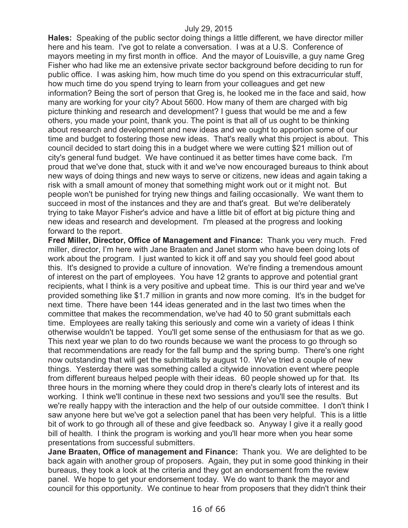**Hales:** Speaking of the public sector doing things a little different, we have director miller here and his team. I've got to relate a conversation. I was at a U.S. Conference of mayors meeting in my first month in office. And the mayor of Louisville, a guy name Greg Fisher who had like me an extensive private sector background before deciding to run for public office. I was asking him, how much time do you spend on this extracurricular stuff, how much time do you spend trying to learn from your colleagues and get new information? Being the sort of person that Greg is, he looked me in the face and said, how many are working for your city? About 5600. How many of them are charged with big picture thinking and research and development? I guess that would be me and a few others, you made your point, thank you. The point is that all of us ought to be thinking about research and development and new ideas and we ought to apportion some of our time and budget to fostering those new ideas. That's really what this project is about. This council decided to start doing this in a budget where we were cutting \$21 million out of city's general fund budget. We have continued it as better times have come back. I'm proud that we've done that, stuck with it and we've now encouraged bureaus to think about new ways of doing things and new ways to serve or citizens, new ideas and again taking a risk with a small amount of money that something might work out or it might not. But people won't be punished for trying new things and failing occasionally. We want them to succeed in most of the instances and they are and that's great. But we're deliberately trying to take Mayor Fisher's advice and have a little bit of effort at big picture thing and new ideas and research and development. I'm pleased at the progress and looking forward to the report.

**Fred Miller, Director, Office of Management and Finance:** Thank you very much. Fred miller, director, I'm here with Jane Braaten and Janet storm who have been doing lots of work about the program. I just wanted to kick it off and say you should feel good about this. It's designed to provide a culture of innovation. We're finding a tremendous amount of interest on the part of employees. You have 12 grants to approve and potential grant recipients, what I think is a very positive and upbeat time. This is our third year and we've provided something like \$1.7 million in grants and now more coming. It's in the budget for next time. There have been 144 ideas generated and in the last two times when the committee that makes the recommendation, we've had 40 to 50 grant submittals each time. Employees are really taking this seriously and come win a variety of ideas I think otherwise wouldn't be tapped. You'll get some sense of the enthusiasm for that as we go. This next year we plan to do two rounds because we want the process to go through so that recommendations are ready for the fall bump and the spring bump. There's one right now outstanding that will get the submittals by august 10. We've tried a couple of new things. Yesterday there was something called a citywide innovation event where people from different bureaus helped people with their ideas. 60 people showed up for that. Its three hours in the morning where they could drop in there's clearly lots of interest and its working. I think we'll continue in these next two sessions and you'll see the results. But we're really happy with the interaction and the help of our outside committee. I don't think I saw anyone here but we've got a selection panel that has been very helpful. This is a little bit of work to go through all of these and give feedback so. Anyway I give it a really good bill of health. I think the program is working and you'll hear more when you hear some presentations from successful submitters.

**Jane Braaten, Office of management and Finance:** Thank you. We are delighted to be back again with another group of proposers. Again, they put in some good thinking in their bureaus, they took a look at the criteria and they got an endorsement from the review panel. We hope to get your endorsement today. We do want to thank the mayor and council for this opportunity. We continue to hear from proposers that they didn't think their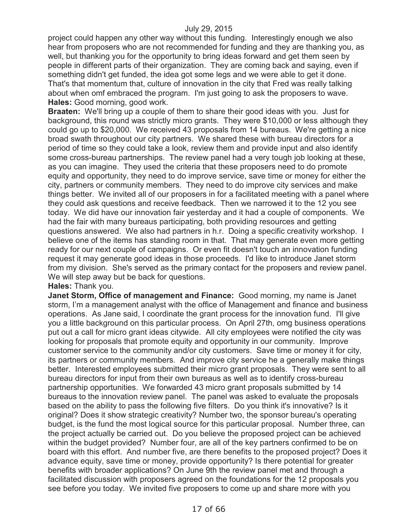project could happen any other way without this funding. Interestingly enough we also hear from proposers who are not recommended for funding and they are thanking you, as well, but thanking you for the opportunity to bring ideas forward and get them seen by people in different parts of their organization. They are coming back and saying, even if something didn't get funded, the idea got some legs and we were able to get it done. That's that momentum that, culture of innovation in the city that Fred was really talking about when omf embraced the program. I'm just going to ask the proposers to wave. **Hales:** Good morning, good work.

**Braaten:** We'll bring up a couple of them to share their good ideas with you. Just for background, this round was strictly micro grants. They were \$10,000 or less although they could go up to \$20,000. We received 43 proposals from 14 bureaus. We're getting a nice broad swath throughout our city partners. We shared these with bureau directors for a period of time so they could take a look, review them and provide input and also identify some cross-bureau partnerships. The review panel had a very tough job looking at these, as you can imagine. They used the criteria that these proposers need to do promote equity and opportunity, they need to do improve service, save time or money for either the city, partners or community members. They need to do improve city services and make things better. We invited all of our proposers in for a facilitated meeting with a panel where they could ask questions and receive feedback. Then we narrowed it to the 12 you see today. We did have our innovation fair yesterday and it had a couple of components. We had the fair with many bureaus participating, both providing resources and getting questions answered. We also had partners in h.r. Doing a specific creativity workshop. I believe one of the items has standing room in that. That may generate even more getting ready for our next couple of campaigns. Or even fit doesn't touch an innovation funding request it may generate good ideas in those proceeds. I'd like to introduce Janet storm from my division. She's served as the primary contact for the proposers and review panel. We will step away but be back for questions.

#### **Hales:** Thank you.

**Janet Storm, Office of management and Finance:** Good morning, my name is Janet storm, I'm a management analyst with the office of Management and finance and business operations. As Jane said, I coordinate the grant process for the innovation fund. I'll give you a little background on this particular process. On April 27th, omg business operations put out a call for micro grant ideas citywide. All city employees were notified the city was looking for proposals that promote equity and opportunity in our community. Improve customer service to the community and/or city customers. Save time or money it for city, its partners or community members. And improve city service he a generally make things better. Interested employees submitted their micro grant proposals. They were sent to all bureau directors for input from their own bureaus as well as to identify cross-bureau partnership opportunities. We forwarded 43 micro grant proposals submitted by 14 bureaus to the innovation review panel. The panel was asked to evaluate the proposals based on the ability to pass the following five filters. Do you think it's innovative? Is it original? Does it show strategic creativity? Number two, the sponsor bureau's operating budget, is the fund the most logical source for this particular proposal. Number three, can the project actually be carried out. Do you believe the proposed project can be achieved within the budget provided? Number four, are all of the key partners confirmed to be on board with this effort. And number five, are there benefits to the proposed project? Does it advance equity, save time or money, provide opportunity? Is there potential for greater benefits with broader applications? On June 9th the review panel met and through a facilitated discussion with proposers agreed on the foundations for the 12 proposals you see before you today. We invited five proposers to come up and share more with you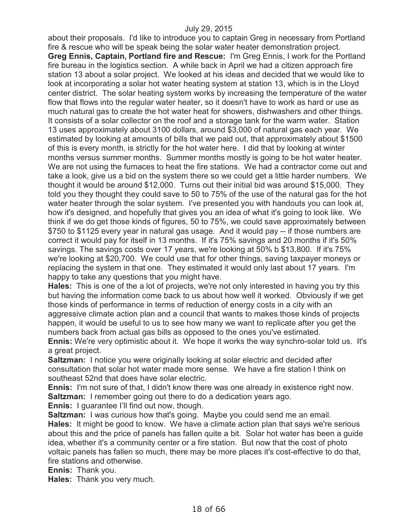about their proposals. I'd like to introduce you to captain Greg in necessary from Portland fire & rescue who will be speak being the solar water heater demonstration project. **Greg Ennis, Captain, Portland fire and Rescue:** I'm Greg Ennis, I work for the Portland fire bureau in the logistics section. A while back in April we had a citizen approach fire station 13 about a solar project. We looked at his ideas and decided that we would like to look at incorporating a solar hot water heating system at station 13, which is in the Lloyd center district. The solar heating system works by increasing the temperature of the water flow that flows into the regular water heater, so it doesn't have to work as hard or use as much natural gas to create the hot water heat for showers, dishwashers and other things. It consists of a solar collector on the roof and a storage tank for the warm water. Station 13 uses approximately about 3100 dollars, around \$3,000 of natural gas each year. We estimated by looking at amounts of bills that we paid out, that approximately about \$1500 of this is every month, is strictly for the hot water here. I did that by looking at winter months versus summer months. Summer months mostly is going to be hot water heater. We are not using the furnaces to heat the fire stations. We had a contractor come out and take a look, give us a bid on the system there so we could get a little harder numbers. We thought it would be around \$12,000. Turns out their initial bid was around \$15,000. They told you they thought they could save to 50 to 75% of the use of the natural gas for the hot water heater through the solar system. I've presented you with handouts you can look at, how it's designed, and hopefully that gives you an idea of what it's going to look like. We think if we do get those kinds of figures, 50 to 75%, we could save approximately between \$750 to \$1125 every year in natural gas usage. And it would pay -- if those numbers are correct it would pay for itself in 13 months. If it's 75% savings and 20 months if it's 50% savings. The savings costs over 17 years, we're looking at 50% b \$13,800. If it's 75% we're looking at \$20,700. We could use that for other things, saving taxpayer moneys or replacing the system in that one. They estimated it would only last about 17 years. I'm happy to take any questions that you might have.

**Hales:** This is one of the a lot of projects, we're not only interested in having you try this but having the information come back to us about how well it worked. Obviously if we get those kinds of performance in terms of reduction of energy costs in a city with an aggressive climate action plan and a council that wants to makes those kinds of projects happen, it would be useful to us to see how many we want to replicate after you get the numbers back from actual gas bills as opposed to the ones you've estimated.

**Ennis:** We're very optimistic about it. We hope it works the way synchro-solar told us. It's a great project.

**Saltzman:** I notice you were originally looking at solar electric and decided after consultation that solar hot water made more sense. We have a fire station I think on southeast 52nd that does have solar electric.

**Ennis:** I'm not sure of that, I didn't know there was one already in existence right now. **Saltzman:** I remember going out there to do a dedication years ago.

**Ennis:** I guarantee I'll find out now, though.

**Saltzman:** I was curious how that's going. Maybe you could send me an email. **Hales:** It might be good to know. We have a climate action plan that says we're serious about this and the price of panels has fallen quite a bit. Solar hot water has been a guide idea, whether it's a community center or a fire station. But now that the cost of photo voltaic panels has fallen so much, there may be more places it's cost-effective to do that, fire stations and otherwise.

**Ennis:** Thank you.

**Hales:** Thank you very much.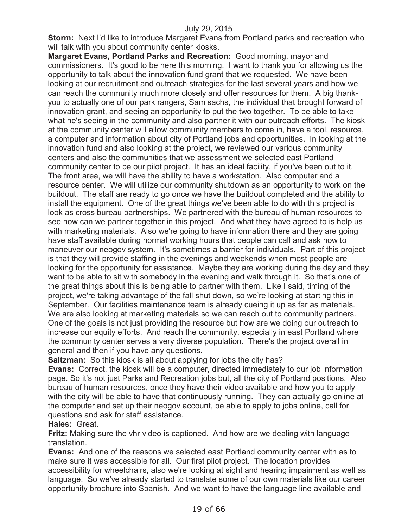**Storm:** Next I'd like to introduce Margaret Evans from Portland parks and recreation who will talk with you about community center kiosks.

**Margaret Evans, Portland Parks and Recreation:** Good morning, mayor and commissioners. It's good to be here this morning. I want to thank you for allowing us the opportunity to talk about the innovation fund grant that we requested. We have been looking at our recruitment and outreach strategies for the last several years and how we can reach the community much more closely and offer resources for them. A big thankyou to actually one of our park rangers, Sam sachs, the individual that brought forward of innovation grant, and seeing an opportunity to put the two together. To be able to take what he's seeing in the community and also partner it with our outreach efforts. The kiosk at the community center will allow community members to come in, have a tool, resource, a computer and information about city of Portland jobs and opportunities. In looking at the innovation fund and also looking at the project, we reviewed our various community centers and also the communities that we assessment we selected east Portland community center to be our pilot project. It has an ideal facility, if you've been out to it. The front area, we will have the ability to have a workstation. Also computer and a resource center. We will utilize our community shutdown as an opportunity to work on the buildout. The staff are ready to go once we have the buildout completed and the ability to install the equipment. One of the great things we've been able to do with this project is look as cross bureau partnerships. We partnered with the bureau of human resources to see how can we partner together in this project. And what they have agreed to is help us with marketing materials. Also we're going to have information there and they are going have staff available during normal working hours that people can call and ask how to maneuver our neogov system. It's sometimes a barrier for individuals. Part of this project is that they will provide staffing in the evenings and weekends when most people are looking for the opportunity for assistance. Maybe they are working during the day and they want to be able to sit with somebody in the evening and walk through it. So that's one of the great things about this is being able to partner with them. Like I said, timing of the project, we're taking advantage of the fall shut down, so we're looking at starting this in September. Our facilities maintenance team is already cueing it up as far as materials. We are also looking at marketing materials so we can reach out to community partners. One of the goals is not just providing the resource but how are we doing our outreach to increase our equity efforts. And reach the community, especially in east Portland where the community center serves a very diverse population. There's the project overall in general and then if you have any questions.

**Saltzman:** So this kiosk is all about applying for jobs the city has?

**Evans:** Correct, the kiosk will be a computer, directed immediately to our job information page. So it's not just Parks and Recreation jobs but, all the city of Portland positions. Also bureau of human resources, once they have their video available and how you to apply with the city will be able to have that continuously running. They can actually go online at the computer and set up their neogov account, be able to apply to jobs online, call for questions and ask for staff assistance.

**Hales:** Great.

**Fritz:** Making sure the vhr video is captioned. And how are we dealing with language translation.

**Evans:** And one of the reasons we selected east Portland community center with as to make sure it was accessible for all. Our first pilot project. The location provides accessibility for wheelchairs, also we're looking at sight and hearing impairment as well as language. So we've already started to translate some of our own materials like our career opportunity brochure into Spanish. And we want to have the language line available and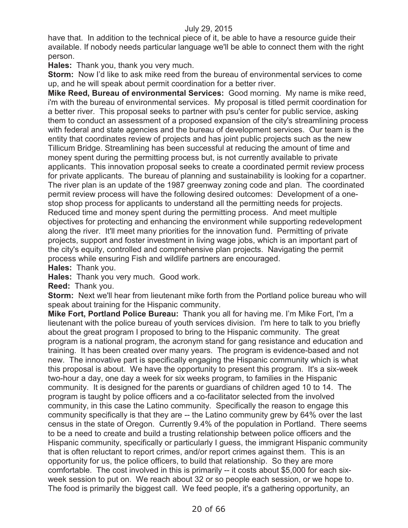have that. In addition to the technical piece of it, be able to have a resource guide their available. If nobody needs particular language we'll be able to connect them with the right person.

**Hales:** Thank you, thank you very much.

**Storm:** Now I'd like to ask mike reed from the bureau of environmental services to come up, and he will speak about permit coordination for a better river.

**Mike Reed, Bureau of environmental Services:** Good morning. My name is mike reed, i'm with the bureau of environmental services. My proposal is titled permit coordination for a better river. This proposal seeks to partner with psu's center for public service, asking them to conduct an assessment of a proposed expansion of the city's streamlining process with federal and state agencies and the bureau of development services. Our team is the entity that coordinates review of projects and has joint public projects such as the new Tillicum Bridge. Streamlining has been successful at reducing the amount of time and money spent during the permitting process but, is not currently available to private applicants. This innovation proposal seeks to create a coordinated permit review process for private applicants. The bureau of planning and sustainability is looking for a copartner. The river plan is an update of the 1987 greenway zoning code and plan. The coordinated permit review process will have the following desired outcomes: Development of a onestop shop process for applicants to understand all the permitting needs for projects. Reduced time and money spent during the permitting process. And meet multiple objectives for protecting and enhancing the environment while supporting redevelopment along the river. It'll meet many priorities for the innovation fund. Permitting of private projects, support and foster investment in living wage jobs, which is an important part of the city's equity, controlled and comprehensive plan projects. Navigating the permit process while ensuring Fish and wildlife partners are encouraged.

**Hales:** Thank you.

**Hales:** Thank you very much. Good work.

**Reed:** Thank you.

**Storm:** Next we'll hear from lieutenant mike forth from the Portland police bureau who will speak about training for the Hispanic community.

**Mike Fort, Portland Police Bureau:** Thank you all for having me. I'm Mike Fort, I'm a lieutenant with the police bureau of youth services division. I'm here to talk to you briefly about the great program I proposed to bring to the Hispanic community. The great program is a national program, the acronym stand for gang resistance and education and training. It has been created over many years. The program is evidence-based and not new. The innovative part is specifically engaging the Hispanic community which is what this proposal is about. We have the opportunity to present this program. It's a six-week two-hour a day, one day a week for six weeks program, to families in the Hispanic community. It is designed for the parents or guardians of children aged 10 to 14. The program is taught by police officers and a co-facilitator selected from the involved community, in this case the Latino community. Specifically the reason to engage this community specifically is that they are -- the Latino community grew by 64% over the last census in the state of Oregon. Currently 9.4% of the population in Portland. There seems to be a need to create and build a trusting relationship between police officers and the Hispanic community, specifically or particularly I guess, the immigrant Hispanic community that is often reluctant to report crimes, and/or report crimes against them. This is an opportunity for us, the police officers, to build that relationship. So they are more comfortable. The cost involved in this is primarily -- it costs about \$5,000 for each sixweek session to put on. We reach about 32 or so people each session, or we hope to. The food is primarily the biggest call. We feed people, it's a gathering opportunity, an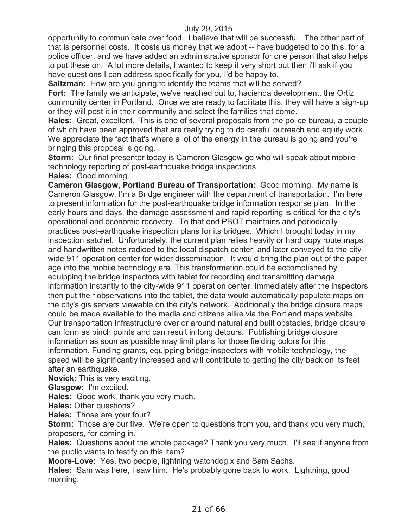opportunity to communicate over food. I believe that will be successful. The other part of that is personnel costs. It costs us money that we adopt -- have budgeted to do this, for a police officer, and we have added an administrative sponsor for one person that also helps to put these on. A lot more details, I wanted to keep it very short but then i'll ask if you have questions I can address specifically for you, I'd be happy to.

**Saltzman:** How are you going to identify the teams that will be served?

**Fort:** The family we anticipate, we've reached out to, hacienda development, the Ortiz community center in Portland. Once we are ready to facilitate this, they will have a sign-up or they will post it in their community and select the families that come.

**Hales:** Great, excellent. This is one of several proposals from the police bureau, a couple of which have been approved that are really trying to do careful outreach and equity work. We appreciate the fact that's where a lot of the energy in the bureau is going and you're bringing this proposal is going.

**Storm:** Our final presenter today is Cameron Glasgow go who will speak about mobile technology reporting of post-earthquake bridge inspections. **Hales:** Good morning.

**Cameron Glasgow, Portland Bureau of Transportation:** Good morning. My name is Cameron Glasgow, I'm a Bridge engineer with the department of transportation. I'm here to present information for the post-earthquake bridge information response plan. In the early hours and days, the damage assessment and rapid reporting is critical for the city's operational and economic recovery. To that end PBOT maintains and periodically practices post-earthquake inspection plans for its bridges. Which I brought today in my inspection satchel. Unfortunately, the current plan relies heavily or hard copy route maps and handwritten notes radioed to the local dispatch center, and later conveyed to the citywide 911 operation center for wider dissemination. It would bring the plan out of the paper age into the mobile technology era. This transformation could be accomplished by equipping the bridge inspectors with tablet for recording and transmitting damage information instantly to the city-wide 911 operation center. Immediately after the inspectors then put their observations into the tablet, the data would automatically populate maps on the city's gis servers viewable on the city's network. Additionally the bridge closure maps could be made available to the media and citizens alike via the Portland maps website. Our transportation infrastructure over or around natural and built obstacles, bridge closure can form as pinch points and can result in long detours. Publishing bridge closure information as soon as possible may limit plans for those fielding colors for this information. Funding grants, equipping bridge inspectors with mobile technology, the speed will be significantly increased and will contribute to getting the city back on its feet after an earthquake.

**Novick:** This is very exciting.

**Glasgow:** I'm excited.

**Hales:** Good work, thank you very much.

**Hales:** Other questions?

**Hales:** Those are your four?

**Storm:** Those are our five. We're open to questions from you, and thank you very much, proposers, for coming in.

**Hales:** Questions about the whole package? Thank you very much. I'll see if anyone from the public wants to testify on this item?

**Moore-Love:** Yes, two people, lightning watchdog x and Sam Sachs.

**Hales:** Sam was here, I saw him. He's probably gone back to work. Lightning, good morning.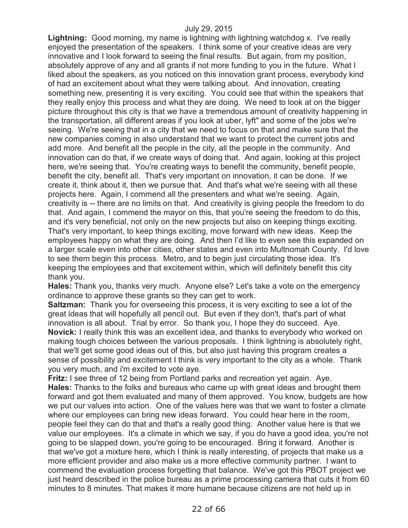**Lightning:** Good morning, my name is lightning with lightning watchdog x. I've really enjoyed the presentation of the speakers. I think some of your creative ideas are very innovative and I look forward to seeing the final results. But again, from my position, absolutely approve of any and all grants if not more funding to you in the future. What I liked about the speakers, as you noticed on this innovation grant process, everybody kind of had an excitement about what they were talking about. And innovation, creating something new, presenting it is very exciting. You could see that within the speakers that they really enjoy this process and what they are doing. We need to look at on the bigger picture throughout this city is that we have a tremendous amount of creativity happening in the transportation, all different areas if you look at uber, lyft" and some of the jobs we're seeing. We're seeing that in a city that we need to focus on that and make sure that the new companies coming in also understand that we want to protect the current jobs and add more. And benefit all the people in the city, all the people in the community. And innovation can do that, if we create ways of doing that. And again, looking at this project here, we're seeing that. You're creating ways to benefit the community, benefit people, benefit the city, benefit all. That's very important on innovation, it can be done. If we create it, think about it, then we pursue that. And that's what we're seeing with all these projects here. Again, I commend all the presenters and what we're seeing. Again, creativity is -- there are no limits on that. And creativity is giving people the freedom to do that. And again, I commend the mayor on this, that you're seeing the freedom to do this, and it's very beneficial, not only on the new projects but also on keeping things exciting. That's very important, to keep things exciting, move forward with new ideas. Keep the employees happy on what they are doing. And then I'd like to even see this expanded on a larger scale even into other cities, other states and even into Multnomah County. I'd love to see them begin this process. Metro, and to begin just circulating those idea. It's keeping the employees and that excitement within, which will definitely benefit this city thank you.

**Hales:** Thank you, thanks very much. Anyone else? Let's take a vote on the emergency ordinance to approve these grants so they can get to work.

**Saltzman:** Thank you for overseeing this process, it is very exciting to see a lot of the great ideas that will hopefully all pencil out. But even if they don't, that's part of what innovation is all about. Trial by error. So thank you, I hope they do succeed. Aye. **Novick:** I really think this was an excellent idea, and thanks to everybody who worked on making tough choices between the various proposals. I think lightning is absolutely right, that we'll get some good ideas out of this, but also just having this program creates a sense of possibility and excitement I think is very important to the city as a whole. Thank you very much, and i'm excited to vote aye.

**Fritz:** I see three of 12 being from Portland parks and recreation yet again. Aye. **Hales:** Thanks to the folks and bureaus who came up with great ideas and brought them forward and got them evaluated and many of them approved. You know, budgets are how we put our values into action. One of the values here was that we want to foster a climate where our employees can bring new ideas forward. You could hear here in the room, people feel they can do that and that's a really good thing. Another value here is that we value our employees. It's a climate in which we say, if you do have a good idea, you're not going to be slapped down, you're going to be encouraged. Bring it forward. Another is that we've got a mixture here, which I think is really interesting, of projects that make us a more efficient provider and also make us a more effective community partner. I want to commend the evaluation process forgetting that balance. We've got this PBOT project we just heard described in the police bureau as a prime processing camera that cuts it from 60 minutes to 8 minutes. That makes it more humane because citizens are not held up in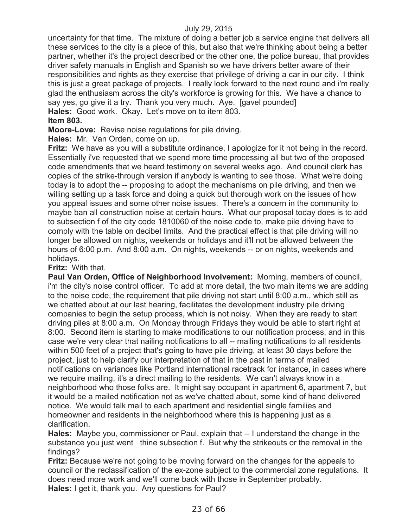uncertainty for that time. The mixture of doing a better job a service engine that delivers all these services to the city is a piece of this, but also that we're thinking about being a better partner, whether it's the project described or the other one, the police bureau, that provides driver safety manuals in English and Spanish so we have drivers better aware of their responsibilities and rights as they exercise that privilege of driving a car in our city. I think this is just a great package of projects. I really look forward to the next round and i'm really glad the enthusiasm across the city's workforce is growing for this. We have a chance to say yes, go give it a try. Thank you very much. Aye. [gavel pounded] **Hales:** Good work. Okay. Let's move on to item 803.

### **Item 803.**

**Moore-Love:** Revise noise regulations for pile driving.

**Hales:** Mr. Van Orden, come on up.

**Fritz:** We have as you will a substitute ordinance, I apologize for it not being in the record. Essentially i've requested that we spend more time processing all but two of the proposed code amendments that we heard testimony on several weeks ago. And council clerk has copies of the strike-through version if anybody is wanting to see those. What we're doing today is to adopt the -- proposing to adopt the mechanisms on pile driving, and then we willing setting up a task force and doing a quick but thorough work on the issues of how you appeal issues and some other noise issues. There's a concern in the community to maybe ban all construction noise at certain hours. What our proposal today does is to add to subsection f of the city code 1810060 of the noise code to, make pile driving have to comply with the table on decibel limits. And the practical effect is that pile driving will no longer be allowed on nights, weekends or holidays and it'll not be allowed between the hours of 6:00 p.m. And 8:00 a.m. On nights, weekends -- or on nights, weekends and holidays.

### **Fritz:** With that.

**Paul Van Orden, Office of Neighborhood Involvement:** Morning, members of council, i'm the city's noise control officer. To add at more detail, the two main items we are adding to the noise code, the requirement that pile driving not start until 8:00 a.m., which still as we chatted about at our last hearing, facilitates the development industry pile driving companies to begin the setup process, which is not noisy. When they are ready to start driving piles at 8:00 a.m. On Monday through Fridays they would be able to start right at 8:00. Second item is starting to make modifications to our notification process, and in this case we're very clear that nailing notifications to all -- mailing notifications to all residents within 500 feet of a project that's going to have pile driving, at least 30 days before the project, just to help clarify our interpretation of that in the past in terms of mailed notifications on variances like Portland international racetrack for instance, in cases where we require mailing, it's a direct mailing to the residents. We can't always know in a neighborhood who those folks are. It might say occupant in apartment 6, apartment 7, but it would be a mailed notification not as we've chatted about, some kind of hand delivered notice. We would talk mail to each apartment and residential single families and homeowner and residents in the neighborhood where this is happening just as a clarification.

**Hales:** Maybe you, commissioner or Paul, explain that -- I understand the change in the substance you just went thine subsection f. But why the strikeouts or the removal in the findings?

**Fritz:** Because we're not going to be moving forward on the changes for the appeals to council or the reclassification of the ex-zone subject to the commercial zone regulations. It does need more work and we'll come back with those in September probably. **Hales:** I get it, thank you. Any questions for Paul?

23 of 66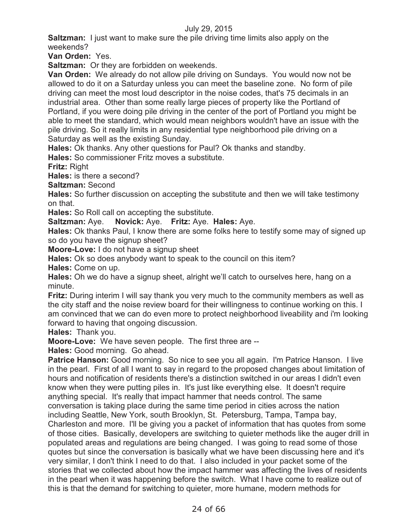**Saltzman:** I just want to make sure the pile driving time limits also apply on the weekends?

**Van Orden:** Yes.

**Saltzman:** Or they are forbidden on weekends.

**Van Orden:** We already do not allow pile driving on Sundays. You would now not be allowed to do it on a Saturday unless you can meet the baseline zone. No form of pile driving can meet the most loud descriptor in the noise codes, that's 75 decimals in an industrial area. Other than some really large pieces of property like the Portland of Portland, if you were doing pile driving in the center of the port of Portland you might be able to meet the standard, which would mean neighbors wouldn't have an issue with the pile driving. So it really limits in any residential type neighborhood pile driving on a Saturday as well as the existing Sunday.

**Hales:** Ok thanks. Any other questions for Paul? Ok thanks and standby.

**Hales:** So commissioner Fritz moves a substitute.

**Fritz:** Right

**Hales:** is there a second?

**Saltzman:** Second

**Hales:** So further discussion on accepting the substitute and then we will take testimony on that.

**Hales:** So Roll call on accepting the substitute.

**Saltzman:** Aye. **Novick:** Aye. **Fritz:** Aye. **Hales:** Aye.

**Hales:** Ok thanks Paul, I know there are some folks here to testify some may of signed up so do you have the signup sheet?

**Moore-Love:** I do not have a signup sheet

**Hales:** Ok so does anybody want to speak to the council on this item?

**Hales:** Come on up.

**Hales:** Oh we do have a signup sheet, alright we'll catch to ourselves here, hang on a minute.

**Fritz:** During interim I will say thank you very much to the community members as well as the city staff and the noise review board for their willingness to continue working on this. I am convinced that we can do even more to protect neighborhood liveability and i'm looking forward to having that ongoing discussion.

**Hales:** Thank you.

**Moore-Love:** We have seven people. The first three are --

**Hales:** Good morning. Go ahead.

**Patrice Hanson:** Good morning. So nice to see you all again. I'm Patrice Hanson. I live in the pearl. First of all I want to say in regard to the proposed changes about limitation of hours and notification of residents there's a distinction switched in our areas I didn't even know when they were putting piles in. It's just like everything else. It doesn't require anything special. It's really that impact hammer that needs control. The same conversation is taking place during the same time period in cities across the nation including Seattle, New York, south Brooklyn, St. Petersburg, Tampa, Tampa bay, Charleston and more. I'll be giving you a packet of information that has quotes from some of those cities. Basically, developers are switching to quieter methods like the auger drill in populated areas and regulations are being changed. I was going to read some of those quotes but since the conversation is basically what we have been discussing here and it's very similar, I don't think I need to do that. I also included in your packet some of the stories that we collected about how the impact hammer was affecting the lives of residents in the pearl when it was happening before the switch. What I have come to realize out of this is that the demand for switching to quieter, more humane, modern methods for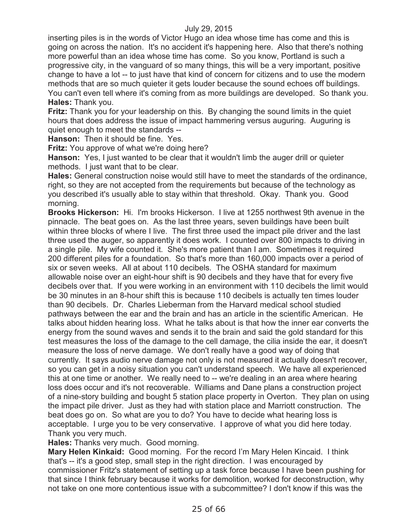inserting piles is in the words of Victor Hugo an idea whose time has come and this is going on across the nation. It's no accident it's happening here. Also that there's nothing more powerful than an idea whose time has come. So you know, Portland is such a progressive city, in the vanguard of so many things, this will be a very important, positive change to have a lot -- to just have that kind of concern for citizens and to use the modern methods that are so much quieter it gets louder because the sound echoes off buildings. You can't even tell where it's coming from as more buildings are developed. So thank you. **Hales:** Thank you.

**Fritz:** Thank you for your leadership on this. By changing the sound limits in the quiet hours that does address the issue of impact hammering versus auguring. Auguring is quiet enough to meet the standards --

**Hanson:** Then it should be fine. Yes.

**Fritz:** You approve of what we're doing here?

**Hanson:** Yes, I just wanted to be clear that it wouldn't limb the auger drill or quieter methods. I just want that to be clear.

**Hales:** General construction noise would still have to meet the standards of the ordinance, right, so they are not accepted from the requirements but because of the technology as you described it's usually able to stay within that threshold. Okay. Thank you. Good morning.

**Brooks Hickerson:** Hi. I'm brooks Hickerson. I live at 1255 northwest 9th avenue in the pinnacle. The beat goes on. As the last three years, seven buildings have been built within three blocks of where I live. The first three used the impact pile driver and the last three used the auger, so apparently it does work. I counted over 800 impacts to driving in a single pile. My wife counted it. She's more patient than I am. Sometimes it required 200 different piles for a foundation. So that's more than 160,000 impacts over a period of six or seven weeks. All at about 110 decibels. The OSHA standard for maximum allowable noise over an eight-hour shift is 90 decibels and they have that for every five decibels over that. If you were working in an environment with 110 decibels the limit would be 30 minutes in an 8-hour shift this is because 110 decibels is actually ten times louder than 90 decibels. Dr. Charles Lieberman from the Harvard medical school studied pathways between the ear and the brain and has an article in the scientific American. He talks about hidden hearing loss. What he talks about is that how the inner ear converts the energy from the sound waves and sends it to the brain and said the gold standard for this test measures the loss of the damage to the cell damage, the cilia inside the ear, it doesn't measure the loss of nerve damage. We don't really have a good way of doing that currently. It says audio nerve damage not only is not measured it actually doesn't recover, so you can get in a noisy situation you can't understand speech. We have all experienced this at one time or another. We really need to -- we're dealing in an area where hearing loss does occur and it's not recoverable. Williams and Dane plans a construction project of a nine-story building and bought 5 station place property in Overton. They plan on using the impact pile driver. Just as they had with station place and Marriott construction. The beat does go on. So what are you to do? You have to decide what hearing loss is acceptable. I urge you to be very conservative. I approve of what you did here today. Thank you very much.

**Hales:** Thanks very much. Good morning.

**Mary Helen Kinkaid:** Good morning. For the record I'm Mary Helen Kincaid. I think that's -- it's a good step, small step in the right direction. I was encouraged by commissioner Fritz's statement of setting up a task force because I have been pushing for that since I think february because it works for demolition, worked for deconstruction, why not take on one more contentious issue with a subcommittee? I don't know if this was the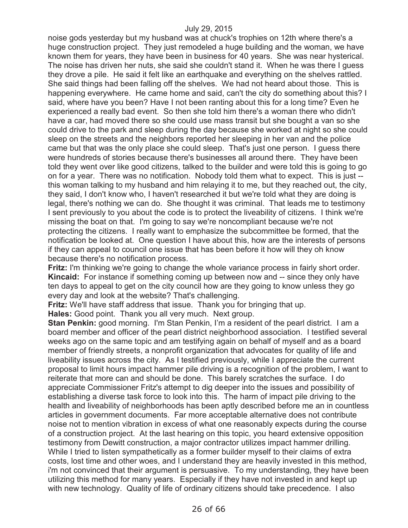noise gods yesterday but my husband was at chuck's trophies on 12th where there's a huge construction project. They just remodeled a huge building and the woman, we have known them for years, they have been in business for 40 years. She was near hysterical. The noise has driven her nuts, she said she couldn't stand it. When he was there I guess they drove a pile. He said it felt like an earthquake and everything on the shelves rattled. She said things had been falling off the shelves. We had not heard about those. This is happening everywhere. He came home and said, can't the city do something about this? I said, where have you been? Have I not been ranting about this for a long time? Even he experienced a really bad event. So then she told him there's a woman there who didn't have a car, had moved there so she could use mass transit but she bought a van so she could drive to the park and sleep during the day because she worked at night so she could sleep on the streets and the neighbors reported her sleeping in her van and the police came but that was the only place she could sleep. That's just one person. I guess there were hundreds of stories because there's businesses all around there. They have been told they went over like good citizens, talked to the builder and were told this is going to go on for a year. There was no notification. Nobody told them what to expect. This is just - this woman talking to my husband and him relaying it to me, but they reached out, the city, they said, I don't know who, I haven't researched it but we're told what they are doing is legal, there's nothing we can do. She thought it was criminal. That leads me to testimony I sent previously to you about the code is to protect the liveability of citizens. I think we're missing the boat on that. I'm going to say we're noncompliant because we're not protecting the citizens. I really want to emphasize the subcommittee be formed, that the notification be looked at. One question I have about this, how are the interests of persons if they can appeal to council one issue that has been before it how will they oh know because there's no notification process.

**Fritz:** I'm thinking we're going to change the whole variance process in fairly short order. **Kincaid:** For instance if something coming up between now and -- since they only have ten days to appeal to get on the city council how are they going to know unless they go every day and look at the website? That's challenging.

**Fritz:** We'll have staff address that issue. Thank you for bringing that up.

**Hales:** Good point. Thank you all very much. Next group.

**Stan Penkin:** good morning. I'm Stan Penkin, I'm a resident of the pearl district. I am a board member and officer of the pearl district neighborhood association. I testified several weeks ago on the same topic and am testifying again on behalf of myself and as a board member of friendly streets, a nonprofit organization that advocates for quality of life and liveability issues across the city. As I testified previously, while I appreciate the current proposal to limit hours impact hammer pile driving is a recognition of the problem, I want to reiterate that more can and should be done. This barely scratches the surface. I do appreciate Commissioner Fritz's attempt to dig deeper into the issues and possibility of establishing a diverse task force to look into this. The harm of impact pile driving to the health and liveability of neighborhoods has been aptly described before me an in countless articles in government documents. Far more acceptable alternative does not contribute noise not to mention vibration in excess of what one reasonably expects during the course of a construction project. At the last hearing on this topic, you heard extensive opposition testimony from Dewitt construction, a major contractor utilizes impact hammer drilling. While I tried to listen sympathetically as a former builder myself to their claims of extra costs, lost time and other woes, and I understand they are heavily invested in this method, i'm not convinced that their argument is persuasive. To my understanding, they have been utilizing this method for many years. Especially if they have not invested in and kept up with new technology. Quality of life of ordinary citizens should take precedence. I also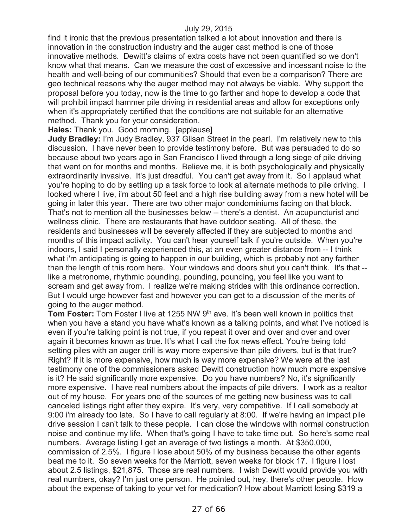find it ironic that the previous presentation talked a lot about innovation and there is innovation in the construction industry and the auger cast method is one of those innovative methods. Dewitt's claims of extra costs have not been quantified so we don't know what that means. Can we measure the cost of excessive and incessant noise to the health and well-being of our communities? Should that even be a comparison? There are geo technical reasons why the auger method may not always be viable. Why support the proposal before you today, now is the time to go farther and hope to develop a code that will prohibit impact hammer pile driving in residential areas and allow for exceptions only when it's appropriately certified that the conditions are not suitable for an alternative method. Thank you for your consideration.

**Hales:** Thank you. Good morning. [applause]

**Judy Bradley:** I'm Judy Bradley, 937 Glisan Street in the pearl. I'm relatively new to this discussion. I have never been to provide testimony before. But was persuaded to do so because about two years ago in San Francisco I lived through a long siege of pile driving that went on for months and months. Believe me, it is both psychologically and physically extraordinarily invasive. It's just dreadful. You can't get away from it. So I applaud what you're hoping to do by setting up a task force to look at alternate methods to pile driving. I looked where I live, i'm about 50 feet and a high rise building away from a new hotel will be going in later this year. There are two other major condominiums facing on that block. That's not to mention all the businesses below -- there's a dentist. An acupuncturist and wellness clinic. There are restaurants that have outdoor seating. All of these, the residents and businesses will be severely affected if they are subjected to months and months of this impact activity. You can't hear yourself talk if you're outside. When you're indoors, I said I personally experienced this, at an even greater distance from -- I think what i'm anticipating is going to happen in our building, which is probably not any farther than the length of this room here. Your windows and doors shut you can't think. It's that - like a metronome, rhythmic pounding, pounding, pounding, you feel like you want to scream and get away from. I realize we're making strides with this ordinance correction. But I would urge however fast and however you can get to a discussion of the merits of going to the auger method.

**Tom Foster:** Tom Foster I live at 1255 NW 9<sup>th</sup> ave. It's been well known in politics that when you have a stand you have what's known as a talking points, and what I've noticed is even if you're talking point is not true, if you repeat it over and over and over and over again it becomes known as true. It's what I call the fox news effect. You're being told setting piles with an auger drill is way more expensive than pile drivers, but is that true? Right? If it is more expensive, how much is way more expensive? We were at the last testimony one of the commissioners asked Dewitt construction how much more expensive is it? He said significantly more expensive. Do you have numbers? No, it's significantly more expensive. I have real numbers about the impacts of pile drivers. I work as a realtor out of my house. For years one of the sources of me getting new business was to call canceled listings right after they expire. It's very, very competitive. If I call somebody at 9:00 i'm already too late. So I have to call regularly at 8:00. If we're having an impact pile drive session I can't talk to these people. I can close the windows with normal construction noise and continue my life. When that's going I have to take time out. So here's some real numbers. Average listing I get an average of two listings a month. At \$350,000, commission of 2.5%. I figure I lose about 50% of my business because the other agents beat me to it. So seven weeks for the Marriott, seven weeks for block 17. I figure I lost about 2.5 listings, \$21,875. Those are real numbers. I wish Dewitt would provide you with real numbers, okay? I'm just one person. He pointed out, hey, there's other people. How about the expense of taking to your vet for medication? How about Marriott losing \$319 a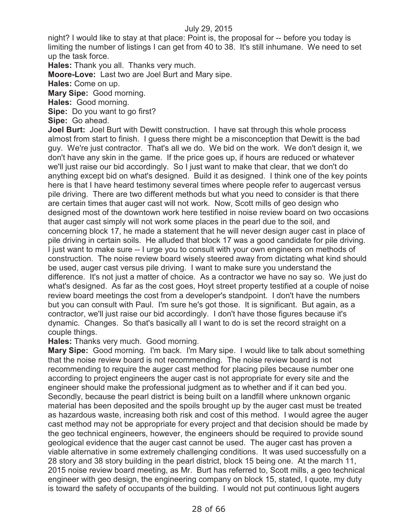night? I would like to stay at that place: Point is, the proposal for -- before you today is limiting the number of listings I can get from 40 to 38. It's still inhumane. We need to set up the task force.

**Hales:** Thank you all. Thanks very much.

**Moore-Love:** Last two are Joel Burt and Mary sipe.

**Hales:** Come on up.

**Mary Sipe:** Good morning.

**Hales:** Good morning.

**Sipe:** Do you want to go first?

**Sipe:** Go ahead.

**Joel Burt:** Joel Burt with Dewitt construction. I have sat through this whole process almost from start to finish. I guess there might be a misconception that Dewitt is the bad guy. We're just contractor. That's all we do. We bid on the work. We don't design it, we don't have any skin in the game. If the price goes up, if hours are reduced or whatever we'll just raise our bid accordingly. So I just want to make that clear, that we don't do anything except bid on what's designed. Build it as designed. I think one of the key points here is that I have heard testimony several times where people refer to augercast versus pile driving. There are two different methods but what you need to consider is that there are certain times that auger cast will not work. Now, Scott mills of geo design who designed most of the downtown work here testified in noise review board on two occasions that auger cast simply will not work some places in the pearl due to the soil, and concerning block 17, he made a statement that he will never design auger cast in place of pile driving in certain soils. He alluded that block 17 was a good candidate for pile driving. I just want to make sure -- I urge you to consult with your own engineers on methods of construction. The noise review board wisely steered away from dictating what kind should be used, auger cast versus pile driving. I want to make sure you understand the difference. It's not just a matter of choice. As a contractor we have no say so. We just do what's designed. As far as the cost goes, Hoyt street property testified at a couple of noise review board meetings the cost from a developer's standpoint. I don't have the numbers but you can consult with Paul. I'm sure he's got those. It is significant. But again, as a contractor, we'll just raise our bid accordingly. I don't have those figures because it's dynamic. Changes. So that's basically all I want to do is set the record straight on a couple things.

**Hales:** Thanks very much. Good morning.

**Mary Sipe:** Good morning. I'm back. I'm Mary sipe. I would like to talk about something that the noise review board is not recommending. The noise review board is not recommending to require the auger cast method for placing piles because number one according to project engineers the auger cast is not appropriate for every site and the engineer should make the professional judgment as to whether and if it can bed you. Secondly, because the pearl district is being built on a landfill where unknown organic material has been deposited and the spoils brought up by the auger cast must be treated as hazardous waste, increasing both risk and cost of this method. I would agree the auger cast method may not be appropriate for every project and that decision should be made by the geo technical engineers, however, the engineers should be required to provide sound geological evidence that the auger cast cannot be used. The auger cast has proven a viable alternative in some extremely challenging conditions. It was used successfully on a 28 story and 38 story building in the pearl district, block 15 being one. At the march 11, 2015 noise review board meeting, as Mr. Burt has referred to, Scott mills, a geo technical engineer with geo design, the engineering company on block 15, stated, I quote, my duty is toward the safety of occupants of the building. I would not put continuous light augers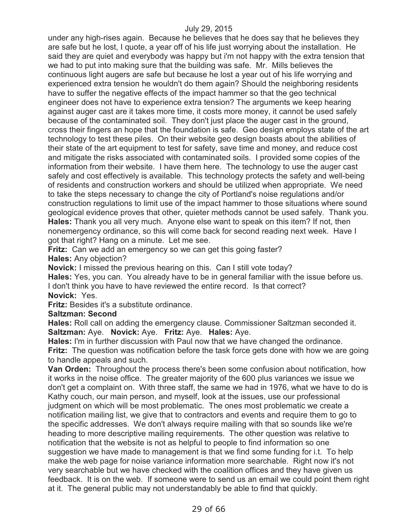under any high-rises again. Because he believes that he does say that he believes they are safe but he lost, I quote, a year off of his life just worrying about the installation. He said they are quiet and everybody was happy but i'm not happy with the extra tension that we had to put into making sure that the building was safe. Mr. Mills believes the continuous light augers are safe but because he lost a year out of his life worrying and experienced extra tension he wouldn't do them again? Should the neighboring residents have to suffer the negative effects of the impact hammer so that the geo technical engineer does not have to experience extra tension? The arguments we keep hearing against auger cast are it takes more time, it costs more money, it cannot be used safely because of the contaminated soil. They don't just place the auger cast in the ground, cross their fingers an hope that the foundation is safe. Geo design employs state of the art technology to test these piles. On their website geo design boasts about the abilities of their state of the art equipment to test for safety, save time and money, and reduce cost and mitigate the risks associated with contaminated soils. I provided some copies of the information from their website. I have them here. The technology to use the auger cast safely and cost effectively is available. This technology protects the safety and well-being of residents and construction workers and should be utilized when appropriate. We need to take the steps necessary to change the city of Portland's noise regulations and/or construction regulations to limit use of the impact hammer to those situations where sound geological evidence proves that other, quieter methods cannot be used safely. Thank you. **Hales:** Thank you all very much. Anyone else want to speak on this item? If not, then nonemergency ordinance, so this will come back for second reading next week. Have I got that right? Hang on a minute. Let me see.

**Fritz:** Can we add an emergency so we can get this going faster?

**Hales:** Any objection?

**Novick:** I missed the previous hearing on this. Can I still vote today?

**Hales:** Yes, you can. You already have to be in general familiar with the issue before us. I don't think you have to have reviewed the entire record. Is that correct? **Novick:** Yes.

**Fritz:** Besides it's a substitute ordinance.

#### **Saltzman: Second**

**Hales:** Roll call on adding the emergency clause. Commissioner Saltzman seconded it. **Saltzman:** Aye. **Novick:** Aye. **Fritz:** Aye. **Hales:** Aye.

**Hales:** I'm in further discussion with Paul now that we have changed the ordinance. **Fritz:** The question was notification before the task force gets done with how we are going to handle appeals and such.

**Van Orden:** Throughout the process there's been some confusion about notification, how it works in the noise office. The greater majority of the 600 plus variances we issue we don't get a complaint on. With three staff, the same we had in 1976, what we have to do is Kathy couch, our main person, and myself, look at the issues, use our professional judgment on which will be most problematic. The ones most problematic we create a notification mailing list, we give that to contractors and events and require them to go to the specific addresses. We don't always require mailing with that so sounds like we're heading to more descriptive mailing requirements. The other question was relative to notification that the website is not as helpful to people to find information so one suggestion we have made to management is that we find some funding for i.t. To help make the web page for noise variance information more searchable. Right now it's not very searchable but we have checked with the coalition offices and they have given us feedback. It is on the web. If someone were to send us an email we could point them right at it. The general public may not understandably be able to find that quickly.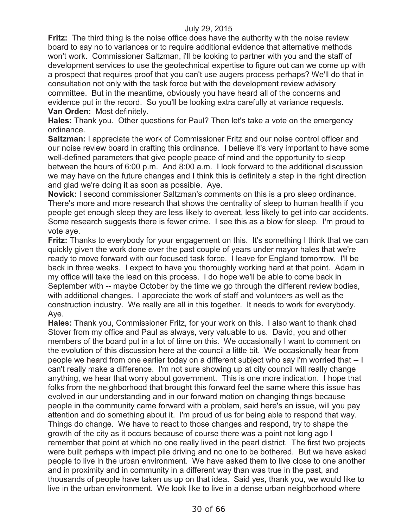**Fritz:** The third thing is the noise office does have the authority with the noise review board to say no to variances or to require additional evidence that alternative methods won't work. Commissioner Saltzman, i'll be looking to partner with you and the staff of development services to use the geotechnical expertise to figure out can we come up with a prospect that requires proof that you can't use augers process perhaps? We'll do that in consultation not only with the task force but with the development review advisory committee. But in the meantime, obviously you have heard all of the concerns and evidence put in the record. So you'll be looking extra carefully at variance requests. **Van Orden:** Most definitely.

**Hales:** Thank you. Other questions for Paul? Then let's take a vote on the emergency ordinance.

**Saltzman:** I appreciate the work of Commissioner Fritz and our noise control officer and our noise review board in crafting this ordinance. I believe it's very important to have some well-defined parameters that give people peace of mind and the opportunity to sleep between the hours of 6:00 p.m. And 8:00 a.m. I look forward to the additional discussion we may have on the future changes and I think this is definitely a step in the right direction and glad we're doing it as soon as possible. Aye.

**Novick:** I second commissioner Saltzman's comments on this is a pro sleep ordinance. There's more and more research that shows the centrality of sleep to human health if you people get enough sleep they are less likely to overeat, less likely to get into car accidents. Some research suggests there is fewer crime. I see this as a blow for sleep. I'm proud to vote aye.

**Fritz:** Thanks to everybody for your engagement on this. It's something I think that we can quickly given the work done over the past couple of years under mayor hales that we're ready to move forward with our focused task force. I leave for England tomorrow. I'll be back in three weeks. I expect to have you thoroughly working hard at that point. Adam in my office will take the lead on this process. I do hope we'll be able to come back in September with -- maybe October by the time we go through the different review bodies, with additional changes. I appreciate the work of staff and volunteers as well as the construction industry. We really are all in this together. It needs to work for everybody. Aye.

**Hales:** Thank you, Commissioner Fritz, for your work on this. I also want to thank chad Stover from my office and Paul as always, very valuable to us. David, you and other members of the board put in a lot of time on this. We occasionally I want to comment on the evolution of this discussion here at the council a little bit. We occasionally hear from people we heard from one earlier today on a different subject who say i'm worried that -- I can't really make a difference. I'm not sure showing up at city council will really change anything, we hear that worry about government. This is one more indication. I hope that folks from the neighborhood that brought this forward feel the same where this issue has evolved in our understanding and in our forward motion on changing things because people in the community came forward with a problem, said here's an issue, will you pay attention and do something about it. I'm proud of us for being able to respond that way. Things do change. We have to react to those changes and respond, try to shape the growth of the city as it occurs because of course there was a point not long ago I remember that point at which no one really lived in the pearl district. The first two projects were built perhaps with impact pile driving and no one to be bothered. But we have asked people to live in the urban environment. We have asked them to live close to one another and in proximity and in community in a different way than was true in the past, and thousands of people have taken us up on that idea. Said yes, thank you, we would like to live in the urban environment. We look like to live in a dense urban neighborhood where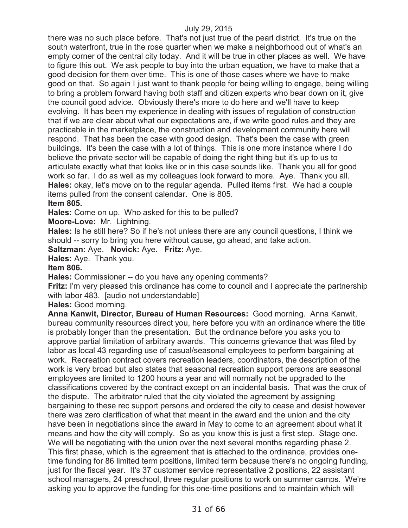there was no such place before. That's not just true of the pearl district. It's true on the south waterfront, true in the rose quarter when we make a neighborhood out of what's an empty corner of the central city today. And it will be true in other places as well. We have to figure this out. We ask people to buy into the urban equation, we have to make that a good decision for them over time. This is one of those cases where we have to make good on that. So again I just want to thank people for being willing to engage, being willing to bring a problem forward having both staff and citizen experts who bear down on it, give the council good advice. Obviously there's more to do here and we'll have to keep evolving. It has been my experience in dealing with issues of regulation of construction that if we are clear about what our expectations are, if we write good rules and they are practicable in the marketplace, the construction and development community here will respond. That has been the case with good design. That's been the case with green buildings. It's been the case with a lot of things. This is one more instance where I do believe the private sector will be capable of doing the right thing but it's up to us to articulate exactly what that looks like or in this case sounds like. Thank you all for good work so far. I do as well as my colleagues look forward to more. Aye. Thank you all. **Hales:** okay, let's move on to the regular agenda. Pulled items first. We had a couple items pulled from the consent calendar. One is 805.

**Item 805.**

**Hales:** Come on up. Who asked for this to be pulled?

**Moore-Love:** Mr. Lightning.

**Hales:** Is he still here? So if he's not unless there are any council questions, I think we should -- sorry to bring you here without cause, go ahead, and take action.

**Saltzman:** Aye. **Novick:** Aye. **Fritz:** Aye.

**Hales:** Aye. Thank you.

#### **Item 806.**

**Hales:** Commissioner -- do you have any opening comments?

**Fritz:** I'm very pleased this ordinance has come to council and I appreciate the partnership with labor 483. [audio not understandable]

**Hales:** Good morning.

**Anna Kanwit, Director, Bureau of Human Resources:** Good morning. Anna Kanwit, bureau community resources direct you, here before you with an ordinance where the title is probably longer than the presentation. But the ordinance before you asks you to approve partial limitation of arbitrary awards. This concerns grievance that was filed by labor as local 43 regarding use of casual/seasonal employees to perform bargaining at work. Recreation contract covers recreation leaders, coordinators, the description of the work is very broad but also states that seasonal recreation support persons are seasonal employees are limited to 1200 hours a year and will normally not be upgraded to the classifications covered by the contract except on an incidental basis. That was the crux of the dispute. The arbitrator ruled that the city violated the agreement by assigning bargaining to these rec support persons and ordered the city to cease and desist however there was zero clarification of what that meant in the award and the union and the city have been in negotiations since the award in May to come to an agreement about what it means and how the city will comply. So as you know this is just a first step. Stage one. We will be negotiating with the union over the next several months regarding phase 2. This first phase, which is the agreement that is attached to the ordinance, provides onetime funding for 86 limited term positions, limited term because there's no ongoing funding, just for the fiscal year. It's 37 customer service representative 2 positions, 22 assistant school managers, 24 preschool, three regular positions to work on summer camps. We're asking you to approve the funding for this one-time positions and to maintain which will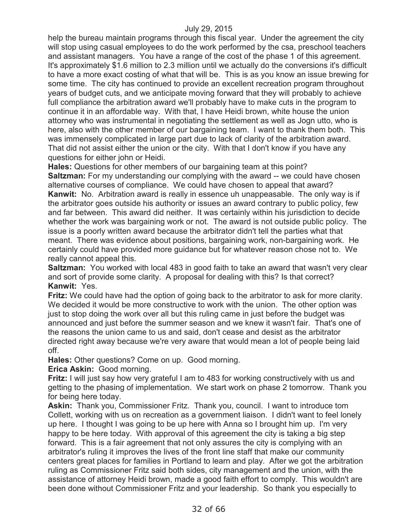help the bureau maintain programs through this fiscal year. Under the agreement the city will stop using casual employees to do the work performed by the csa, preschool teachers and assistant managers. You have a range of the cost of the phase 1 of this agreement. It's approximately \$1.6 million to 2.3 million until we actually do the conversions it's difficult to have a more exact costing of what that will be. This is as you know an issue brewing for some time. The city has continued to provide an excellent recreation program throughout years of budget cuts, and we anticipate moving forward that they will probably to achieve full compliance the arbitration award we'll probably have to make cuts in the program to continue it in an affordable way. With that, I have Heidi brown, white house the union attorney who was instrumental in negotiating the settlement as well as Jogn utto, who is here, also with the other member of our bargaining team. I want to thank them both. This was immensely complicated in large part due to lack of clarity of the arbitration award. That did not assist either the union or the city. With that I don't know if you have any questions for either john or Heidi.

**Hales:** Questions for other members of our bargaining team at this point? **Saltzman:** For my understanding our complying with the award -- we could have chosen alternative courses of compliance. We could have chosen to appeal that award? **Kanwit:** No. Arbitration award is really in essence uh unappeasable. The only way is if the arbitrator goes outside his authority or issues an award contrary to public policy, few and far between. This award did neither. It was certainly within his jurisdiction to decide whether the work was bargaining work or not. The award is not outside public policy. The issue is a poorly written award because the arbitrator didn't tell the parties what that meant. There was evidence about positions, bargaining work, non-bargaining work. He certainly could have provided more guidance but for whatever reason chose not to. We really cannot appeal this.

**Saltzman:** You worked with local 483 in good faith to take an award that wasn't very clear and sort of provide some clarity. A proposal for dealing with this? Is that correct? **Kanwit:** Yes.

**Fritz:** We could have had the option of going back to the arbitrator to ask for more clarity. We decided it would be more constructive to work with the union. The other option was just to stop doing the work over all but this ruling came in just before the budget was announced and just before the summer season and we knew it wasn't fair. That's one of the reasons the union came to us and said, don't cease and desist as the arbitrator directed right away because we're very aware that would mean a lot of people being laid off.

**Hales:** Other questions? Come on up. Good morning.

**Erica Askin:** Good morning.

**Fritz:** I will just say how very grateful I am to 483 for working constructively with us and getting to the phasing of implementation. We start work on phase 2 tomorrow. Thank you for being here today.

**Askin:** Thank you, Commissioner Fritz. Thank you, council. I want to introduce tom Collett, working with us on recreation as a government liaison. I didn't want to feel lonely up here. I thought I was going to be up here with Anna so I brought him up. I'm very happy to be here today. With approval of this agreement the city is taking a big step forward. This is a fair agreement that not only assures the city is complying with an arbitrator's ruling it improves the lives of the front line staff that make our community centers great places for families in Portland to learn and play. After we got the arbitration ruling as Commissioner Fritz said both sides, city management and the union, with the assistance of attorney Heidi brown, made a good faith effort to comply. This wouldn't are been done without Commissioner Fritz and your leadership. So thank you especially to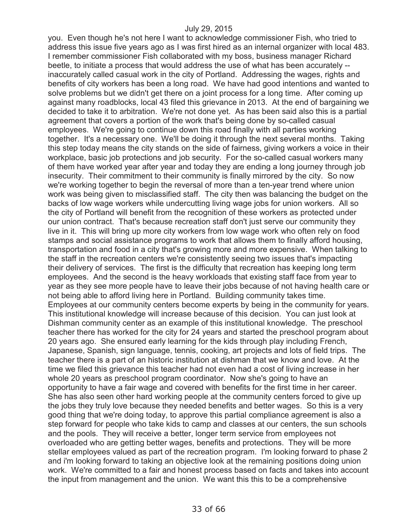you. Even though he's not here I want to acknowledge commissioner Fish, who tried to address this issue five years ago as I was first hired as an internal organizer with local 483. I remember commissioner Fish collaborated with my boss, business manager Richard beetle, to initiate a process that would address the use of what has been accurately - inaccurately called casual work in the city of Portland. Addressing the wages, rights and benefits of city workers has been a long road. We have had good intentions and wanted to solve problems but we didn't get there on a joint process for a long time. After coming up against many roadblocks, local 43 filed this grievance in 2013. At the end of bargaining we decided to take it to arbitration. We're not done yet. As has been said also this is a partial agreement that covers a portion of the work that's being done by so-called casual employees. We're going to continue down this road finally with all parties working together. It's a necessary one. We'll be doing it through the next several months. Taking this step today means the city stands on the side of fairness, giving workers a voice in their workplace, basic job protections and job security. For the so-called casual workers many of them have worked year after year and today they are ending a long journey through job insecurity. Their commitment to their community is finally mirrored by the city. So now we're working together to begin the reversal of more than a ten-year trend where union work was being given to misclassified staff. The city then was balancing the budget on the backs of low wage workers while undercutting living wage jobs for union workers. All so the city of Portland will benefit from the recognition of these workers as protected under our union contract. That's because recreation staff don't just serve our community they live in it. This will bring up more city workers from low wage work who often rely on food stamps and social assistance programs to work that allows them to finally afford housing, transportation and food in a city that's growing more and more expensive. When talking to the staff in the recreation centers we're consistently seeing two issues that's impacting their delivery of services. The first is the difficulty that recreation has keeping long term employees. And the second is the heavy workloads that existing staff face from year to year as they see more people have to leave their jobs because of not having health care or not being able to afford living here in Portland. Building community takes time. Employees at our community centers become experts by being in the community for years. This institutional knowledge will increase because of this decision. You can just look at Dishman community center as an example of this institutional knowledge. The preschool teacher there has worked for the city for 24 years and started the preschool program about 20 years ago. She ensured early learning for the kids through play including French, Japanese, Spanish, sign language, tennis, cooking, art projects and lots of field trips. The teacher there is a part of an historic institution at dishman that we know and love. At the time we filed this grievance this teacher had not even had a cost of living increase in her whole 20 years as preschool program coordinator. Now she's going to have an opportunity to have a fair wage and covered with benefits for the first time in her career. She has also seen other hard working people at the community centers forced to give up the jobs they truly love because they needed benefits and better wages. So this is a very good thing that we're doing today, to approve this partial compliance agreement is also a step forward for people who take kids to camp and classes at our centers, the sun schools and the pools. They will receive a better, longer term service from employees not overloaded who are getting better wages, benefits and protections. They will be more stellar employees valued as part of the recreation program. I'm looking forward to phase 2 and i'm looking forward to taking an objective look at the remaining positions doing union work. We're committed to a fair and honest process based on facts and takes into account the input from management and the union. We want this this to be a comprehensive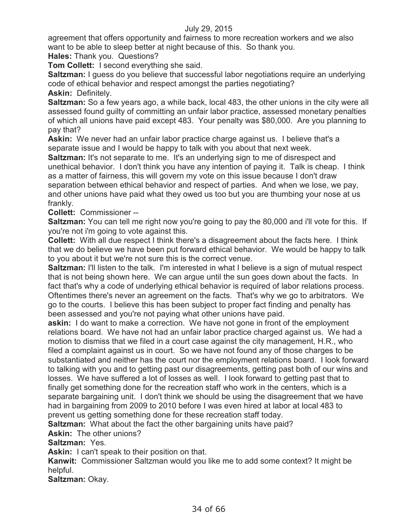agreement that offers opportunity and fairness to more recreation workers and we also want to be able to sleep better at night because of this. So thank you.

**Hales:** Thank you. Questions?

**Tom Collett:** I second everything she said.

**Saltzman:** I guess do you believe that successful labor negotiations require an underlying code of ethical behavior and respect amongst the parties negotiating?

**Askin:** Definitely.

**Saltzman:** So a few years ago, a while back, local 483, the other unions in the city were all assessed found guilty of committing an unfair labor practice, assessed monetary penalties of which all unions have paid except 483. Your penalty was \$80,000. Are you planning to pay that?

**Askin:** We never had an unfair labor practice charge against us. I believe that's a separate issue and I would be happy to talk with you about that next week.

**Saltzman:** It's not separate to me. It's an underlying sign to me of disrespect and unethical behavior. I don't think you have any intention of paying it. Talk is cheap. I think as a matter of fairness, this will govern my vote on this issue because I don't draw separation between ethical behavior and respect of parties. And when we lose, we pay, and other unions have paid what they owed us too but you are thumbing your nose at us frankly.

**Collett:** Commissioner --

**Saltzman:** You can tell me right now you're going to pay the 80,000 and i'll vote for this. If you're not i'm going to vote against this.

**Collett:** With all due respect I think there's a disagreement about the facts here. I think that we do believe we have been put forward ethical behavior. We would be happy to talk to you about it but we're not sure this is the correct venue.

**Saltzman:** I'll listen to the talk. I'm interested in what I believe is a sign of mutual respect that is not being shown here. We can argue until the sun goes down about the facts. In fact that's why a code of underlying ethical behavior is required of labor relations process. Oftentimes there's never an agreement on the facts. That's why we go to arbitrators. We go to the courts. I believe this has been subject to proper fact finding and penalty has been assessed and you're not paying what other unions have paid.

**askin:** I do want to make a correction. We have not gone in front of the employment relations board. We have not had an unfair labor practice charged against us. We had a motion to dismiss that we filed in a court case against the city management, H.R., who filed a complaint against us in court. So we have not found any of those charges to be substantiated and neither has the court nor the employment relations board. I look forward to talking with you and to getting past our disagreements, getting past both of our wins and losses. We have suffered a lot of losses as well. I look forward to getting past that to finally get something done for the recreation staff who work in the centers, which is a separate bargaining unit. I don't think we should be using the disagreement that we have had in bargaining from 2009 to 2010 before I was even hired at labor at local 483 to prevent us getting something done for these recreation staff today.

**Saltzman:** What about the fact the other bargaining units have paid?

**Askin:** The other unions?

**Saltzman:** Yes.

**Askin:** I can't speak to their position on that.

**Kanwit:** Commissioner Saltzman would you like me to add some context? It might be helpful.

**Saltzman:** Okay.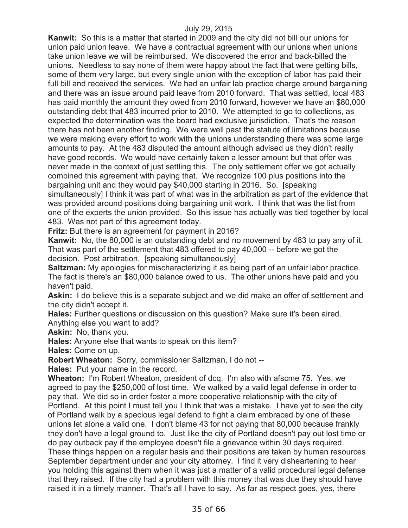**Kanwit:** So this is a matter that started in 2009 and the city did not bill our unions for union paid union leave. We have a contractual agreement with our unions when unions take union leave we will be reimbursed. We discovered the error and back-billed the unions. Needless to say none of them were happy about the fact that were getting bills, some of them very large, but every single union with the exception of labor has paid their full bill and received the services. We had an unfair lab practice charge around bargaining and there was an issue around paid leave from 2010 forward. That was settled, local 483 has paid monthly the amount they owed from 2010 forward, however we have an \$80,000 outstanding debt that 483 incurred prior to 2010. We attempted to go to collections, as expected the determination was the board had exclusive jurisdiction. That's the reason there has not been another finding. We were well past the statute of limitations because we were making every effort to work with the unions understanding there was some large amounts to pay. At the 483 disputed the amount although advised us they didn't really have good records. We would have certainly taken a lesser amount but that offer was never made in the context of just settling this. The only settlement offer we got actually combined this agreement with paying that. We recognize 100 plus positions into the bargaining unit and they would pay \$40,000 starting in 2016. So. [speaking simultaneously] I think it was part of what was in the arbitration as part of the evidence that was provided around positions doing bargaining unit work. I think that was the list from one of the experts the union provided. So this issue has actually was tied together by local 483. Was not part of this agreement today.

**Fritz:** But there is an agreement for payment in 2016?

**Kanwit:** No, the 80,000 is an outstanding debt and no movement by 483 to pay any of it. That was part of the settlement that 483 offered to pay 40,000 -- before we got the decision. Post arbitration. [speaking simultaneously]

**Saltzman:** My apologies for mischaracterizing it as being part of an unfair labor practice. The fact is there's an \$80,000 balance owed to us. The other unions have paid and you haven't paid.

**Askin:** I do believe this is a separate subject and we did make an offer of settlement and the city didn't accept it.

**Hales:** Further questions or discussion on this question? Make sure it's been aired. Anything else you want to add?

**Askin:** No, thank you.

**Hales:** Anyone else that wants to speak on this item?

**Hales:** Come on up.

**Robert Wheaton:** Sorry, commissioner Saltzman, I do not --

**Hales:** Put your name in the record.

**Wheaton:** I'm Robert Wheaton, president of dcq. I'm also with afscme 75. Yes, we agreed to pay the \$250,000 of lost time. We walked by a valid legal defense in order to pay that. We did so in order foster a more cooperative relationship with the city of Portland. At this point I must tell you I think that was a mistake. I have yet to see the city of Portland walk by a specious legal defend to fight a claim embraced by one of these unions let alone a valid one. I don't blame 43 for not paying that 80,000 because frankly they don't have a legal ground to. Just like the city of Portland doesn't pay out lost time or do pay outback pay if the employee doesn't file a grievance within 30 days required. These things happen on a regular basis and their positions are taken by human resources September department under and your city attorney. I find it very disheartening to hear you holding this against them when it was just a matter of a valid procedural legal defense that they raised. If the city had a problem with this money that was due they should have raised it in a timely manner. That's all I have to say. As far as respect goes, yes, there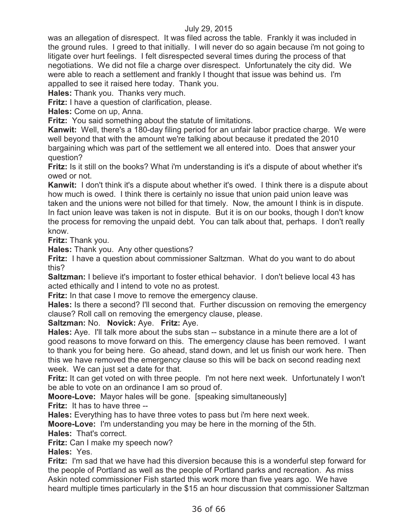was an allegation of disrespect. It was filed across the table. Frankly it was included in the ground rules. I greed to that initially. I will never do so again because i'm not going to litigate over hurt feelings. I felt disrespected several times during the process of that negotiations. We did not file a charge over disrespect. Unfortunately the city did. We were able to reach a settlement and frankly I thought that issue was behind us. I'm appalled to see it raised here today. Thank you.

**Hales:** Thank you. Thanks very much.

**Fritz:** I have a question of clarification, please.

**Hales:** Come on up, Anna.

**Fritz:** You said something about the statute of limitations.

**Kanwit:** Well, there's a 180-day filing period for an unfair labor practice charge. We were well beyond that with the amount we're talking about because it predated the 2010 bargaining which was part of the settlement we all entered into. Does that answer your question?

**Fritz:** Is it still on the books? What i'm understanding is it's a dispute of about whether it's owed or not.

**Kanwit:** I don't think it's a dispute about whether it's owed. I think there is a dispute about how much is owed. I think there is certainly no issue that union paid union leave was taken and the unions were not billed for that timely. Now, the amount I think is in dispute. In fact union leave was taken is not in dispute. But it is on our books, though I don't know the process for removing the unpaid debt. You can talk about that, perhaps. I don't really know.

**Fritz:** Thank you.

**Hales:** Thank you. Any other questions?

**Fritz:** I have a question about commissioner Saltzman. What do you want to do about this?

**Saltzman:** I believe it's important to foster ethical behavior. I don't believe local 43 has acted ethically and I intend to vote no as protest.

**Fritz:** In that case I move to remove the emergency clause.

**Hales:** Is there a second? I'll second that. Further discussion on removing the emergency clause? Roll call on removing the emergency clause, please.

### **Saltzman:** No. **Novick:** Aye. **Fritz:** Aye.

**Hales:** Aye. I'll talk more about the subs stan -- substance in a minute there are a lot of good reasons to move forward on this. The emergency clause has been removed. I want to thank you for being here. Go ahead, stand down, and let us finish our work here. Then this we have removed the emergency clause so this will be back on second reading next week. We can just set a date for that.

**Fritz:** It can get voted on with three people. I'm not here next week. Unfortunately I won't be able to vote on an ordinance I am so proud of.

**Moore-Love:** Mayor hales will be gone. [speaking simultaneously]

**Fritz:** It has to have three --

**Hales:** Everything has to have three votes to pass but i'm here next week.

**Moore-Love:** I'm understanding you may be here in the morning of the 5th.

**Hales:** That's correct.

**Fritz:** Can I make my speech now?

**Hales:** Yes.

**Fritz:** I'm sad that we have had this diversion because this is a wonderful step forward for the people of Portland as well as the people of Portland parks and recreation. As miss Askin noted commissioner Fish started this work more than five years ago. We have heard multiple times particularly in the \$15 an hour discussion that commissioner Saltzman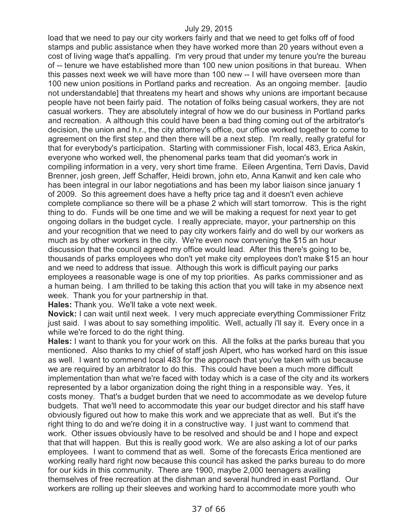load that we need to pay our city workers fairly and that we need to get folks off of food stamps and public assistance when they have worked more than 20 years without even a cost of living wage that's appalling. I'm very proud that under my tenure you're the bureau of -- tenure we have established more than 100 new union positions in that bureau. When this passes next week we will have more than 100 new -- I will have overseen more than 100 new union positions in Portland parks and recreation. As an ongoing member. [audio not understandable] that threatens my heart and shows why unions are important because people have not been fairly paid. The notation of folks being casual workers, they are not casual workers. They are absolutely integral of how we do our business in Portland parks and recreation. A although this could have been a bad thing coming out of the arbitrator's decision, the union and h.r., the city attorney's office, our office worked together to come to agreement on the first step and then there will be a next step. I'm really, really grateful for that for everybody's participation. Starting with commissioner Fish, local 483, Erica Askin, everyone who worked well, the phenomenal parks team that did yeoman's work in compiling information in a very, very short time frame. Eileen Argentina, Terri Davis, David Brenner, josh green, Jeff Schaffer, Heidi brown, john eto, Anna Kanwit and ken cale who has been integral in our labor negotiations and has been my labor liaison since january 1 of 2009. So this agreement does have a hefty price tag and it doesn't even achieve complete compliance so there will be a phase 2 which will start tomorrow. This is the right thing to do. Funds will be one time and we will be making a request for next year to get ongoing dollars in the budget cycle. I really appreciate, mayor, your partnership on this and your recognition that we need to pay city workers fairly and do well by our workers as much as by other workers in the city. We're even now convening the \$15 an hour discussion that the council agreed my office would lead. After this there's going to be, thousands of parks employees who don't yet make city employees don't make \$15 an hour and we need to address that issue. Although this work is difficult paying our parks employees a reasonable wage is one of my top priorities. As parks commissioner and as a human being. I am thrilled to be taking this action that you will take in my absence next week. Thank you for your partnership in that.

**Hales:** Thank you. We'll take a vote next week.

**Novick:** I can wait until next week. I very much appreciate everything Commissioner Fritz just said. I was about to say something impolitic. Well, actually i'll say it. Every once in a while we're forced to do the right thing.

**Hales:** I want to thank you for your work on this. All the folks at the parks bureau that you mentioned. Also thanks to my chief of staff josh Alpert, who has worked hard on this issue as well. I want to commend local 483 for the approach that you've taken with us because we are required by an arbitrator to do this. This could have been a much more difficult implementation than what we're faced with today which is a case of the city and its workers represented by a labor organization doing the right thing in a responsible way. Yes, it costs money. That's a budget burden that we need to accommodate as we develop future budgets. That we'll need to accommodate this year our budget director and his staff have obviously figured out how to make this work and we appreciate that as well. But it's the right thing to do and we're doing it in a constructive way. I just want to commend that work. Other issues obviously have to be resolved and should be and I hope and expect that that will happen. But this is really good work. We are also asking a lot of our parks employees. I want to commend that as well. Some of the forecasts Erica mentioned are working really hard right now because this council has asked the parks bureau to do more for our kids in this community. There are 1900, maybe 2,000 teenagers availing themselves of free recreation at the dishman and several hundred in east Portland. Our workers are rolling up their sleeves and working hard to accommodate more youth who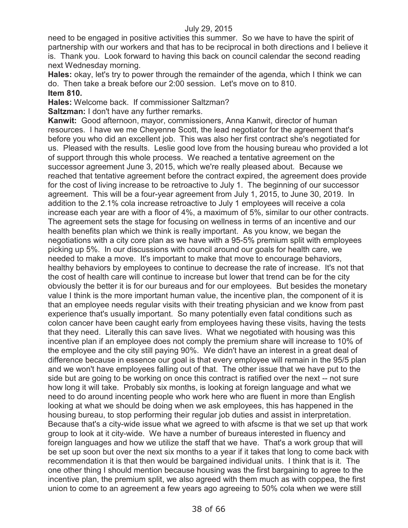need to be engaged in positive activities this summer. So we have to have the spirit of partnership with our workers and that has to be reciprocal in both directions and I believe it is. Thank you. Look forward to having this back on council calendar the second reading next Wednesday morning.

**Hales:** okay, let's try to power through the remainder of the agenda, which I think we can do. Then take a break before our 2:00 session. Let's move on to 810. **Item 810.**

**Hales:** Welcome back. If commissioner Saltzman?

**Saltzman:** I don't have any further remarks.

**Kanwit:** Good afternoon, mayor, commissioners, Anna Kanwit, director of human resources. I have we me Cheyenne Scott, the lead negotiator for the agreement that's before you who did an excellent job. This was also her first contract she's negotiated for us. Pleased with the results. Leslie good love from the housing bureau who provided a lot of support through this whole process. We reached a tentative agreement on the successor agreement June 3, 2015, which we're really pleased about. Because we reached that tentative agreement before the contract expired, the agreement does provide for the cost of living increase to be retroactive to July 1. The beginning of our successor agreement. This will be a four-year agreement from July 1, 2015, to June 30, 2019. In addition to the 2.1% cola increase retroactive to July 1 employees will receive a cola increase each year are with a floor of 4%, a maximum of 5%, similar to our other contracts. The agreement sets the stage for focusing on wellness in terms of an incentive and our health benefits plan which we think is really important. As you know, we began the negotiations with a city core plan as we have with a 95-5% premium split with employees picking up 5%. In our discussions with council around our goals for health care, we needed to make a move. It's important to make that move to encourage behaviors, healthy behaviors by employees to continue to decrease the rate of increase. It's not that the cost of health care will continue to increase but lower that trend can be for the city obviously the better it is for our bureaus and for our employees. But besides the monetary value I think is the more important human value, the incentive plan, the component of it is that an employee needs regular visits with their treating physician and we know from past experience that's usually important. So many potentially even fatal conditions such as colon cancer have been caught early from employees having these visits, having the tests that they need. Literally this can save lives. What we negotiated with housing was this incentive plan if an employee does not comply the premium share will increase to 10% of the employee and the city still paying 90%. We didn't have an interest in a great deal of difference because in essence our goal is that every employee will remain in the 95/5 plan and we won't have employees falling out of that. The other issue that we have put to the side but are going to be working on once this contract is ratified over the next -- not sure how long it will take. Probably six months, is looking at foreign language and what we need to do around incenting people who work here who are fluent in more than English looking at what we should be doing when we ask employees, this has happened in the housing bureau, to stop performing their regular job duties and assist in interpretation. Because that's a city-wide issue what we agreed to with afscme is that we set up that work group to look at it city-wide. We have a number of bureaus interested in fluency and foreign languages and how we utilize the staff that we have. That's a work group that will be set up soon but over the next six months to a year if it takes that long to come back with recommendation it is that then would be bargained individual units. I think that is it. The one other thing I should mention because housing was the first bargaining to agree to the incentive plan, the premium split, we also agreed with them much as with coppea, the first union to come to an agreement a few years ago agreeing to 50% cola when we were still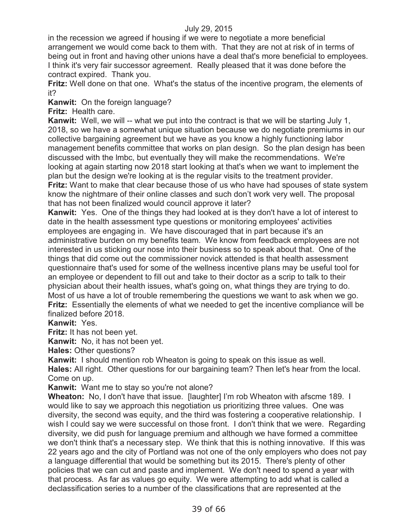in the recession we agreed if housing if we were to negotiate a more beneficial arrangement we would come back to them with. That they are not at risk of in terms of being out in front and having other unions have a deal that's more beneficial to employees. I think it's very fair successor agreement. Really pleased that it was done before the contract expired. Thank you.

**Fritz:** Well done on that one. What's the status of the incentive program, the elements of it?

**Kanwit:** On the foreign language?

**Fritz:** Health care.

**Kanwit:** Well, we will -- what we put into the contract is that we will be starting July 1, 2018, so we have a somewhat unique situation because we do negotiate premiums in our collective bargaining agreement but we have as you know a highly functioning labor management benefits committee that works on plan design. So the plan design has been discussed with the lmbc, but eventually they will make the recommendations. We're looking at again starting now 2018 start looking at that's when we want to implement the plan but the design we're looking at is the regular visits to the treatment provider. **Fritz:** Want to make that clear because those of us who have had spouses of state system know the nightmare of their online classes and such don't work very well. The proposal that has not been finalized would council approve it later?

**Kanwit:** Yes. One of the things they had looked at is they don't have a lot of interest to date in the health assessment type questions or monitoring employees' activities employees are engaging in. We have discouraged that in part because it's an administrative burden on my benefits team. We know from feedback employees are not interested in us sticking our nose into their business so to speak about that. One of the things that did come out the commissioner novick attended is that health assessment questionnaire that's used for some of the wellness incentive plans may be useful tool for an employee or dependent to fill out and take to their doctor as a scrip to talk to their physician about their health issues, what's going on, what things they are trying to do. Most of us have a lot of trouble remembering the questions we want to ask when we go. **Fritz:** Essentially the elements of what we needed to get the incentive compliance will be finalized before 2018.

**Kanwit:** Yes.

**Fritz:** It has not been yet.

**Kanwit:** No, it has not been yet.

**Hales:** Other questions?

**Kanwit:** I should mention rob Wheaton is going to speak on this issue as well.

**Hales:** All right. Other questions for our bargaining team? Then let's hear from the local. Come on up.

**Kanwit:** Want me to stay so you're not alone?

**Wheaton:** No, I don't have that issue. [laughter] I'm rob Wheaton with afscme 189. I would like to say we approach this negotiation us prioritizing three values. One was diversity, the second was equity, and the third was fostering a cooperative relationship. I wish I could say we were successful on those front. I don't think that we were. Regarding diversity, we did push for language premium and although we have formed a committee we don't think that's a necessary step. We think that this is nothing innovative. If this was 22 years ago and the city of Portland was not one of the only employers who does not pay a language differential that would be something but its 2015. There's plenty of other policies that we can cut and paste and implement. We don't need to spend a year with that process. As far as values go equity. We were attempting to add what is called a declassification series to a number of the classifications that are represented at the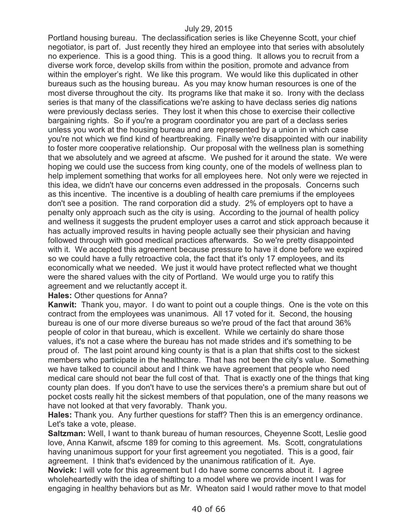Portland housing bureau. The declassification series is like Cheyenne Scott, your chief negotiator, is part of. Just recently they hired an employee into that series with absolutely no experience. This is a good thing. This is a good thing. It allows you to recruit from a diverse work force, develop skills from within the position, promote and advance from within the employer's right. We like this program. We would like this duplicated in other bureaus such as the housing bureau. As you may know human resources is one of the most diverse throughout the city. Its programs like that make it so. Irony with the declass series is that many of the classifications we're asking to have declass series dig nations were previously declass series. They lost it when this chose to exercise their collective bargaining rights. So if you're a program coordinator you are part of a declass series unless you work at the housing bureau and are represented by a union in which case you're not which we find kind of heartbreaking. Finally we're disappointed with our inability to foster more cooperative relationship. Our proposal with the wellness plan is something that we absolutely and we agreed at afscme. We pushed for it around the state. We were hoping we could use the success from king county, one of the models of wellness plan to help implement something that works for all employees here. Not only were we rejected in this idea, we didn't have our concerns even addressed in the proposals. Concerns such as this incentive. The incentive is a doubling of health care premiums if the employees don't see a position. The rand corporation did a study. 2% of employers opt to have a penalty only approach such as the city is using. According to the journal of health policy and wellness it suggests the prudent employer uses a carrot and stick approach because it has actually improved results in having people actually see their physician and having followed through with good medical practices afterwards. So we're pretty disappointed with it. We accepted this agreement because pressure to have it done before we expired so we could have a fully retroactive cola, the fact that it's only 17 employees, and its economically what we needed. We just it would have protect reflected what we thought were the shared values with the city of Portland. We would urge you to ratify this agreement and we reluctantly accept it.

**Hales:** Other questions for Anna?

**Kanwit:** Thank you, mayor. I do want to point out a couple things. One is the vote on this contract from the employees was unanimous. All 17 voted for it. Second, the housing bureau is one of our more diverse bureaus so we're proud of the fact that around 36% people of color in that bureau, which is excellent. While we certainly do share those values, it's not a case where the bureau has not made strides and it's something to be proud of. The last point around king county is that is a plan that shifts cost to the sickest members who participate in the healthcare. That has not been the city's value. Something we have talked to council about and I think we have agreement that people who need medical care should not bear the full cost of that. That is exactly one of the things that king county plan does. If you don't have to use the services there's a premium share but out of pocket costs really hit the sickest members of that population, one of the many reasons we have not looked at that very favorably. Thank you.

**Hales:** Thank you. Any further questions for staff? Then this is an emergency ordinance. Let's take a vote, please.

**Saltzman:** Well, I want to thank bureau of human resources, Cheyenne Scott, Leslie good love, Anna Kanwit, afscme 189 for coming to this agreement. Ms. Scott, congratulations having unanimous support for your first agreement you negotiated. This is a good, fair agreement. I think that's evidenced by the unanimous ratification of it. Aye.

**Novick:** I will vote for this agreement but I do have some concerns about it. I agree wholeheartedly with the idea of shifting to a model where we provide incent I was for engaging in healthy behaviors but as Mr. Wheaton said I would rather move to that model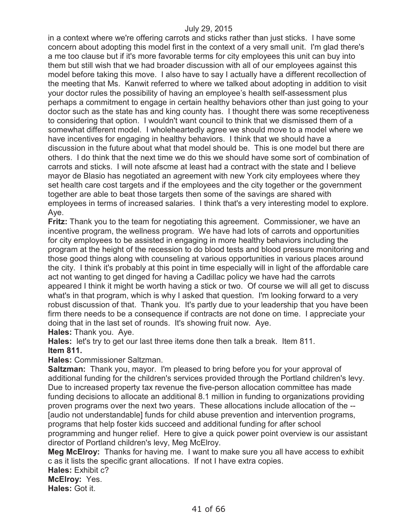in a context where we're offering carrots and sticks rather than just sticks. I have some concern about adopting this model first in the context of a very small unit. I'm glad there's a me too clause but if it's more favorable terms for city employees this unit can buy into them but still wish that we had broader discussion with all of our employees against this model before taking this move. I also have to say I actually have a different recollection of the meeting that Ms. Kanwit referred to where we talked about adopting in addition to visit your doctor rules the possibility of having an employee's health self-assessment plus perhaps a commitment to engage in certain healthy behaviors other than just going to your doctor such as the state has and king county has. I thought there was some receptiveness to considering that option. I wouldn't want council to think that we dismissed them of a somewhat different model. I wholeheartedly agree we should move to a model where we have incentives for engaging in healthy behaviors. I think that we should have a discussion in the future about what that model should be. This is one model but there are others. I do think that the next time we do this we should have some sort of combination of carrots and sticks. I will note afscme at least had a contract with the state and I believe mayor de Blasio has negotiated an agreement with new York city employees where they set health care cost targets and if the employees and the city together or the government together are able to beat those targets then some of the savings are shared with employees in terms of increased salaries. I think that's a very interesting model to explore. Aye.

**Fritz:** Thank you to the team for negotiating this agreement. Commissioner, we have an incentive program, the wellness program. We have had lots of carrots and opportunities for city employees to be assisted in engaging in more healthy behaviors including the program at the height of the recession to do blood tests and blood pressure monitoring and those good things along with counseling at various opportunities in various places around the city. I think it's probably at this point in time especially will in light of the affordable care act not wanting to get dinged for having a Cadillac policy we have had the carrots appeared I think it might be worth having a stick or two. Of course we will all get to discuss what's in that program, which is why I asked that question. I'm looking forward to a very robust discussion of that. Thank you. It's partly due to your leadership that you have been firm there needs to be a consequence if contracts are not done on time. I appreciate your doing that in the last set of rounds. It's showing fruit now. Aye.

**Hales:** Thank you. Aye.

**Hales:** let's try to get our last three items done then talk a break. Item 811. **Item 811.**

**Hales:** Commissioner Saltzman.

**Saltzman:** Thank you, mayor. I'm pleased to bring before you for your approval of additional funding for the children's services provided through the Portland children's levy. Due to increased property tax revenue the five-person allocation committee has made funding decisions to allocate an additional 8.1 million in funding to organizations providing proven programs over the next two years. These allocations include allocation of the -- [audio not understandable] funds for child abuse prevention and intervention programs, programs that help foster kids succeed and additional funding for after school programming and hunger relief. Here to give a quick power point overview is our assistant director of Portland children's levy, Meg McElroy.

**Meg McElroy:** Thanks for having me. I want to make sure you all have access to exhibit c as it lists the specific grant allocations. If not I have extra copies.

**Hales:** Exhibit c?

**McElroy:** Yes.

**Hales:** Got it.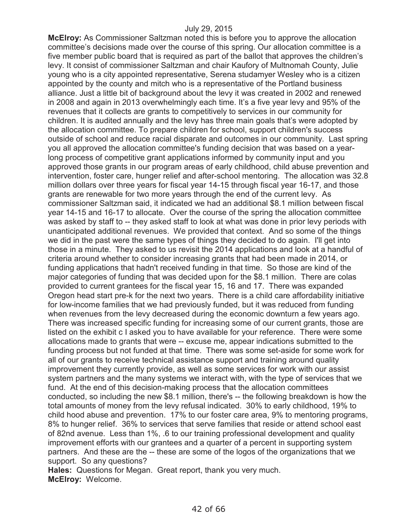**McElroy:** As Commissioner Saltzman noted this is before you to approve the allocation committee's decisions made over the course of this spring. Our allocation committee is a five member public board that is required as part of the ballot that approves the children's levy. It consist of commissioner Saltzman and chair Kaufory of Multnomah County, Julie young who is a city appointed representative, Serena studamyer Wesley who is a citizen appointed by the county and mitch who is a representative of the Portland business alliance. Just a little bit of background about the levy it was created in 2002 and renewed in 2008 and again in 2013 overwhelmingly each time. It's a five year levy and 95% of the revenues that it collects are grants to competitively to services in our community for children. It is audited annually and the levy has three main goals that's were adopted by the allocation committee. To prepare children for school, support children's success outside of school and reduce racial disparate and outcomes in our community. Last spring you all approved the allocation committee's funding decision that was based on a yearlong process of competitive grant applications informed by community input and you approved those grants in our program areas of early childhood, child abuse prevention and intervention, foster care, hunger relief and after-school mentoring. The allocation was 32.8 million dollars over three years for fiscal year 14-15 through fiscal year 16-17, and those grants are renewable for two more years through the end of the current levy. As commissioner Saltzman said, it indicated we had an additional \$8.1 million between fiscal year 14-15 and 16-17 to allocate. Over the course of the spring the allocation committee was asked by staff to -- they asked staff to look at what was done in prior levy periods with unanticipated additional revenues. We provided that context. And so some of the things we did in the past were the same types of things they decided to do again. I'll get into those in a minute. They asked to us revisit the 2014 applications and look at a handful of criteria around whether to consider increasing grants that had been made in 2014, or funding applications that hadn't received funding in that time. So those are kind of the major categories of funding that was decided upon for the \$8.1 million. There are colas provided to current grantees for the fiscal year 15, 16 and 17. There was expanded Oregon head start pre-k for the next two years. There is a child care affordability initiative for low-income families that we had previously funded, but it was reduced from funding when revenues from the levy decreased during the economic downturn a few years ago. There was increased specific funding for increasing some of our current grants, those are listed on the exhibit c I asked you to have available for your reference. There were some allocations made to grants that were -- excuse me, appear indications submitted to the funding process but not funded at that time. There was some set-aside for some work for all of our grants to receive technical assistance support and training around quality improvement they currently provide, as well as some services for work with our assist system partners and the many systems we interact with, with the type of services that we fund. At the end of this decision-making process that the allocation committees conducted, so including the new \$8.1 million, there's -- the following breakdown is how the total amounts of money from the levy refusal indicated. 30% to early childhood, 19% to child hood abuse and prevention. 17% to our foster care area, 9% to mentoring programs, 8% to hunger relief. 36% to services that serve families that reside or attend school east of 82nd avenue. Less than 1%, .6 to our training professional development and quality improvement efforts with our grantees and a quarter of a percent in supporting system partners. And these are the -- these are some of the logos of the organizations that we support. So any questions?

**Hales:** Questions for Megan. Great report, thank you very much. **McElroy:** Welcome.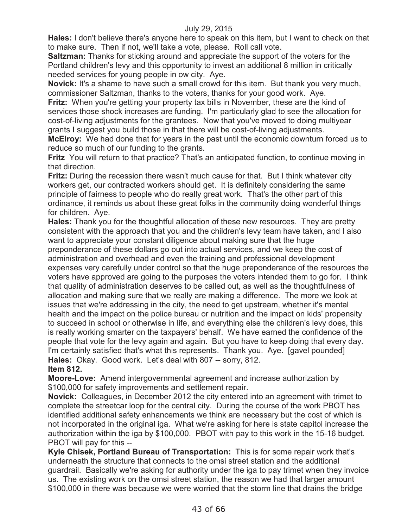**Hales:** I don't believe there's anyone here to speak on this item, but I want to check on that to make sure. Then if not, we'll take a vote, please. Roll call vote.

**Saltzman:** Thanks for sticking around and appreciate the support of the voters for the Portland children's levy and this opportunity to invest an additional 8 million in critically needed services for young people in ow city. Aye.

**Novick:** It's a shame to have such a small crowd for this item. But thank you very much, commissioner Saltzman, thanks to the voters, thanks for your good work. Aye.

**Fritz:** When you're getting your property tax bills in November, these are the kind of services those shock increases are funding. I'm particularly glad to see the allocation for cost-of-living adjustments for the grantees. Now that you've moved to doing multiyear grants I suggest you build those in that there will be cost-of-living adjustments.

**McElroy:** We had done that for years in the past until the economic downturn forced us to reduce so much of our funding to the grants.

**Fritz** You will return to that practice? That's an anticipated function, to continue moving in that direction.

**Fritz:** During the recession there wasn't much cause for that. But I think whatever city workers get, our contracted workers should get. It is definitely considering the same principle of fairness to people who do really great work. That's the other part of this ordinance, it reminds us about these great folks in the community doing wonderful things for children. Aye.

**Hales:** Thank you for the thoughtful allocation of these new resources. They are pretty consistent with the approach that you and the children's levy team have taken, and I also want to appreciate your constant diligence about making sure that the huge preponderance of these dollars go out into actual services, and we keep the cost of administration and overhead and even the training and professional development expenses very carefully under control so that the huge preponderance of the resources the voters have approved are going to the purposes the voters intended them to go for. I think that quality of administration deserves to be called out, as well as the thoughtfulness of allocation and making sure that we really are making a difference. The more we look at issues that we're addressing in the city, the need to get upstream, whether it's mental health and the impact on the police bureau or nutrition and the impact on kids' propensity to succeed in school or otherwise in life, and everything else the children's levy does, this is really working smarter on the taxpayers' behalf. We have earned the confidence of the people that vote for the levy again and again. But you have to keep doing that every day. I'm certainly satisfied that's what this represents. Thank you. Aye. [gavel pounded] **Hales:** Okay. Good work. Let's deal with 807 -- sorry, 812.

## **Item 812.**

**Moore-Love:** Amend intergovernmental agreement and increase authorization by \$100,000 for safety improvements and settlement repair.

**Novick:** Colleagues, in December 2012 the city entered into an agreement with trimet to complete the streetcar loop for the central city. During the course of the work PBOT has identified additional safety enhancements we think are necessary but the cost of which is not incorporated in the original iga. What we're asking for here is state capitol increase the authorization within the iga by \$100,000. PBOT with pay to this work in the 15-16 budget. PBOT will pay for this --

**Kyle Chisek, Portland Bureau of Transportation:** This is for some repair work that's underneath the structure that connects to the omsi street station and the additional guardrail. Basically we're asking for authority under the iga to pay trimet when they invoice us. The existing work on the omsi street station, the reason we had that larger amount \$100,000 in there was because we were worried that the storm line that drains the bridge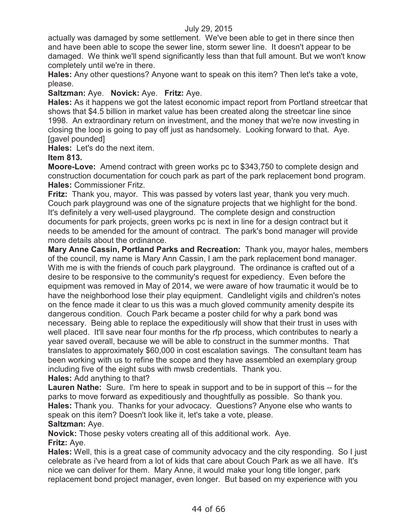actually was damaged by some settlement. We've been able to get in there since then and have been able to scope the sewer line, storm sewer line. It doesn't appear to be damaged. We think we'll spend significantly less than that full amount. But we won't know completely until we're in there.

**Hales:** Any other questions? Anyone want to speak on this item? Then let's take a vote, please.

**Saltzman:** Aye. **Novick:** Aye. **Fritz:** Aye.

**Hales:** As it happens we got the latest economic impact report from Portland streetcar that shows that \$4.5 billion in market value has been created along the streetcar line since 1998. An extraordinary return on investment, and the money that we're now investing in closing the loop is going to pay off just as handsomely. Looking forward to that. Aye. [gavel pounded]

**Hales:** Let's do the next item.

**Item 813.**

**Moore-Love:** Amend contract with green works pc to \$343,750 to complete design and construction documentation for couch park as part of the park replacement bond program. **Hales:** Commissioner Fritz.

**Fritz:** Thank you, mayor. This was passed by voters last year, thank you very much. Couch park playground was one of the signature projects that we highlight for the bond. It's definitely a very well-used playground. The complete design and construction documents for park projects, green works pc is next in line for a design contract but it needs to be amended for the amount of contract. The park's bond manager will provide more details about the ordinance.

**Mary Anne Cassin, Portland Parks and Recreation:** Thank you, mayor hales, members of the council, my name is Mary Ann Cassin, I am the park replacement bond manager. With me is with the friends of couch park playground. The ordinance is crafted out of a desire to be responsive to the community's request for expediency. Even before the equipment was removed in May of 2014, we were aware of how traumatic it would be to have the neighborhood lose their play equipment. Candlelight vigils and children's notes on the fence made it clear to us this was a much gloved community amenity despite its dangerous condition. Couch Park became a poster child for why a park bond was necessary. Being able to replace the expeditiously will show that their trust in uses with well placed. It'll save near four months for the rfp process, which contributes to nearly a year saved overall, because we will be able to construct in the summer months. That translates to approximately \$60,000 in cost escalation savings. The consultant team has been working with us to refine the scope and they have assembled an exemplary group including five of the eight subs with mwsb credentials. Thank you. **Hales:** Add anything to that?

**Lauren Nathe:** Sure. I'm here to speak in support and to be in support of this -- for the parks to move forward as expeditiously and thoughtfully as possible. So thank you. **Hales:** Thank you. Thanks for your advocacy. Questions? Anyone else who wants to speak on this item? Doesn't look like it, let's take a vote, please. **Saltzman:** Aye.

**Novick:** Those pesky voters creating all of this additional work. Aye. **Fritz:** Aye.

**Hales:** Well, this is a great case of community advocacy and the city responding. So I just celebrate as i've heard from a lot of kids that care about Couch Park as we all have. It's nice we can deliver for them. Mary Anne, it would make your long title longer, park replacement bond project manager, even longer. But based on my experience with you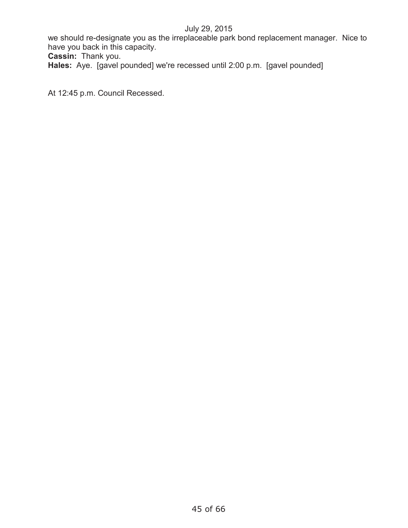we should re-designate you as the irreplaceable park bond replacement manager. Nice to have you back in this capacity.

**Cassin:** Thank you.

**Hales:** Aye. [gavel pounded] we're recessed until 2:00 p.m. [gavel pounded]

At 12:45 p.m. Council Recessed.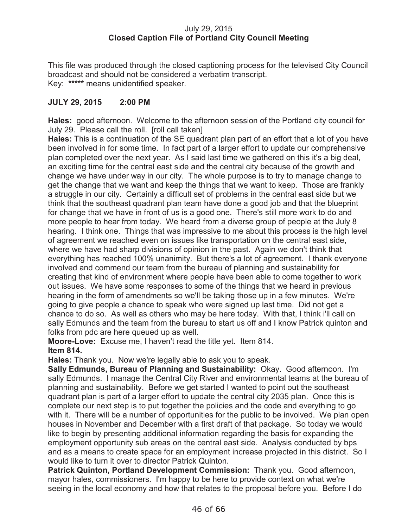### July 29, 2015 **Closed Caption File of Portland City Council Meeting**

This file was produced through the closed captioning process for the televised City Council broadcast and should not be considered a verbatim transcript. Key: **\*\*\*\*\*** means unidentified speaker.

## **JULY 29, 2015 2:00 PM**

**Hales:** good afternoon. Welcome to the afternoon session of the Portland city council for July 29. Please call the roll. [roll call taken]

**Hales:** This is a continuation of the SE quadrant plan part of an effort that a lot of you have been involved in for some time. In fact part of a larger effort to update our comprehensive plan completed over the next year. As I said last time we gathered on this it's a big deal, an exciting time for the central east side and the central city because of the growth and change we have under way in our city. The whole purpose is to try to manage change to get the change that we want and keep the things that we want to keep. Those are frankly a struggle in our city. Certainly a difficult set of problems in the central east side but we think that the southeast quadrant plan team have done a good job and that the blueprint for change that we have in front of us is a good one. There's still more work to do and more people to hear from today. We heard from a diverse group of people at the July 8 hearing. I think one. Things that was impressive to me about this process is the high level of agreement we reached even on issues like transportation on the central east side, where we have had sharp divisions of opinion in the past. Again we don't think that everything has reached 100% unanimity. But there's a lot of agreement. I thank everyone involved and commend our team from the bureau of planning and sustainability for creating that kind of environment where people have been able to come together to work out issues. We have some responses to some of the things that we heard in previous hearing in the form of amendments so we'll be taking those up in a few minutes. We're going to give people a chance to speak who were signed up last time. Did not get a chance to do so. As well as others who may be here today. With that, I think i'll call on sally Edmunds and the team from the bureau to start us off and I know Patrick quinton and folks from pdc are here queued up as well.

**Moore-Love:** Excuse me, I haven't read the title yet. Item 814.

### **Item 814.**

**Hales:** Thank you. Now we're legally able to ask you to speak.

**Sally Edmunds, Bureau of Planning and Sustainability:** Okay. Good afternoon. I'm sally Edmunds. I manage the Central City River and environmental teams at the bureau of planning and sustainability. Before we get started I wanted to point out the southeast quadrant plan is part of a larger effort to update the central city 2035 plan. Once this is complete our next step is to put together the policies and the code and everything to go with it. There will be a number of opportunities for the public to be involved. We plan open houses in November and December with a first draft of that package. So today we would like to begin by presenting additional information regarding the basis for expanding the employment opportunity sub areas on the central east side. Analysis conducted by bps and as a means to create space for an employment increase projected in this district. So I would like to turn it over to director Patrick Quinton.

**Patrick Quinton, Portland Development Commission:** Thank you. Good afternoon, mayor hales, commissioners. I'm happy to be here to provide context on what we're seeing in the local economy and how that relates to the proposal before you. Before I do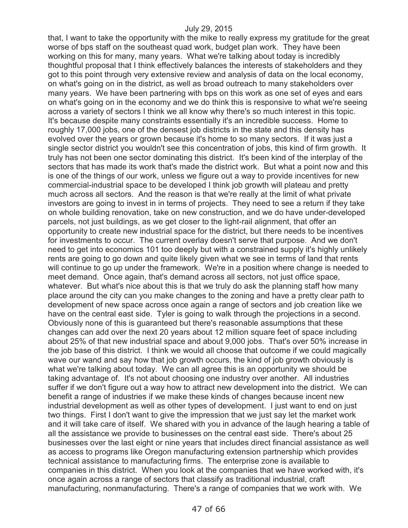that, I want to take the opportunity with the mike to really express my gratitude for the great worse of bps staff on the southeast quad work, budget plan work. They have been working on this for many, many years. What we're talking about today is incredibly thoughtful proposal that I think effectively balances the interests of stakeholders and they got to this point through very extensive review and analysis of data on the local economy, on what's going on in the district, as well as broad outreach to many stakeholders over many years. We have been partnering with bps on this work as one set of eyes and ears on what's going on in the economy and we do think this is responsive to what we're seeing across a variety of sectors I think we all know why there's so much interest in this topic. It's because despite many constraints essentially it's an incredible success. Home to roughly 17,000 jobs, one of the densest job districts in the state and this density has evolved over the years or grown because it's home to so many sectors. If it was just a single sector district you wouldn't see this concentration of jobs, this kind of firm growth. It truly has not been one sector dominating this district. It's been kind of the interplay of the sectors that has made its work that's made the district work. But what a point now and this is one of the things of our work, unless we figure out a way to provide incentives for new commercial-industrial space to be developed I think job growth will plateau and pretty much across all sectors. And the reason is that we're really at the limit of what private investors are going to invest in in terms of projects. They need to see a return if they take on whole building renovation, take on new construction, and we do have under-developed parcels, not just buildings, as we get closer to the light-rail alignment, that offer an opportunity to create new industrial space for the district, but there needs to be incentives for investments to occur. The current overlay doesn't serve that purpose. And we don't need to get into economics 101 too deeply but with a constrained supply it's highly unlikely rents are going to go down and quite likely given what we see in terms of land that rents will continue to go up under the framework. We're in a position where change is needed to meet demand. Once again, that's demand across all sectors, not just office space, whatever. But what's nice about this is that we truly do ask the planning staff how many place around the city can you make changes to the zoning and have a pretty clear path to development of new space across once again a range of sectors and job creation like we have on the central east side. Tyler is going to walk through the projections in a second. Obviously none of this is guaranteed but there's reasonable assumptions that these changes can add over the next 20 years about 12 million square feet of space including about 25% of that new industrial space and about 9,000 jobs. That's over 50% increase in the job base of this district. I think we would all choose that outcome if we could magically wave our wand and say how that job growth occurs, the kind of job growth obviously is what we're talking about today. We can all agree this is an opportunity we should be taking advantage of. It's not about choosing one industry over another. All industries suffer if we don't figure out a way how to attract new development into the district. We can benefit a range of industries if we make these kinds of changes because incent new industrial development as well as other types of development. I just want to end on just two things. First I don't want to give the impression that we just say let the market work and it will take care of itself. We shared with you in advance of the laugh hearing a table of all the assistance we provide to businesses on the central east side. There's about 25 businesses over the last eight or nine years that includes direct financial assistance as well as access to programs like Oregon manufacturing extension partnership which provides technical assistance to manufacturing firms. The enterprise zone is available to companies in this district. When you look at the companies that we have worked with, it's once again across a range of sectors that classify as traditional industrial, craft manufacturing, nonmanufacturing. There's a range of companies that we work with. We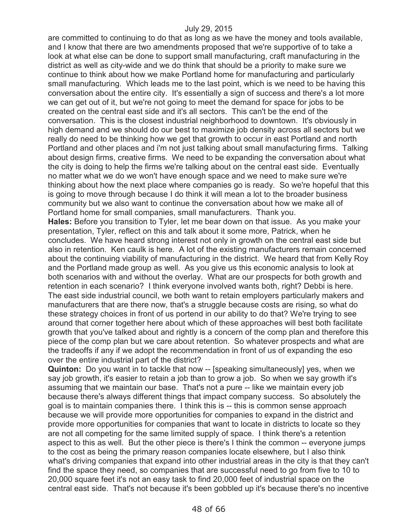are committed to continuing to do that as long as we have the money and tools available, and I know that there are two amendments proposed that we're supportive of to take a look at what else can be done to support small manufacturing, craft manufacturing in the district as well as city-wide and we do think that should be a priority to make sure we continue to think about how we make Portland home for manufacturing and particularly small manufacturing. Which leads me to the last point, which is we need to be having this conversation about the entire city. It's essentially a sign of success and there's a lot more we can get out of it, but we're not going to meet the demand for space for jobs to be created on the central east side and it's all sectors. This can't be the end of the conversation. This is the closest industrial neighborhood to downtown. It's obviously in high demand and we should do our best to maximize job density across all sectors but we really do need to be thinking how we get that growth to occur in east Portland and north Portland and other places and i'm not just talking about small manufacturing firms. Talking about design firms, creative firms. We need to be expanding the conversation about what the city is doing to help the firms we're talking about on the central east side. Eventually no matter what we do we won't have enough space and we need to make sure we're thinking about how the next place where companies go is ready. So we're hopeful that this is going to move through because I do think it will mean a lot to the broader business community but we also want to continue the conversation about how we make all of Portland home for small companies, small manufacturers. Thank you.

**Hales:** Before you transition to Tyler, let me bear down on that issue. As you make your presentation, Tyler, reflect on this and talk about it some more, Patrick, when he concludes. We have heard strong interest not only in growth on the central east side but also in retention. Ken caulk is here. A lot of the existing manufacturers remain concerned about the continuing viability of manufacturing in the district. We heard that from Kelly Roy and the Portland made group as well. As you give us this economic analysis to look at both scenarios with and without the overlay. What are our prospects for both growth and retention in each scenario? I think everyone involved wants both, right? Debbi is here. The east side industrial council, we both want to retain employers particularly makers and manufacturers that are there now, that's a struggle because costs are rising, so what do these strategy choices in front of us portend in our ability to do that? We're trying to see around that corner together here about which of these approaches will best both facilitate growth that you've talked about and rightly is a concern of the comp plan and therefore this piece of the comp plan but we care about retention. So whatever prospects and what are the tradeoffs if any if we adopt the recommendation in front of us of expanding the eso over the entire industrial part of the district?

**Quinton:** Do you want in to tackle that now -- [speaking simultaneously] yes, when we say job growth, it's easier to retain a job than to grow a job. So when we say growth it's assuming that we maintain our base. That's not a pure -- like we maintain every job because there's always different things that impact company success. So absolutely the goal is to maintain companies there. I think this is -- this is common sense approach because we will provide more opportunities for companies to expand in the district and provide more opportunities for companies that want to locate in districts to locate so they are not all competing for the same limited supply of space. I think there's a retention aspect to this as well. But the other piece is there's I think the common -- everyone jumps to the cost as being the primary reason companies locate elsewhere, but I also think what's driving companies that expand into other industrial areas in the city is that they can't find the space they need, so companies that are successful need to go from five to 10 to 20,000 square feet it's not an easy task to find 20,000 feet of industrial space on the central east side. That's not because it's been gobbled up it's because there's no incentive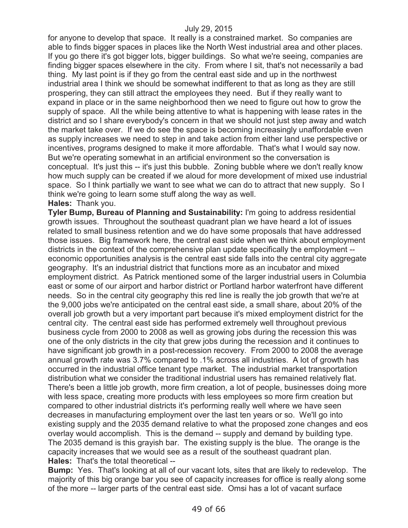for anyone to develop that space. It really is a constrained market. So companies are able to finds bigger spaces in places like the North West industrial area and other places. If you go there it's got bigger lots, bigger buildings. So what we're seeing, companies are finding bigger spaces elsewhere in the city. From where I sit, that's not necessarily a bad thing. My last point is if they go from the central east side and up in the northwest industrial area I think we should be somewhat indifferent to that as long as they are still prospering, they can still attract the employees they need. But if they really want to expand in place or in the same neighborhood then we need to figure out how to grow the supply of space. All the while being attentive to what is happening with lease rates in the district and so I share everybody's concern in that we should not just step away and watch the market take over. If we do see the space is becoming increasingly unaffordable even as supply increases we need to step in and take action from either land use perspective or incentives, programs designed to make it more affordable. That's what I would say now. But we're operating somewhat in an artificial environment so the conversation is conceptual. It's just this -- it's just this bubble. Zoning bubble where we don't really know how much supply can be created if we aloud for more development of mixed use industrial space. So I think partially we want to see what we can do to attract that new supply. So I think we're going to learn some stuff along the way as well. **Hales:** Thank you.

**Tyler Bump, Bureau of Planning and Sustainability:** I'm going to address residential growth issues. Throughout the southeast quadrant plan we have heard a lot of issues related to small business retention and we do have some proposals that have addressed those issues. Big framework here, the central east side when we think about employment districts in the context of the comprehensive plan update specifically the employment - economic opportunities analysis is the central east side falls into the central city aggregate geography. It's an industrial district that functions more as an incubator and mixed employment district. As Patrick mentioned some of the larger industrial users in Columbia east or some of our airport and harbor district or Portland harbor waterfront have different needs. So in the central city geography this red line is really the job growth that we're at the 9,000 jobs we're anticipated on the central east side, a small share, about 20% of the overall job growth but a very important part because it's mixed employment district for the central city. The central east side has performed extremely well throughout previous business cycle from 2000 to 2008 as well as growing jobs during the recession this was one of the only districts in the city that grew jobs during the recession and it continues to have significant job growth in a post-recession recovery. From 2000 to 2008 the average annual growth rate was 3.7% compared to .1% across all industries. A lot of growth has occurred in the industrial office tenant type market. The industrial market transportation distribution what we consider the traditional industrial users has remained relatively flat. There's been a little job growth, more firm creation, a lot of people, businesses doing more with less space, creating more products with less employees so more firm creation but compared to other industrial districts it's performing really well where we have seen decreases in manufacturing employment over the last ten years or so. We'll go into existing supply and the 2035 demand relative to what the proposed zone changes and eos overlay would accomplish. This is the demand -- supply and demand by building type. The 2035 demand is this grayish bar. The existing supply is the blue. The orange is the capacity increases that we would see as a result of the southeast quadrant plan. **Hales:** That's the total theoretical --

**Bump:** Yes. That's looking at all of our vacant lots, sites that are likely to redevelop. The majority of this big orange bar you see of capacity increases for office is really along some of the more -- larger parts of the central east side. Omsi has a lot of vacant surface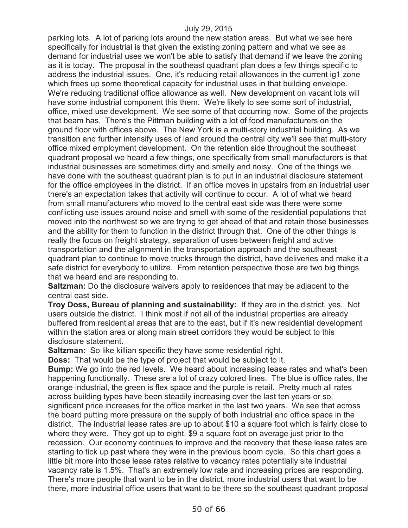parking lots. A lot of parking lots around the new station areas. But what we see here specifically for industrial is that given the existing zoning pattern and what we see as demand for industrial uses we won't be able to satisfy that demand if we leave the zoning as it is today. The proposal in the southeast quadrant plan does a few things specific to address the industrial issues. One, it's reducing retail allowances in the current ig1 zone which frees up some theoretical capacity for industrial uses in that building envelope. We're reducing traditional office allowance as well. New development on vacant lots will have some industrial component this them. We're likely to see some sort of industrial, office, mixed use development. We see some of that occurring now. Some of the projects that beam has. There's the Pittman building with a lot of food manufacturers on the ground floor with offices above. The New York is a multi-story industrial building. As we transition and further intensify uses of land around the central city we'll see that multi-story office mixed employment development. On the retention side throughout the southeast quadrant proposal we heard a few things, one specifically from small manufacturers is that industrial businesses are sometimes dirty and smelly and noisy. One of the things we have done with the southeast quadrant plan is to put in an industrial disclosure statement for the office employees in the district. If an office moves in upstairs from an industrial user there's an expectation takes that activity will continue to occur. A lot of what we heard from small manufacturers who moved to the central east side was there were some conflicting use issues around noise and smell with some of the residential populations that moved into the northwest so we are trying to get ahead of that and retain those businesses and the ability for them to function in the district through that. One of the other things is really the focus on freight strategy, separation of uses between freight and active transportation and the alignment in the transportation approach and the southeast quadrant plan to continue to move trucks through the district, have deliveries and make it a safe district for everybody to utilize. From retention perspective those are two big things that we heard and are responding to.

**Saltzman:** Do the disclosure waivers apply to residences that may be adjacent to the central east side.

**Troy Doss, Bureau of planning and sustainability:** If they are in the district, yes. Not users outside the district. I think most if not all of the industrial properties are already buffered from residential areas that are to the east, but if it's new residential development within the station area or along main street corridors they would be subject to this disclosure statement.

**Saltzman:** So like killian specific they have some residential right.

**Doss:** That would be the type of project that would be subject to it.

**Bump:** We go into the red levels. We heard about increasing lease rates and what's been happening functionally. These are a lot of crazy colored lines. The blue is office rates, the orange industrial, the green is flex space and the purple is retail. Pretty much all rates across building types have been steadily increasing over the last ten years or so, significant price increases for the office market in the last two years. We see that across the board putting more pressure on the supply of both industrial and office space in the district. The industrial lease rates are up to about \$10 a square foot which is fairly close to where they were. They got up to eight, \$9 a square foot on average just prior to the recession. Our economy continues to improve and the recovery that these lease rates are starting to tick up past where they were in the previous boom cycle. So this chart goes a little bit more into those lease rates relative to vacancy rates potentially site industrial vacancy rate is 1.5%. That's an extremely low rate and increasing prices are responding. There's more people that want to be in the district, more industrial users that want to be there, more industrial office users that want to be there so the southeast quadrant proposal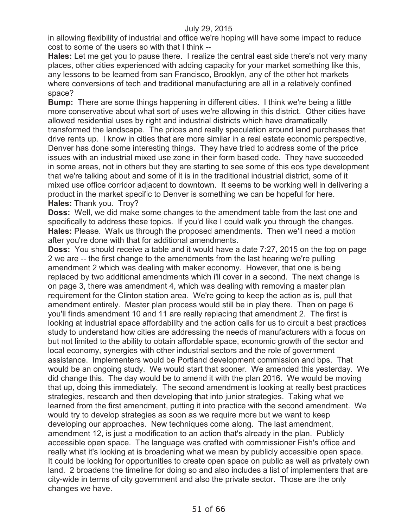in allowing flexibility of industrial and office we're hoping will have some impact to reduce cost to some of the users so with that I think --

**Hales:** Let me get you to pause there. I realize the central east side there's not very many places, other cities experienced with adding capacity for your market something like this, any lessons to be learned from san Francisco, Brooklyn, any of the other hot markets where conversions of tech and traditional manufacturing are all in a relatively confined space?

**Bump:** There are some things happening in different cities. I think we're being a little more conservative about what sort of uses we're allowing in this district. Other cities have allowed residential uses by right and industrial districts which have dramatically transformed the landscape. The prices and really speculation around land purchases that drive rents up. I know in cities that are more similar in a real estate economic perspective, Denver has done some interesting things. They have tried to address some of the price issues with an industrial mixed use zone in their form based code. They have succeeded in some areas, not in others but they are starting to see some of this eos type development that we're talking about and some of it is in the traditional industrial district, some of it mixed use office corridor adjacent to downtown. It seems to be working well in delivering a product in the market specific to Denver is something we can be hopeful for here. **Hales:** Thank you. Troy?

**Doss:** Well, we did make some changes to the amendment table from the last one and specifically to address these topics. If you'd like I could walk you through the changes. **Hales:** Please. Walk us through the proposed amendments. Then we'll need a motion after you're done with that for additional amendments.

**Doss:** You should receive a table and it would have a date 7:27, 2015 on the top on page 2 we are -- the first change to the amendments from the last hearing we're pulling amendment 2 which was dealing with maker economy. However, that one is being replaced by two additional amendments which i'll cover in a second. The next change is on page 3, there was amendment 4, which was dealing with removing a master plan requirement for the Clinton station area. We're going to keep the action as is, pull that amendment entirely. Master plan process would still be in play there. Then on page 6 you'll finds amendment 10 and 11 are really replacing that amendment 2. The first is looking at industrial space affordability and the action calls for us to circuit a best practices study to understand how cities are addressing the needs of manufacturers with a focus on but not limited to the ability to obtain affordable space, economic growth of the sector and local economy, synergies with other industrial sectors and the role of government assistance. Implementers would be Portland development commission and bps. That would be an ongoing study. We would start that sooner. We amended this yesterday. We did change this. The day would be to amend it with the plan 2016. We would be moving that up, doing this immediately. The second amendment is looking at really best practices strategies, research and then developing that into junior strategies. Taking what we learned from the first amendment, putting it into practice with the second amendment. We would try to develop strategies as soon as we require more but we want to keep developing our approaches. New techniques come along. The last amendment, amendment 12, is just a modification to an action that's already in the plan. Publicly accessible open space. The language was crafted with commissioner Fish's office and really what it's looking at is broadening what we mean by publicly accessible open space. It could be looking for opportunities to create open space on public as well as privately own land. 2 broadens the timeline for doing so and also includes a list of implementers that are city-wide in terms of city government and also the private sector. Those are the only changes we have.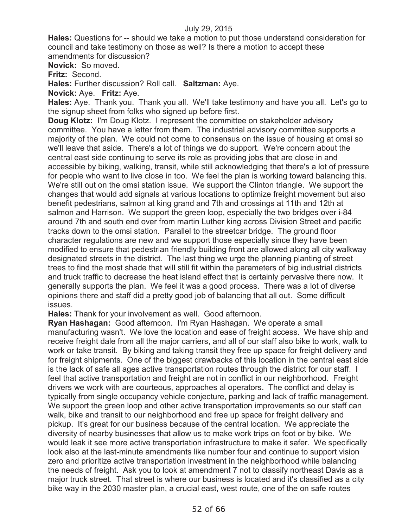**Hales:** Questions for -- should we take a motion to put those understand consideration for council and take testimony on those as well? Is there a motion to accept these amendments for discussion?

**Novick:** So moved.

**Fritz:** Second.

**Hales:** Further discussion? Roll call. **Saltzman:** Aye.

**Novick:** Aye. **Fritz:** Aye.

**Hales:** Aye. Thank you. Thank you all. We'll take testimony and have you all. Let's go to the signup sheet from folks who signed up before first.

**Doug Klotz:** I'm Doug Klotz. I represent the committee on stakeholder advisory committee. You have a letter from them. The industrial advisory committee supports a majority of the plan. We could not come to consensus on the issue of housing at omsi so we'll leave that aside. There's a lot of things we do support. We're concern about the central east side continuing to serve its role as providing jobs that are close in and accessible by biking, walking, transit, while still acknowledging that there's a lot of pressure for people who want to live close in too. We feel the plan is working toward balancing this. We're still out on the omsi station issue. We support the Clinton triangle. We support the changes that would add signals at various locations to optimize freight movement but also benefit pedestrians, salmon at king grand and 7th and crossings at 11th and 12th at salmon and Harrison. We support the green loop, especially the two bridges over i-84 around 7th and south end over from martin Luther king across Division Street and pacific tracks down to the omsi station. Parallel to the streetcar bridge. The ground floor character regulations are new and we support those especially since they have been modified to ensure that pedestrian friendly building front are allowed along all city walkway designated streets in the district. The last thing we urge the planning planting of street trees to find the most shade that will still fit within the parameters of big industrial districts and truck traffic to decrease the heat island effect that is certainly pervasive there now. It generally supports the plan. We feel it was a good process. There was a lot of diverse opinions there and staff did a pretty good job of balancing that all out. Some difficult issues.

**Hales:** Thank for your involvement as well. Good afternoon.

**Ryan Hashagan:** Good afternoon. I'm Ryan Hashagan. We operate a small manufacturing wasn't. We love the location and ease of freight access. We have ship and receive freight dale from all the major carriers, and all of our staff also bike to work, walk to work or take transit. By biking and taking transit they free up space for freight delivery and for freight shipments. One of the biggest drawbacks of this location in the central east side is the lack of safe all ages active transportation routes through the district for our staff. I feel that active transportation and freight are not in conflict in our neighborhood. Freight drivers we work with are courteous, approaches al operators. The conflict and delay is typically from single occupancy vehicle conjecture, parking and lack of traffic management. We support the green loop and other active transportation improvements so our staff can walk, bike and transit to our neighborhood and free up space for freight delivery and pickup. It's great for our business because of the central location. We appreciate the diversity of nearby businesses that allow us to make work trips on foot or by bike. We would leak it see more active transportation infrastructure to make it safer. We specifically look also at the last-minute amendments like number four and continue to support vision zero and prioritize active transportation investment in the neighborhood while balancing the needs of freight. Ask you to look at amendment 7 not to classify northeast Davis as a major truck street. That street is where our business is located and it's classified as a city bike way in the 2030 master plan, a crucial east, west route, one of the on safe routes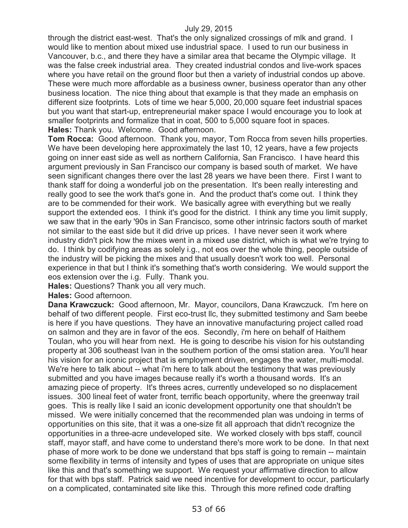through the district east-west. That's the only signalized crossings of mlk and grand. I would like to mention about mixed use industrial space. I used to run our business in Vancouver, b.c., and there they have a similar area that became the Olympic village. It was the false creek industrial area. They created industrial condos and live-work spaces where you have retail on the ground floor but then a variety of industrial condos up above. These were much more affordable as a business owner, business operator than any other business location. The nice thing about that example is that they made an emphasis on different size footprints. Lots of time we hear 5,000, 20,000 square feet industrial spaces but you want that start-up, entrepreneurial maker space I would encourage you to look at smaller footprints and formalize that in coat, 500 to 5,000 square foot in spaces. **Hales:** Thank you. Welcome. Good afternoon.

**Tom Rocca:** Good afternoon. Thank you, mayor, Tom Rocca from seven hills properties. We have been developing here approximately the last 10, 12 years, have a few projects going on inner east side as well as northern California, San Francisco. I have heard this argument previously in San Francisco our company is based south of market. We have seen significant changes there over the last 28 years we have been there. First I want to thank staff for doing a wonderful job on the presentation. It's been really interesting and really good to see the work that's gone in. And the product that's come out. I think they are to be commended for their work. We basically agree with everything but we really support the extended eos. I think it's good for the district. I think any time you limit supply, we saw that in the early '90s in San Francisco, some other intrinsic factors south of market not similar to the east side but it did drive up prices. I have never seen it work where industry didn't pick how the mixes went in a mixed use district, which is what we're trying to do. I think by codifying areas as solely i.g., not eos over the whole thing, people outside of the industry will be picking the mixes and that usually doesn't work too well. Personal experience in that but I think it's something that's worth considering. We would support the eos extension over the i.g. Fully. Thank you.

**Hales:** Questions? Thank you all very much.

**Hales:** Good afternoon.

**Dana Krawczuck:** Good afternoon, Mr. Mayor, councilors, Dana Krawczuck. I'm here on behalf of two different people. First eco-trust llc, they submitted testimony and Sam beebe is here if you have questions. They have an innovative manufacturing project called road on salmon and they are in favor of the eos. Secondly, i'm here on behalf of Haithem Toulan, who you will hear from next. He is going to describe his vision for his outstanding property at 306 southeast Ivan in the southern portion of the omsi station area. You'll hear his vision for an iconic project that is employment driven, engages the water, multi-modal. We're here to talk about -- what i'm here to talk about the testimony that was previously submitted and you have images because really it's worth a thousand words. It's an amazing piece of property. It's threes acres, currently undeveloped so no displacement issues. 300 lineal feet of water front, terrific beach opportunity, where the greenway trail goes. This is really like I said an iconic development opportunity one that shouldn't be missed. We were initially concerned that the recommended plan was undoing in terms of opportunities on this site, that it was a one-size fit all approach that didn't recognize the opportunities in a three-acre undeveloped site. We worked closely with bps staff, council staff, mayor staff, and have come to understand there's more work to be done. In that next phase of more work to be done we understand that bps staff is going to remain -- maintain some flexibility in terms of intensity and types of uses that are appropriate on unique sites like this and that's something we support. We request your affirmative direction to allow for that with bps staff. Patrick said we need incentive for development to occur, particularly on a complicated, contaminated site like this. Through this more refined code drafting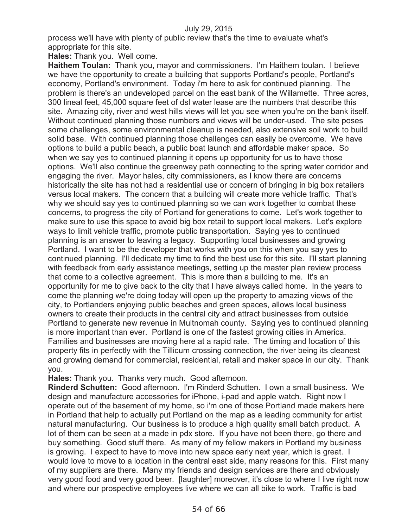process we'll have with plenty of public review that's the time to evaluate what's appropriate for this site.

**Hales:** Thank you. Well come.

**Haithem Toulan:** Thank you, mayor and commissioners. I'm Haithem toulan. I believe we have the opportunity to create a building that supports Portland's people, Portland's economy, Portland's environment. Today i'm here to ask for continued planning. The problem is there's an undeveloped parcel on the east bank of the Willamette. Three acres, 300 lineal feet, 45,000 square feet of dsl water lease are the numbers that describe this site. Amazing city, river and west hills views will let you see when you're on the bank itself. Without continued planning those numbers and views will be under-used. The site poses some challenges, some environmental cleanup is needed, also extensive soil work to build solid base. With continued planning those challenges can easily be overcome. We have options to build a public beach, a public boat launch and affordable maker space. So when we say yes to continued planning it opens up opportunity for us to have those options. We'll also continue the greenway path connecting to the spring water corridor and engaging the river. Mayor hales, city commissioners, as I know there are concerns historically the site has not had a residential use or concern of bringing in big box retailers versus local makers. The concern that a building will create more vehicle traffic. That's why we should say yes to continued planning so we can work together to combat these concerns, to progress the city of Portland for generations to come. Let's work together to make sure to use this space to avoid big box retail to support local makers. Let's explore ways to limit vehicle traffic, promote public transportation. Saying yes to continued planning is an answer to leaving a legacy. Supporting local businesses and growing Portland. I want to be the developer that works with you on this when you say yes to continued planning. I'll dedicate my time to find the best use for this site. I'll start planning with feedback from early assistance meetings, setting up the master plan review process that come to a collective agreement. This is more than a building to me. It's an opportunity for me to give back to the city that I have always called home. In the years to come the planning we're doing today will open up the property to amazing views of the city, to Portlanders enjoying public beaches and green spaces, allows local business owners to create their products in the central city and attract businesses from outside Portland to generate new revenue in Multnomah county. Saying yes to continued planning is more important than ever. Portland is one of the fastest growing cities in America. Families and businesses are moving here at a rapid rate. The timing and location of this property fits in perfectly with the Tillicum crossing connection, the river being its cleanest and growing demand for commercial, residential, retail and maker space in our city. Thank you.

**Hales:** Thank you. Thanks very much. Good afternoon.

**Rinderd Schutten:** Good afternoon. I'm Rinderd Schutten. I own a small business. We design and manufacture accessories for iPhone, i-pad and apple watch. Right now I operate out of the basement of my home, so i'm one of those Portland made makers here in Portland that help to actually put Portland on the map as a leading community for artist natural manufacturing. Our business is to produce a high quality small batch product. A lot of them can be seen at a made in pdx store. If you have not been there, go there and buy something. Good stuff there. As many of my fellow makers in Portland my business is growing. I expect to have to move into new space early next year, which is great. I would love to move to a location in the central east side, many reasons for this. First many of my suppliers are there. Many my friends and design services are there and obviously very good food and very good beer. [laughter] moreover, it's close to where I live right now and where our prospective employees live where we can all bike to work. Traffic is bad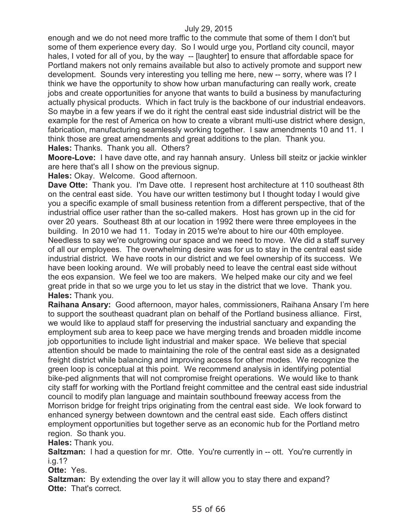enough and we do not need more traffic to the commute that some of them I don't but some of them experience every day. So I would urge you, Portland city council, mayor hales, I voted for all of you, by the way -- [laughter] to ensure that affordable space for Portland makers not only remains available but also to actively promote and support new development. Sounds very interesting you telling me here, new -- sorry, where was I? I think we have the opportunity to show how urban manufacturing can really work, create jobs and create opportunities for anyone that wants to build a business by manufacturing actually physical products. Which in fact truly is the backbone of our industrial endeavors. So maybe in a few years if we do it right the central east side industrial district will be the example for the rest of America on how to create a vibrant multi-use district where design, fabrication, manufacturing seamlessly working together. I saw amendments 10 and 11. I think those are great amendments and great additions to the plan. Thank you. **Hales:** Thanks. Thank you all. Others?

**Moore-Love:** I have dave otte, and ray hannah ansury. Unless bill steitz or jackie winkler are here that's all I show on the previous signup.

**Hales:** Okay. Welcome. Good afternoon.

**Dave Otte:** Thank you. I'm Dave otte. I represent host architecture at 110 southeast 8th on the central east side. You have our written testimony but I thought today I would give you a specific example of small business retention from a different perspective, that of the industrial office user rather than the so-called makers. Host has grown up in the cid for over 20 years. Southeast 8th at our location in 1992 there were three employees in the building. In 2010 we had 11. Today in 2015 we're about to hire our 40th employee. Needless to say we're outgrowing our space and we need to move. We did a staff survey of all our employees. The overwhelming desire was for us to stay in the central east side industrial district. We have roots in our district and we feel ownership of its success. We have been looking around. We will probably need to leave the central east side without the eos expansion. We feel we too are makers. We helped make our city and we feel great pride in that so we urge you to let us stay in the district that we love. Thank you. **Hales:** Thank you.

**Raihana Ansary:** Good afternoon, mayor hales, commissioners, Raihana Ansary I'm here to support the southeast quadrant plan on behalf of the Portland business alliance. First, we would like to applaud staff for preserving the industrial sanctuary and expanding the employment sub area to keep pace we have merging trends and broaden middle income job opportunities to include light industrial and maker space. We believe that special attention should be made to maintaining the role of the central east side as a designated freight district while balancing and improving access for other modes. We recognize the green loop is conceptual at this point. We recommend analysis in identifying potential bike-ped alignments that will not compromise freight operations. We would like to thank city staff for working with the Portland freight committee and the central east side industrial council to modify plan language and maintain southbound freeway access from the Morrison bridge for freight trips originating from the central east side. We look forward to enhanced synergy between downtown and the central east side. Each offers distinct employment opportunities but together serve as an economic hub for the Portland metro region. So thank you.

**Hales:** Thank you.

**Saltzman:** I had a question for mr. Otte. You're currently in -- ott. You're currently in i.g.1?

**Otte:** Yes.

**Saltzman:** By extending the over lay it will allow you to stay there and expand? **Otte: That's correct.**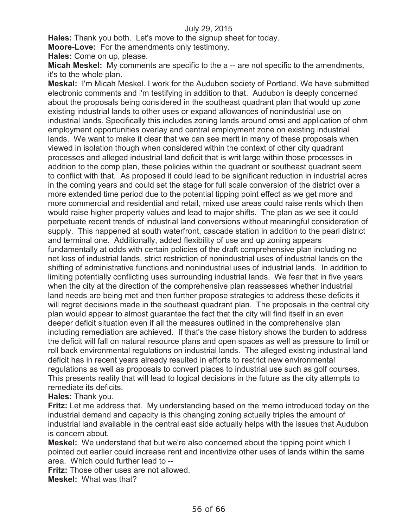**Hales:** Thank you both. Let's move to the signup sheet for today.

**Moore-Love:** For the amendments only testimony.

**Hales:** Come on up, please.

**Micah Meskel:** My comments are specific to the a -- are not specific to the amendments, it's to the whole plan.

**Meskal:** I'm Micah Meskel. I work for the Audubon society of Portland. We have submitted electronic comments and i'm testifying in addition to that. Audubon is deeply concerned about the proposals being considered in the southeast quadrant plan that would up zone existing industrial lands to other uses or expand allowances of nonindustrial use on industrial lands. Specifically this includes zoning lands around omsi and application of ohm employment opportunities overlay and central employment zone on existing industrial lands. We want to make it clear that we can see merit in many of these proposals when viewed in isolation though when considered within the context of other city quadrant processes and alleged industrial land deficit that is writ large within those processes in addition to the comp plan, these policies within the quadrant or southeast quadrant seem to conflict with that. As proposed it could lead to be significant reduction in industrial acres in the coming years and could set the stage for full scale conversion of the district over a more extended time period due to the potential tipping point effect as we get more and more commercial and residential and retail, mixed use areas could raise rents which then would raise higher property values and lead to major shifts. The plan as we see it could perpetuate recent trends of industrial land conversions without meaningful consideration of supply. This happened at south waterfront, cascade station in addition to the pearl district and terminal one. Additionally, added flexibility of use and up zoning appears fundamentally at odds with certain policies of the draft comprehensive plan including no net loss of industrial lands, strict restriction of nonindustrial uses of industrial lands on the shifting of administrative functions and nonindustrial uses of industrial lands. In addition to limiting potentially conflicting uses surrounding industrial lands. We fear that in five years when the city at the direction of the comprehensive plan reassesses whether industrial land needs are being met and then further propose strategies to address these deficits it will regret decisions made in the southeast quadrant plan. The proposals in the central city plan would appear to almost guarantee the fact that the city will find itself in an even deeper deficit situation even if all the measures outlined in the comprehensive plan including remediation are achieved. If that's the case history shows the burden to address the deficit will fall on natural resource plans and open spaces as well as pressure to limit or roll back environmental regulations on industrial lands. The alleged existing industrial land deficit has in recent years already resulted in efforts to restrict new environmental regulations as well as proposals to convert places to industrial use such as golf courses. This presents reality that will lead to logical decisions in the future as the city attempts to remediate its deficits.

**Hales:** Thank you.

**Fritz:** Let me address that. My understanding based on the memo introduced today on the industrial demand and capacity is this changing zoning actually triples the amount of industrial land available in the central east side actually helps with the issues that Audubon is concern about.

**Meskel:** We understand that but we're also concerned about the tipping point which I pointed out earlier could increase rent and incentivize other uses of lands within the same area. Which could further lead to --

**Fritz:** Those other uses are not allowed.

**Meskel:** What was that?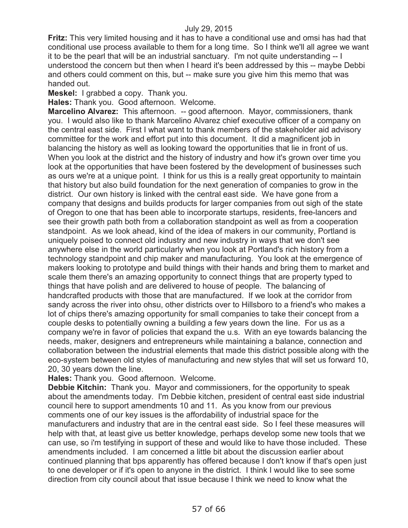**Fritz:** This very limited housing and it has to have a conditional use and omsi has had that conditional use process available to them for a long time. So I think we'll all agree we want it to be the pearl that will be an industrial sanctuary. I'm not quite understanding -- I understood the concern but then when I heard it's been addressed by this -- maybe Debbi and others could comment on this, but -- make sure you give him this memo that was handed out.

**Meskel:** I grabbed a copy. Thank you.

**Hales:** Thank you. Good afternoon. Welcome.

**Marcelino Alvarez:** This afternoon. -- good afternoon. Mayor, commissioners, thank you. I would also like to thank Marcelino Alvarez chief executive officer of a company on the central east side. First I what want to thank members of the stakeholder aid advisory committee for the work and effort put into this document. It did a magnificent job in balancing the history as well as looking toward the opportunities that lie in front of us. When you look at the district and the history of industry and how it's grown over time you look at the opportunities that have been fostered by the development of businesses such as ours we're at a unique point. I think for us this is a really great opportunity to maintain that history but also build foundation for the next generation of companies to grow in the district. Our own history is linked with the central east side. We have gone from a company that designs and builds products for larger companies from out sigh of the state of Oregon to one that has been able to incorporate startups, residents, free-lancers and see their growth path both from a collaboration standpoint as well as from a cooperation standpoint. As we look ahead, kind of the idea of makers in our community, Portland is uniquely poised to connect old industry and new industry in ways that we don't see anywhere else in the world particularly when you look at Portland's rich history from a technology standpoint and chip maker and manufacturing. You look at the emergence of makers looking to prototype and build things with their hands and bring them to market and scale them there's an amazing opportunity to connect things that are property typed to things that have polish and are delivered to house of people. The balancing of handcrafted products with those that are manufactured. If we look at the corridor from sandy across the river into ohsu, other districts over to Hillsboro to a friend's who makes a lot of chips there's amazing opportunity for small companies to take their concept from a couple desks to potentially owning a building a few years down the line. For us as a company we're in favor of policies that expand the u.s. With an eye towards balancing the needs, maker, designers and entrepreneurs while maintaining a balance, connection and collaboration between the industrial elements that made this district possible along with the eco-system between old styles of manufacturing and new styles that will set us forward 10, 20, 30 years down the line.

**Hales:** Thank you. Good afternoon. Welcome.

**Debbie Kitchin:** Thank you. Mayor and commissioners, for the opportunity to speak about the amendments today. I'm Debbie kitchen, president of central east side industrial council here to support amendments 10 and 11. As you know from our previous comments one of our key issues is the affordability of industrial space for the manufacturers and industry that are in the central east side. So I feel these measures will help with that, at least give us better knowledge, perhaps develop some new tools that we can use, so i'm testifying in support of these and would like to have those included. These amendments included. I am concerned a little bit about the discussion earlier about continued planning that bps apparently has offered because I don't know if that's open just to one developer or if it's open to anyone in the district. I think I would like to see some direction from city council about that issue because I think we need to know what the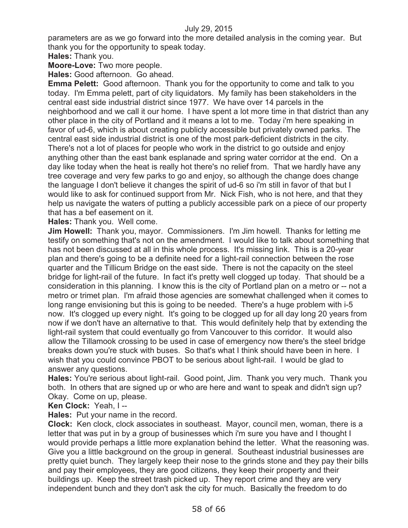parameters are as we go forward into the more detailed analysis in the coming year. But thank you for the opportunity to speak today.

**Hales:** Thank you.

**Moore-Love:** Two more people.

**Hales:** Good afternoon. Go ahead.

**Emma Pelett:** Good afternoon. Thank you for the opportunity to come and talk to you today. I'm Emma pelett, part of city liquidators. My family has been stakeholders in the central east side industrial district since 1977. We have over 14 parcels in the neighborhood and we call it our home. I have spent a lot more time in that district than any other place in the city of Portland and it means a lot to me. Today i'm here speaking in favor of ud-6, which is about creating publicly accessible but privately owned parks. The central east side industrial district is one of the most park-deficient districts in the city. There's not a lot of places for people who work in the district to go outside and enjoy anything other than the east bank esplanade and spring water corridor at the end. On a day like today when the heat is really hot there's no relief from. That we hardly have any tree coverage and very few parks to go and enjoy, so although the change does change the language I don't believe it changes the spirit of ud-6 so i'm still in favor of that but I would like to ask for continued support from Mr. Nick Fish, who is not here, and that they help us navigate the waters of putting a publicly accessible park on a piece of our property that has a bef easement on it.

**Hales:** Thank you. Well come.

**Jim Howell:** Thank you, mayor. Commissioners. I'm Jim howell. Thanks for letting me testify on something that's not on the amendment. I would like to talk about something that has not been discussed at all in this whole process. It's missing link. This is a 20-year plan and there's going to be a definite need for a light-rail connection between the rose quarter and the Tillicum Bridge on the east side. There is not the capacity on the steel bridge for light-rail of the future. In fact it's pretty well clogged up today. That should be a consideration in this planning. I know this is the city of Portland plan on a metro or -- not a metro or trimet plan. I'm afraid those agencies are somewhat challenged when it comes to long range envisioning but this is going to be needed. There's a huge problem with i-5 now. It's clogged up every night. It's going to be clogged up for all day long 20 years from now if we don't have an alternative to that. This would definitely help that by extending the light-rail system that could eventually go from Vancouver to this corridor. It would also allow the Tillamook crossing to be used in case of emergency now there's the steel bridge breaks down you're stuck with buses. So that's what I think should have been in here. I wish that you could convince PBOT to be serious about light-rail. I would be glad to answer any questions.

**Hales:** You're serious about light-rail. Good point, Jim. Thank you very much. Thank you both. In others that are signed up or who are here and want to speak and didn't sign up? Okay. Come on up, please.

**Ken Clock:** Yeah, I --

**Hales:** Put your name in the record.

**Clock:** Ken clock, clock associates in southeast. Mayor, council men, woman, there is a letter that was put in by a group of businesses which i'm sure you have and I thought I would provide perhaps a little more explanation behind the letter. What the reasoning was. Give you a little background on the group in general. Southeast industrial businesses are pretty quiet bunch. They largely keep their nose to the grinds stone and they pay their bills and pay their employees, they are good citizens, they keep their property and their buildings up. Keep the street trash picked up. They report crime and they are very independent bunch and they don't ask the city for much. Basically the freedom to do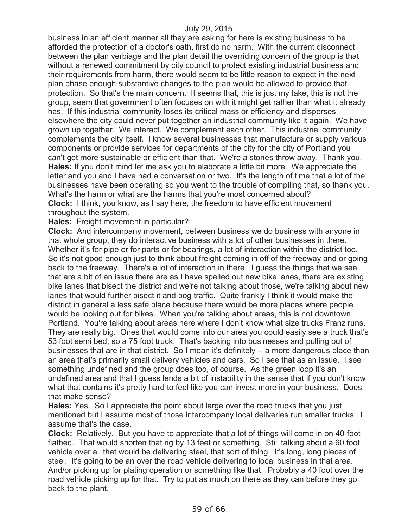business in an efficient manner all they are asking for here is existing business to be afforded the protection of a doctor's oath, first do no harm. With the current disconnect between the plan verbiage and the plan detail the overriding concern of the group is that without a renewed commitment by city council to protect existing industrial business and their requirements from harm, there would seem to be little reason to expect in the next plan phase enough substantive changes to the plan would be allowed to provide that protection. So that's the main concern. It seems that, this is just my take, this is not the group, seem that government often focuses on with it might get rather than what it already has. If this industrial community loses its critical mass or efficiency and disperses elsewhere the city could never put together an industrial community like it again. We have grown up together. We interact. We complement each other. This industrial community complements the city itself. I know several businesses that manufacture or supply various components or provide services for departments of the city for the city of Portland you can't get more sustainable or efficient than that. We're a stones throw away. Thank you. **Hales:** If you don't mind let me ask you to elaborate a little bit more. We appreciate the letter and you and I have had a conversation or two. It's the length of time that a lot of the businesses have been operating so you went to the trouble of compiling that, so thank you. What's the harm or what are the harms that you're most concerned about? **Clock:** I think, you know, as I say here, the freedom to have efficient movement throughout the system.

**Hales:** Freight movement in particular?

**Clock:** And intercompany movement, between business we do business with anyone in that whole group, they do interactive business with a lot of other businesses in there. Whether it's for pipe or for parts or for bearings, a lot of interaction within the district too. So it's not good enough just to think about freight coming in off of the freeway and or going back to the freeway. There's a lot of interaction in there. I guess the things that we see that are a bit of an issue there are as I have spelled out new bike lanes, there are existing bike lanes that bisect the district and we're not talking about those, we're talking about new lanes that would further bisect it and bog traffic. Quite frankly I think it would make the district in general a less safe place because there would be more places where people would be looking out for bikes. When you're talking about areas, this is not downtown Portland. You're talking about areas here where I don't know what size trucks Franz runs. They are really big. Ones that would come into our area you could easily see a truck that's 53 foot semi bed, so a 75 foot truck. That's backing into businesses and pulling out of businesses that are in that district. So I mean it's definitely -- a more dangerous place than an area that's primarily small delivery vehicles and cars. So I see that as an issue. I see something undefined and the group does too, of course. As the green loop it's an undefined area and that I guess lends a bit of instability in the sense that if you don't know what that contains it's pretty hard to feel like you can invest more in your business. Does that make sense?

**Hales:** Yes. So I appreciate the point about large over the road trucks that you just mentioned but I assume most of those intercompany local deliveries run smaller trucks. I assume that's the case.

**Clock:** Relatively. But you have to appreciate that a lot of things will come in on 40-foot flatbed. That would shorten that rig by 13 feet or something. Still talking about a 60 foot vehicle over all that would be delivering steel, that sort of thing. It's long, long pieces of steel. It's going to be an over the road vehicle delivering to local business in that area. And/or picking up for plating operation or something like that. Probably a 40 foot over the road vehicle picking up for that. Try to put as much on there as they can before they go back to the plant.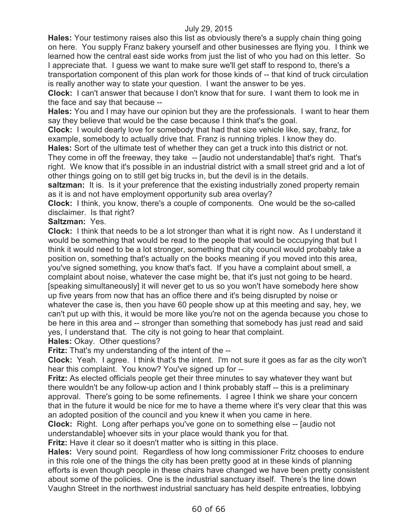**Hales:** Your testimony raises also this list as obviously there's a supply chain thing going on here. You supply Franz bakery yourself and other businesses are flying you. I think we learned how the central east side works from just the list of who you had on this letter. So I appreciate that. I guess we want to make sure we'll get staff to respond to, there's a transportation component of this plan work for those kinds of -- that kind of truck circulation is really another way to state your question. I want the answer to be yes.

**Clock:** I can't answer that because I don't know that for sure. I want them to look me in the face and say that because --

**Hales:** You and I may have our opinion but they are the professionals. I want to hear them say they believe that would be the case because I think that's the goal.

**Clock:** I would dearly love for somebody that had that size vehicle like, say, franz, for example, somebody to actually drive that. Franz is running triples. I know they do.

**Hales:** Sort of the ultimate test of whether they can get a truck into this district or not. They come in off the freeway, they take -- [audio not understandable] that's right. That's right. We know that it's possible in an industrial district with a small street grid and a lot of other things going on to still get big trucks in, but the devil is in the details.

saltzman: It is. Is it your preference that the existing industrially zoned property remain as it is and not have employment opportunity sub area overlay?

**Clock:** I think, you know, there's a couple of components. One would be the so-called disclaimer. Is that right?

### **Saltzman:** Yes.

**Clock:** I think that needs to be a lot stronger than what it is right now. As I understand it would be something that would be read to the people that would be occupying that but I think it would need to be a lot stronger, something that city council would probably take a position on, something that's actually on the books meaning if you moved into this area, you've signed something, you know that's fact. If you have a complaint about smell, a complaint about noise, whatever the case might be, that it's just not going to be heard. [speaking simultaneously] it will never get to us so you won't have somebody here show up five years from now that has an office there and it's being disrupted by noise or whatever the case is, then you have 60 people show up at this meeting and say, hey, we can't put up with this, it would be more like you're not on the agenda because you chose to be here in this area and -- stronger than something that somebody has just read and said yes, I understand that. The city is not going to hear that complaint.

**Hales:** Okay. Other questions?

**Fritz:** That's my understanding of the intent of the --

**Clock:** Yeah. I agree. I think that's the intent. I'm not sure it goes as far as the city won't hear this complaint. You know? You've signed up for --

**Fritz:** As elected officials people get their three minutes to say whatever they want but there wouldn't be any follow-up action and I think probably staff -- this is a preliminary approval. There's going to be some refinements. I agree I think we share your concern that in the future it would be nice for me to have a theme where it's very clear that this was an adopted position of the council and you knew it when you came in here.

**Clock:** Right. Long after perhaps you've gone on to something else -- [audio not understandable] whoever sits in your place would thank you for that.

**Fritz:** Have it clear so it doesn't matter who is sitting in this place.

**Hales:** Very sound point. Regardless of how long commissioner Fritz chooses to endure in this role one of the things the city has been pretty good at in these kinds of planning efforts is even though people in these chairs have changed we have been pretty consistent about some of the policies. One is the industrial sanctuary itself. There's the line down Vaughn Street in the northwest industrial sanctuary has held despite entreaties, lobbying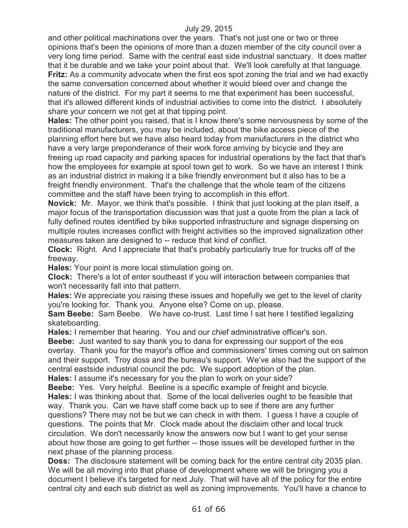and other political machinations over the years. That's not just one or two or three opinions that's been the opinions of more than a dozen member of the city council over a very long time period. Same with the central east side industrial sanctuary. It does matter that it be durable and we take your point about that. We'll look carefully at that language. **Fritz:** As a community advocate when the first eos spot zoning the trial and we had exactly the same conversation concerned about whether it would bleed over and change the nature of the district. For my part it seems to me that experiment has been successful, that it's allowed different kinds of industrial activities to come into the district. I absolutely share your concern we not get at that tipping point.

**Hales:** The other point you raised, that is I know there's some nervousness by some of the traditional manufacturers, you may be included, about the bike access piece of the planning effort here but we have also heard today from manufacturers in the district who have a very large preponderance of their work force arriving by bicycle and they are freeing up road capacity and parking spaces for industrial operations by the fact that that's how the employees for example at spool town get to work. So we have an interest I think as an industrial district in making it a bike friendly environment but it also has to be a freight friendly environment. That's the challenge that the whole team of the citizens committee and the staff have been trying to accomplish in this effort.

**Novick:** Mr. Mayor, we think that's possible. I think that just looking at the plan itself, a major focus of the transportation discussion was that just a quote from the plan a lack of fully defined routes identified by bike supported infrastructure and signage dispersing on multiple routes increases conflict with freight activities so the improved signalization other measures taken are designed to -- reduce that kind of conflict.

**Clock:** Right. And I appreciate that that's probably particularly true for trucks off of the freeway.

**Hales:** Your point is more local stimulation going on.

**Clock:** There's a lot of enter southeast if you will interaction between companies that won't necessarily fall into that pattern.

**Hales:** We appreciate you raising these issues and hopefully we get to the level of clarity you're looking for. Thank you. Anyone else? Come on up, please.

**Sam Beebe:** Sam Beebe. We have co-trust. Last time I sat here I testified legalizing skateboarding.

**Hales:** I remember that hearing. You and our chief administrative officer's son.

**Beebe:** Just wanted to say thank you to dana for expressing our support of the eos overlay. Thank you for the mayor's office and commissioners' times coming out on salmon and their support. Troy doss and the bureau's support. We've also had the support of the central eastside industrial council the pdc. We support adoption of the plan.

**Hales:** I assume it's necessary for you the plan to work on your side?

**Beebe:** Yes. Very helpful. Beeline is a specific example of freight and bicycle. **Hales:** I was thinking about that. Some of the local deliveries ought to be feasible that way. Thank you. Can we have staff come back up to see if there are any further questions? There may not be but we can check in with them. I guess I have a couple of questions. The points that Mr. Clock made about the disclaim other and local truck circulation. We don't necessarily know the answers now but I want to get your sense about how those are going to get further -- those issues will be developed further in the next phase of the planning process.

**Doss:** The disclosure statement will be coming back for the entire central city 2035 plan. We will be all moving into that phase of development where we will be bringing you a document I believe it's targeted for next July. That will have all of the policy for the entire central city and each sub district as well as zoning improvements. You'll have a chance to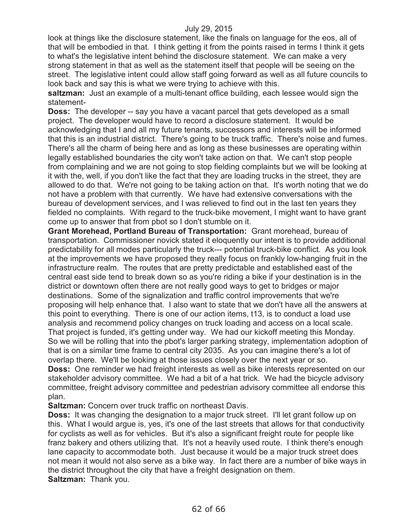look at things like the disclosure statement, like the finals on language for the eos, all of that will be embodied in that. I think getting it from the points raised in terms I think it gets to what's the legislative intent behind the disclosure statement. We can make a very strong statement in that as well as the statement itself that people will be seeing on the street. The legislative intent could allow staff going forward as well as all future councils to look back and say this is what we were trying to achieve with this.

**saltzman:** Just an example of a multi-tenant office building, each lessee would sign the statement-

**Doss:** The developer -- say you have a vacant parcel that gets developed as a small project. The developer would have to record a disclosure statement. It would be acknowledging that I and all my future tenants, successors and interests will be informed that this is an industrial district. There's going to be truck traffic. There's noise and fumes. There's all the charm of being here and as long as these businesses are operating within legally established boundaries the city won't take action on that. We can't stop people from complaining and we are not going to stop fielding complaints but we will be looking at it with the, well, if you don't like the fact that they are loading trucks in the street, they are allowed to do that. We're not going to be taking action on that. It's worth noting that we do not have a problem with that currently. We have had extensive conversations with the bureau of development services, and I was relieved to find out in the last ten years they fielded no complaints. With regard to the truck-bike movement, I might want to have grant come up to answer that from pbot so I don't stumble on it.

**Grant Morehead, Portland Bureau of Transportation:** Grant morehead, bureau of transportation. Commissioner novick stated it eloquently our intent is to provide additional predictability for all modes particularly the truck--- potential truck-bike conflict. As you look at the improvements we have proposed they really focus on frankly low-hanging fruit in the infrastructure realm. The routes that are pretty predictable and established east of the central east side tend to break down so as you're riding a bike if your destination is in the district or downtown often there are not really good ways to get to bridges or major destinations. Some of the signalization and traffic control improvements that we're proposing will help enhance that. I also want to state that we don't have all the answers at this point to everything. There is one of our action items, t13, is to conduct a load use analysis and recommend policy changes on truck loading and access on a local scale. That project is funded, it's getting under way. We had our kickoff meeting this Monday. So we will be rolling that into the pbot's larger parking strategy, implementation adoption of that is on a similar time frame to central city 2035. As you can imagine there's a lot of overlap there. We'll be looking at those issues closely over the next year or so.

**Doss:** One reminder we had freight interests as well as bike interests represented on our stakeholder advisory committee. We had a bit of a hat trick. We had the bicycle advisory committee, freight advisory committee and pedestrian advisory committee all endorse this plan.

**Saltzman:** Concern over truck traffic on northeast Davis.

**Doss:** It was changing the designation to a major truck street. I'll let grant follow up on this. What I would argue is, yes, it's one of the last streets that allows for that conductivity for cyclists as well as for vehicles. But it's also a significant freight route for people like franz bakery and others utilizing that. It's not a heavily used route. I think there's enough lane capacity to accommodate both. Just because it would be a major truck street does not mean it would not also serve as a bike way. In fact there are a number of bike ways in the district throughout the city that have a freight designation on them. **Saltzman:** Thank you.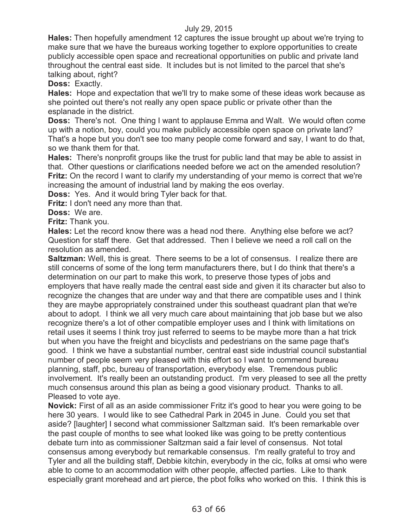**Hales:** Then hopefully amendment 12 captures the issue brought up about we're trying to make sure that we have the bureaus working together to explore opportunities to create publicly accessible open space and recreational opportunities on public and private land throughout the central east side. It includes but is not limited to the parcel that she's talking about, right?

**Doss:** Exactly.

**Hales:** Hope and expectation that we'll try to make some of these ideas work because as she pointed out there's not really any open space public or private other than the esplanade in the district.

**Doss:** There's not. One thing I want to applause Emma and Walt. We would often come up with a notion, boy, could you make publicly accessible open space on private land? That's a hope but you don't see too many people come forward and say, I want to do that, so we thank them for that.

**Hales:** There's nonprofit groups like the trust for public land that may be able to assist in that. Other questions or clarifications needed before we act on the amended resolution? **Fritz:** On the record I want to clarify my understanding of your memo is correct that we're increasing the amount of industrial land by making the eos overlay.

**Doss:** Yes. And it would bring Tyler back for that.

**Fritz:** I don't need any more than that.

**Doss:** We are.

**Fritz:** Thank you.

**Hales:** Let the record know there was a head nod there. Anything else before we act? Question for staff there. Get that addressed. Then I believe we need a roll call on the resolution as amended.

**Saltzman:** Well, this is great. There seems to be a lot of consensus. I realize there are still concerns of some of the long term manufacturers there, but I do think that there's a determination on our part to make this work, to preserve those types of jobs and employers that have really made the central east side and given it its character but also to recognize the changes that are under way and that there are compatible uses and I think they are maybe appropriately constrained under this southeast quadrant plan that we're about to adopt. I think we all very much care about maintaining that job base but we also recognize there's a lot of other compatible employer uses and I think with limitations on retail uses it seems I think troy just referred to seems to be maybe more than a hat trick but when you have the freight and bicyclists and pedestrians on the same page that's good. I think we have a substantial number, central east side industrial council substantial number of people seem very pleased with this effort so I want to commend bureau planning, staff, pbc, bureau of transportation, everybody else. Tremendous public involvement. It's really been an outstanding product. I'm very pleased to see all the pretty much consensus around this plan as being a good visionary product. Thanks to all. Pleased to vote aye.

**Novick:** First of all as an aside commissioner Fritz it's good to hear you were going to be here 30 years. I would like to see Cathedral Park in 2045 in June. Could you set that aside? [laughter] I second what commissioner Saltzman said. It's been remarkable over the past couple of months to see what looked like was going to be pretty contentious debate turn into as commissioner Saltzman said a fair level of consensus. Not total consensus among everybody but remarkable consensus. I'm really grateful to troy and Tyler and all the building staff, Debbie kitchin, everybody in the cic, folks at omsi who were able to come to an accommodation with other people, affected parties. Like to thank especially grant morehead and art pierce, the pbot folks who worked on this. I think this is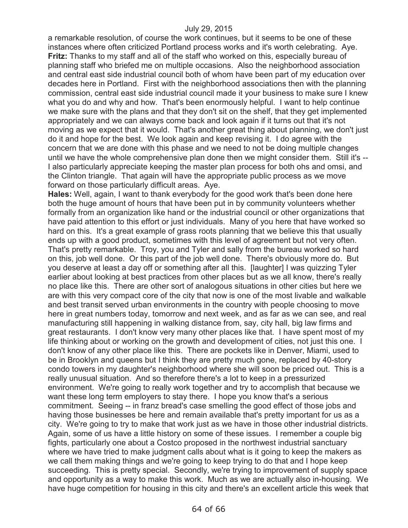a remarkable resolution, of course the work continues, but it seems to be one of these instances where often criticized Portland process works and it's worth celebrating. Aye. **Fritz:** Thanks to my staff and all of the staff who worked on this, especially bureau of planning staff who briefed me on multiple occasions. Also the neighborhood association and central east side industrial council both of whom have been part of my education over decades here in Portland. First with the neighborhood associations then with the planning commission, central east side industrial council made it your business to make sure I knew what you do and why and how. That's been enormously helpful. I want to help continue we make sure with the plans and that they don't sit on the shelf, that they get implemented appropriately and we can always come back and look again if it turns out that it's not moving as we expect that it would. That's another great thing about planning, we don't just do it and hope for the best. We look again and keep revising it. I do agree with the concern that we are done with this phase and we need to not be doing multiple changes until we have the whole comprehensive plan done then we might consider them. Still it's -- I also particularly appreciate keeping the master plan process for both ohs and omsi, and the Clinton triangle. That again will have the appropriate public process as we move forward on those particularly difficult areas. Aye.

**Hales:** Well, again, I want to thank everybody for the good work that's been done here both the huge amount of hours that have been put in by community volunteers whether formally from an organization like hand or the industrial council or other organizations that have paid attention to this effort or just individuals. Many of you here that have worked so hard on this. It's a great example of grass roots planning that we believe this that usually ends up with a good product, sometimes with this level of agreement but not very often. That's pretty remarkable. Troy, you and Tyler and sally from the bureau worked so hard on this, job well done. Or this part of the job well done. There's obviously more do. But you deserve at least a day off or something after all this. [laughter] I was quizzing Tyler earlier about looking at best practices from other places but as we all know, there's really no place like this. There are other sort of analogous situations in other cities but here we are with this very compact core of the city that now is one of the most livable and walkable and best transit served urban environments in the country with people choosing to move here in great numbers today, tomorrow and next week, and as far as we can see, and real manufacturing still happening in walking distance from, say, city hall, big law firms and great restaurants. I don't know very many other places like that. I have spent most of my life thinking about or working on the growth and development of cities, not just this one. I don't know of any other place like this. There are pockets like in Denver, Miami, used to be in Brooklyn and queens but I think they are pretty much gone, replaced by 40-story condo towers in my daughter's neighborhood where she will soon be priced out. This is a really unusual situation. And so therefore there's a lot to keep in a pressurized environment. We're going to really work together and try to accomplish that because we want these long term employers to stay there. I hope you know that's a serious commitment. Seeing -- in franz bread's case smelling the good effect of those jobs and having those businesses be here and remain available that's pretty important for us as a city. We're going to try to make that work just as we have in those other industrial districts. Again, some of us have a little history on some of these issues. I remember a couple big fights, particularly one about a Costco proposed in the northwest industrial sanctuary where we have tried to make judgment calls about what is it going to keep the makers as we call them making things and we're going to keep trying to do that and I hope keep succeeding. This is pretty special. Secondly, we're trying to improvement of supply space and opportunity as a way to make this work. Much as we are actually also in-housing. We have huge competition for housing in this city and there's an excellent article this week that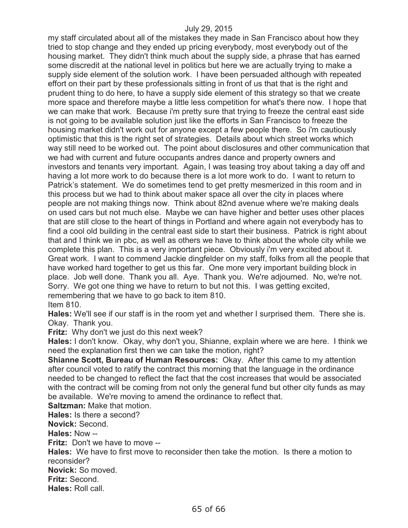my staff circulated about all of the mistakes they made in San Francisco about how they tried to stop change and they ended up pricing everybody, most everybody out of the housing market. They didn't think much about the supply side, a phrase that has earned some discredit at the national level in politics but here we are actually trying to make a supply side element of the solution work. I have been persuaded although with repeated effort on their part by these professionals sitting in front of us that that is the right and prudent thing to do here, to have a supply side element of this strategy so that we create more space and therefore maybe a little less competition for what's there now. I hope that we can make that work. Because i'm pretty sure that trying to freeze the central east side is not going to be available solution just like the efforts in San Francisco to freeze the housing market didn't work out for anyone except a few people there. So i'm cautiously optimistic that this is the right set of strategies. Details about which street works which way still need to be worked out. The point about disclosures and other communication that we had with current and future occupants andres dance and property owners and investors and tenants very important. Again, I was teasing troy about taking a day off and having a lot more work to do because there is a lot more work to do. I want to return to Patrick's statement. We do sometimes tend to get pretty mesmerized in this room and in this process but we had to think about maker space all over the city in places where people are not making things now. Think about 82nd avenue where we're making deals on used cars but not much else. Maybe we can have higher and better uses other places that are still close to the heart of things in Portland and where again not everybody has to find a cool old building in the central east side to start their business. Patrick is right about that and I think we in pbc, as well as others we have to think about the whole city while we complete this plan. This is a very important piece. Obviously i'm very excited about it. Great work. I want to commend Jackie dingfelder on my staff, folks from all the people that have worked hard together to get us this far. One more very important building block in place. Job well done. Thank you all. Aye. Thank you. We're adjourned. No, we're not. Sorry. We got one thing we have to return to but not this. I was getting excited, remembering that we have to go back to item 810.

Item 810.

**Hales:** We'll see if our staff is in the room yet and whether I surprised them. There she is. Okay. Thank you.

**Fritz:** Why don't we just do this next week?

**Hales:** I don't know. Okay, why don't you, Shianne, explain where we are here. I think we need the explanation first then we can take the motion, right?

**Shianne Scott, Bureau of Human Resources:** Okay. After this came to my attention after council voted to ratify the contract this morning that the language in the ordinance needed to be changed to reflect the fact that the cost increases that would be associated with the contract will be coming from not only the general fund but other city funds as may be available. We're moving to amend the ordinance to reflect that.

**Saltzman:** Make that motion. **Hales:** Is there a second? **Novick:** Second. **Hales:** Now -- **Fritz:** Don't we have to move --**Hales:** We have to first move to reconsider then take the motion. Is there a motion to reconsider? **Novick:** So moved. **Fritz:** Second. **Hales:** Roll call.